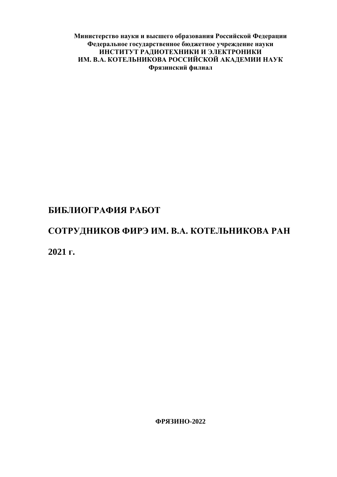**Министерство науки и высшего образования Российской Федерации Федеральное государственное бюджетное учреждение науки ИНСТИТУТ РАДИОТЕХНИКИ И ЭЛЕКТРОНИКИ ИМ. В.А. КОТЕЛЬНИКОВА РОССИЙСКОЙ АКАДЕМИИ НАУК Фрязинский филиал**

## **БИБЛИОГРАФИЯ РАБОТ**

# **СОТРУДНИКОВ ФИРЭ ИМ. В.А. КОТЕЛЬНИКОВА РАН**

**2021 г.**

**ФРЯЗИНО-2022**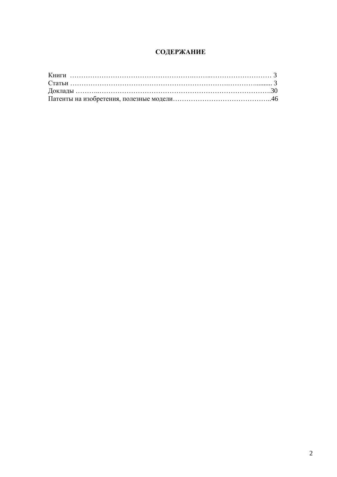## **СОДЕРЖАНИЕ**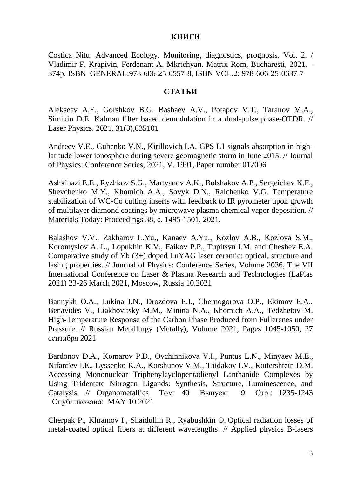#### **КНИГИ**

Costica Nitu. Advanced Ecology. Monitoring, diagnostics, prognosis. Vol. 2. / Vladimir F. Krapivin, Ferdenant A. Mkrtchyan. Matrix Rom, Bucharesti, 2021. - 374p. ISBN GENERAL:978-606-25-0557-8, ISBN VOL.2: 978-606-25-0637-7

#### **СТАТЬИ**

[Alekseev A.E.,](https://www.scopus.com/authid/detail.uri?authorId=16404449100&eid=2-s2.0-85101037097) [Gorshkov B.G.](https://www.scopus.com/authid/detail.uri?authorId=57217723450&eid=2-s2.0-85101037097) [Bashaev A.V.,](https://www.scopus.com/authid/detail.uri?authorId=57222025189&eid=2-s2.0-85101037097) [Potapov V.T.,](https://www.scopus.com/authid/detail.uri?authorId=7102561193&eid=2-s2.0-85101037097) [Taranov M.A.,](https://www.scopus.com/authid/detail.uri?authorId=57192430180&eid=2-s2.0-85101037097) [Simikin D.E.](https://www.scopus.com/authid/detail.uri?authorId=56386149400&eid=2-s2.0-85101037097) [Kalman filter based demodulation in a dual-pulse phase-OTDR.](https://www.scopus.com/record/display.uri?eid=2-s2.0-85101037097&origin=resultslist&sort=plf-f&src=s&st1=&st2=&sid=4b98c4a71432da476f7edb7643a61aff&sot=b&sdt=b&sl=39&s=AFFILCITY+%28Fryazino%29+AND+PUBYEAR+%3e+2020&relpos=4&citeCnt=0&searchTerm=) // [Laser Physics.](https://www.scopus.com/sourceid/12225?origin=resultslist) 2021. 31(3),035101

Andreev V.E., Gubenko V.N., Kirillovich I.A. GPS L1 signals absorption in highlatitude lower ionosphere during severe geomagnetic storm in June 2015. // Journal of Physics: Conference Series, 2021, V. 1991, Paper number 012006

Ashkinazi E.E., [Ryzhkov S.G.,](https://www.scopus.com/authid/detail.uri?authorId=55948797200&eid=2-s2.0-85101698530) [Martyanov A.K.,](https://www.scopus.com/authid/detail.uri?authorId=57189246152&eid=2-s2.0-85101698530) [Bolshakov A.P.,](https://www.scopus.com/authid/detail.uri?authorId=7003875502&eid=2-s2.0-85101698530) [Sergeichev K.F.,](https://www.scopus.com/authid/detail.uri?authorId=13806445300&eid=2-s2.0-85101698530) [Shevchenko M.Y.,](https://www.scopus.com/authid/detail.uri?authorId=55234106200&eid=2-s2.0-85101698530) [Khomich A.A.,](https://www.scopus.com/authid/detail.uri?authorId=56973657100&eid=2-s2.0-85101698530) [Sovyk D.N.,](https://www.scopus.com/authid/detail.uri?authorId=35093396900&eid=2-s2.0-85101698530) [Ralchenko V.G.](https://www.scopus.com/authid/detail.uri?authorId=7006576246&eid=2-s2.0-85101698530) [Temperature](https://www.scopus.com/record/display.uri?eid=2-s2.0-85101698530&origin=resultslist&sort=plf-f&src=s&sid=1a5994ee7bafc3e34db8695dc1cb07b5&sot=b&sdt=b&sl=38&s=AFFILCITY%28Fryazino%29+AND+PUBYEAR+%3e+2020&relpos=1&citeCnt=1&searchTerm=)  [stabilization of WC-Co cutting inserts with feedback to IR pyrometer upon growth](https://www.scopus.com/record/display.uri?eid=2-s2.0-85101698530&origin=resultslist&sort=plf-f&src=s&sid=1a5994ee7bafc3e34db8695dc1cb07b5&sot=b&sdt=b&sl=38&s=AFFILCITY%28Fryazino%29+AND+PUBYEAR+%3e+2020&relpos=1&citeCnt=1&searchTerm=)  [of multilayer diamond coatings by microwave plasma chemical vapor deposition.](https://www.scopus.com/record/display.uri?eid=2-s2.0-85101698530&origin=resultslist&sort=plf-f&src=s&sid=1a5994ee7bafc3e34db8695dc1cb07b5&sot=b&sdt=b&sl=38&s=AFFILCITY%28Fryazino%29+AND+PUBYEAR+%3e+2020&relpos=1&citeCnt=1&searchTerm=) // [Materials Today: Proceedings](https://www.scopus.com/sourceid/21100370037?origin=resultslist) 38, с. 1495-1501, 2021.

Balashov V.V., Zakharov L.Yu., Kanaev A.Yu., Kozlov A.B., Kozlova S.M., Koromyslov A. L., Lopukhin K.V., Faikov P.P., Tupitsyn I.M. and Cheshev E.A. Comparative study of Yb (3+) doped LuYAG laser ceramic: optical, structure and lasing properties. // Journal of Physics: Conference Series, Volume 2036, The VII International Conference on Laser & Plasma Research and Technologies (LaPlas 2021) 23-26 March 2021, Moscow, Russia 10.2021

Bannykh O.A., Lukina I.N., Drozdova E.I., Chernogorova O.P., Ekimov E.A., Benavides V., Liakhovitsky M.M., Minina N.A., Khomich A.A., Tedzhetov М. High-Temperature Response of the Carbon Phase Produced from Fullerenes under Pressure. // Russian Metallurgy (Metally), Volume 2021, Pages 1045-1050, 27 сентября 2021

[Bardonov](http://apps.webofknowledge.com/OneClickSearch.do?product=WOS&search_mode=OneClickSearch&excludeEventConfig=ExcludeIfFromFullRecPage&colName=WOS&SID=C6haDmBDMgLcON3gg61&field=AU&value=Bardonov,%20DA) D.A., [Komarov](http://apps.webofknowledge.com/OneClickSearch.do?product=WOS&search_mode=OneClickSearch&excludeEventConfig=ExcludeIfFromFullRecPage&colName=WOS&SID=C6haDmBDMgLcON3gg61&field=AU&value=Komarov,%20PD) P.D., [Ovchinnikova](http://apps.webofknowledge.com/OneClickSearch.do?product=WOS&search_mode=OneClickSearch&excludeEventConfig=ExcludeIfFromFullRecPage&colName=WOS&SID=C6haDmBDMgLcON3gg61&field=AU&value=Ovchinnikova,%20VI) V.I., [Puntus](http://apps.webofknowledge.com/OneClickSearch.do?product=WOS&search_mode=OneClickSearch&excludeEventConfig=ExcludeIfFromFullRecPage&colName=WOS&SID=C6haDmBDMgLcON3gg61&field=AU&value=Puntus,%20LN) L.N., [Minyaev](http://apps.webofknowledge.com/OneClickSearch.do?product=WOS&search_mode=OneClickSearch&excludeEventConfig=ExcludeIfFromFullRecPage&colName=WOS&SID=C6haDmBDMgLcON3gg61&field=AU&value=Minyaev,%20ME) M.E., [Nifant'ev](http://apps.webofknowledge.com/OneClickSearch.do?product=WOS&search_mode=OneClickSearch&excludeEventConfig=ExcludeIfFromFullRecPage&colName=WOS&SID=C6haDmBDMgLcON3gg61&field=AU&value=Nifant) I.E., [Lyssenko](http://apps.webofknowledge.com/OneClickSearch.do?product=WOS&search_mode=OneClickSearch&excludeEventConfig=ExcludeIfFromFullRecPage&colName=WOS&SID=C6haDmBDMgLcON3gg61&field=AU&value=Lyssenko,%20KA) K.A., [Korshunov](http://apps.webofknowledge.com/OneClickSearch.do?product=WOS&search_mode=OneClickSearch&excludeEventConfig=ExcludeIfFromFullRecPage&colName=WOS&SID=C6haDmBDMgLcON3gg61&field=AU&value=Korshunov,%20VM) V.M., [Taidakov](http://apps.webofknowledge.com/OneClickSearch.do?product=WOS&search_mode=OneClickSearch&excludeEventConfig=ExcludeIfFromFullRecPage&colName=WOS&SID=C6haDmBDMgLcON3gg61&field=AU&value=Taidakov,%20IV) I.V., [Roitershtein](http://apps.webofknowledge.com/OneClickSearch.do?product=WOS&search_mode=OneClickSearch&excludeEventConfig=ExcludeIfFromFullRecPage&colName=WOS&SID=C6haDmBDMgLcON3gg61&field=AU&value=Roitershtein,%20DM) D.M. [Accessing Mononuclear Triphenylcyclopentadienyl Lanthanide Complexes by](http://apps.webofknowledge.com/full_record.do?product=WOS&search_mode=GeneralSearch&qid=1&SID=C6haDmBDMgLcON3gg61&page=1&doc=3)  [Using Tridentate Nitrogen Ligands: Synthesis, Structure, Luminescence, and](http://apps.webofknowledge.com/full_record.do?product=WOS&search_mode=GeneralSearch&qid=1&SID=C6haDmBDMgLcON3gg61&page=1&doc=3)  [Catalysis.](http://apps.webofknowledge.com/full_record.do?product=WOS&search_mode=GeneralSearch&qid=1&SID=C6haDmBDMgLcON3gg61&page=1&doc=3) // [Organometallics](javascript:;) Том: 40 Выпуск: 9 Стр.: 1235-1243 Опубликовано: MAY 10 2021

[Cherpak P.](http://apps.webofknowledge.com/OutboundService.do?SID=C5LdJWqIazwnzW3De5X&mode=rrcAuthorRecordService&action=go&product=WOS&lang=ru_RU&daisIds=46424375), [Khramov I.](http://apps.webofknowledge.com/OutboundService.do?SID=C5LdJWqIazwnzW3De5X&mode=rrcAuthorRecordService&action=go&product=WOS&lang=ru_RU&daisIds=14675428), [Shaidullin R.](http://apps.webofknowledge.com/OutboundService.do?SID=C5LdJWqIazwnzW3De5X&mode=rrcAuthorRecordService&action=go&product=WOS&lang=ru_RU&daisIds=46426327), [Ryabushkin O.](http://apps.webofknowledge.com/OutboundService.do?SID=C5LdJWqIazwnzW3De5X&mode=rrcAuthorRecordService&action=go&product=WOS&lang=ru_RU&daisIds=32422350) [Optical radiation losses of](http://apps.webofknowledge.com/full_record.do?product=WOS&search_mode=GeneralSearch&qid=1&SID=C5LdJWqIazwnzW3De5X&page=1&doc=3)  [metal-coated optical fibers at different wavelengths.](http://apps.webofknowledge.com/full_record.do?product=WOS&search_mode=GeneralSearch&qid=1&SID=C5LdJWqIazwnzW3De5X&page=1&doc=3) // [Applied physics B-lasers](javascript:;)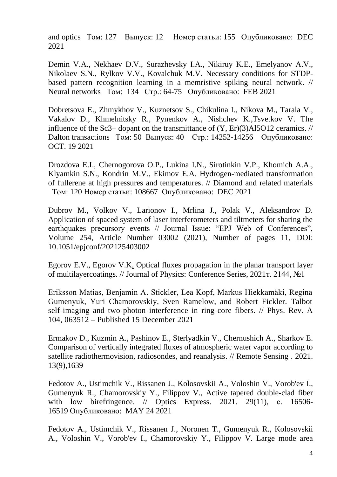[and optics](javascript:;) Том: 127 Выпуск: 12 Номер статьи: 155 Опубликовано: DEC 2021

[Demin](http://apps.webofknowledge.com/OutboundService.do?SID=F1Xe3tI5DyLwt393Uma&mode=rrcAuthorRecordService&action=go&product=WOS&lang=ru_RU&daisIds=35860534) V.A., [Nekhaev](http://apps.webofknowledge.com/OutboundService.do?SID=F1Xe3tI5DyLwt393Uma&mode=rrcAuthorRecordService&action=go&product=WOS&lang=ru_RU&daisIds=40620325) D.V., [Surazhevsky](http://apps.webofknowledge.com/OutboundService.do?SID=F1Xe3tI5DyLwt393Uma&mode=rrcAuthorRecordService&action=go&product=WOS&lang=ru_RU&daisIds=35054201) I.A., [Nikiruy](http://apps.webofknowledge.com/OutboundService.do?SID=F1Xe3tI5DyLwt393Uma&mode=rrcAuthorRecordService&action=go&product=WOS&lang=ru_RU&daisIds=41471631) K.E., [Emelyanov](http://apps.webofknowledge.com/OutboundService.do?SID=F1Xe3tI5DyLwt393Uma&mode=rrcAuthorRecordService&action=go&product=WOS&lang=ru_RU&daisIds=35144690) A.V., [Nikolaev](http://apps.webofknowledge.com/OutboundService.do?SID=F1Xe3tI5DyLwt393Uma&mode=rrcAuthorRecordService&action=go&product=WOS&lang=ru_RU&daisIds=34858155) S.N., [Rylkov](http://apps.webofknowledge.com/OutboundService.do?SID=F1Xe3tI5DyLwt393Uma&mode=rrcAuthorRecordService&action=go&product=WOS&lang=ru_RU&daisIds=31840847) V.V., [Kovalchuk](http://apps.webofknowledge.com/OutboundService.do?SID=F1Xe3tI5DyLwt393Uma&mode=rrcAuthorRecordService&action=go&product=WOS&lang=ru_RU&daisIds=7349694) M.V. [Necessary conditions for STDP](http://apps.webofknowledge.com/full_record.do?product=WOS&search_mode=GeneralSearch&qid=1&SID=F1Xe3tI5DyLwt393Uma&page=1&doc=1)[based pattern recognition learning in a memristive spiking neural network.](http://apps.webofknowledge.com/full_record.do?product=WOS&search_mode=GeneralSearch&qid=1&SID=F1Xe3tI5DyLwt393Uma&page=1&doc=1) // [Neural networks](javascript:;) Том: 134 Стр.: 64-75 Опубликовано: FEB 2021

[Dobretsova E.](http://apps.webofknowledge.com/OutboundService.do?SID=E6eZs9bVDDTmGt8WqUl&mode=rrcAuthorRecordService&action=go&product=WOS&lang=ru_RU&daisIds=4122547), [Zhmykhov V.](http://apps.webofknowledge.com/OutboundService.do?SID=E6eZs9bVDDTmGt8WqUl&mode=rrcAuthorRecordService&action=go&product=WOS&lang=ru_RU&daisIds=45150483), [Kuznetsov S.](http://apps.webofknowledge.com/OutboundService.do?SID=E6eZs9bVDDTmGt8WqUl&mode=rrcAuthorRecordService&action=go&product=WOS&lang=ru_RU&daisIds=16204808), [Chikulina I.](http://apps.webofknowledge.com/OutboundService.do?SID=E6eZs9bVDDTmGt8WqUl&mode=rrcAuthorRecordService&action=go&product=WOS&lang=ru_RU&daisIds=45531943), [Nikova M.](http://apps.webofknowledge.com/OutboundService.do?SID=E6eZs9bVDDTmGt8WqUl&mode=rrcAuthorRecordService&action=go&product=WOS&lang=ru_RU&daisIds=45546366), [Tarala V.](http://apps.webofknowledge.com/OutboundService.do?SID=E6eZs9bVDDTmGt8WqUl&mode=rrcAuthorRecordService&action=go&product=WOS&lang=ru_RU&daisIds=45530245), [Vakalov D.](http://apps.webofknowledge.com/OutboundService.do?SID=E6eZs9bVDDTmGt8WqUl&mode=rrcAuthorRecordService&action=go&product=WOS&lang=ru_RU&daisIds=29284489), [Khmelnitsky R.](http://apps.webofknowledge.com/OutboundService.do?SID=E6eZs9bVDDTmGt8WqUl&mode=rrcAuthorRecordService&action=go&product=WOS&lang=ru_RU&daisIds=45537781), [Pynenkov A.](http://apps.webofknowledge.com/OutboundService.do?SID=E6eZs9bVDDTmGt8WqUl&mode=rrcAuthorRecordService&action=go&product=WOS&lang=ru_RU&daisIds=45529017), [Nishchev K.](http://apps.webofknowledge.com/OutboundService.do?SID=E6eZs9bVDDTmGt8WqUl&mode=rrcAuthorRecordService&action=go&product=WOS&lang=ru_RU&daisIds=1090435)[,Tsvetkov V.](http://apps.webofknowledge.com/OutboundService.do?SID=E6eZs9bVDDTmGt8WqUl&mode=rrcAuthorRecordService&action=go&product=WOS&lang=ru_RU&daisIds=30293529) [The](http://apps.webofknowledge.com/full_record.do?product=WOS&search_mode=GeneralSearch&qid=2&SID=E6eZs9bVDDTmGt8WqUl&page=1&doc=8)  influence of the Sc3+ dopant on the transmittance of  $(Y, Er)(3)A$ 15O12 ceramics. // [Dalton transactions](javascript:;) Том: 50 Выпуск: 40 Стр.: 14252-14256 Опубликовано: OCT. 19 2021

[Drozdova](http://apps.webofknowledge.com/OutboundService.do?SID=C5LdJWqIazwnzW3De5X&mode=rrcAuthorRecordService&action=go&product=WOS&lang=ru_RU&daisIds=1454405) E.I., [Chernogorova](http://apps.webofknowledge.com/OutboundService.do?SID=C5LdJWqIazwnzW3De5X&mode=rrcAuthorRecordService&action=go&product=WOS&lang=ru_RU&daisIds=2921799) O.P., [Lukina](http://apps.webofknowledge.com/OutboundService.do?SID=C5LdJWqIazwnzW3De5X&mode=rrcAuthorRecordService&action=go&product=WOS&lang=ru_RU&daisIds=31501611) I.N., [Sirotinkin](http://apps.webofknowledge.com/OutboundService.do?SID=C5LdJWqIazwnzW3De5X&mode=rrcAuthorRecordService&action=go&product=WOS&lang=ru_RU&daisIds=43932481) V.P., [Khomich](http://apps.webofknowledge.com/OutboundService.do?SID=C5LdJWqIazwnzW3De5X&mode=rrcAuthorRecordService&action=go&product=WOS&lang=ru_RU&daisIds=35849114) A.A., [Klyamkin](http://apps.webofknowledge.com/OutboundService.do?SID=C5LdJWqIazwnzW3De5X&mode=rrcAuthorRecordService&action=go&product=WOS&lang=ru_RU&daisIds=35102273) S.N., [Kondrin](http://apps.webofknowledge.com/OutboundService.do?SID=C5LdJWqIazwnzW3De5X&mode=rrcAuthorRecordService&action=go&product=WOS&lang=ru_RU&daisIds=46451961) M.V., [Ekimov](http://apps.webofknowledge.com/OutboundService.do?SID=C5LdJWqIazwnzW3De5X&mode=rrcAuthorRecordService&action=go&product=WOS&lang=ru_RU&daisIds=44979562) E.A. [Hydrogen-mediated transformation](http://apps.webofknowledge.com/full_record.do?product=WOS&search_mode=GeneralSearch&qid=1&SID=C5LdJWqIazwnzW3De5X&page=1&doc=2)  [of fullerene at high pressures and temperatures.](http://apps.webofknowledge.com/full_record.do?product=WOS&search_mode=GeneralSearch&qid=1&SID=C5LdJWqIazwnzW3De5X&page=1&doc=2) // [Diamond and related materials](javascript:;)  Том: 120 Номер статьи: 108667 Опубликовано: DEC 2021

Dubrov M., Volkov V., Larionov I., Mrlina J., Polak V., Aleksandrov D. Application of spaced system of laser interferometers and tiltmeters for sharing the earthquakes precursory events // Journal Issue: "EPJ Web of Conferences", Volume 254, Article Number 03002 (2021), Number of pages 11, DOI: 10.1051/epjconf/202125403002

Egorov E.V., Egorov V.K. Optical fluxes propagation in the planar transport layer of multilayercoatings. // Journal of Physics: Conference Series, 2021т. 2144, №1

Eriksson Matias, Benjamin A. Stickler, Lea Kopf, Markus Hiekkamäki, Regina Gumenyuk, Yuri Chamorovskiy, Sven Ramelow, and Robert Fickler. Talbot self-imaging and two-photon interference in ring-core fibers. // Phys. Rev. A 104, 063512 – Published 15 December 2021

[Ermakov D.,](https://www.scopus.com/authid/detail.uri?authorId=7003424453&eid=2-s2.0-85105225072) [Kuzmin A.,](https://www.scopus.com/authid/detail.uri?authorId=8710353500&eid=2-s2.0-85105225072) [Pashinov E.,](https://www.scopus.com/authid/detail.uri?authorId=57192097253&eid=2-s2.0-85105225072) [Sterlyadkin V.,](https://www.scopus.com/authid/detail.uri?authorId=6505940691&eid=2-s2.0-85105225072) [Chernushich A.,](https://www.scopus.com/authid/detail.uri?authorId=6602570555&eid=2-s2.0-85105225072) [Sharkov E.](https://www.scopus.com/authid/detail.uri?authorId=57223182530&eid=2-s2.0-85105225072) [Comparison of vertically integrated fluxes of atmospheric water vapor according to](https://www.scopus.com/record/display.uri?eid=2-s2.0-85105225072&origin=resultslist&sort=plf-f&src=s&sid=02dd4f6a33bb7eed352b9f430fb24bf4&sot=b&sdt=b&sl=38&s=AFFILCITY%28Fryazino%29+AND+PUBYEAR+%3e+2020&relpos=5&citeCnt=0&searchTerm=)  [satellite radiothermovision, radiosondes, and reanalysis.](https://www.scopus.com/record/display.uri?eid=2-s2.0-85105225072&origin=resultslist&sort=plf-f&src=s&sid=02dd4f6a33bb7eed352b9f430fb24bf4&sot=b&sdt=b&sl=38&s=AFFILCITY%28Fryazino%29+AND+PUBYEAR+%3e+2020&relpos=5&citeCnt=0&searchTerm=) // [Remote Sensing](https://www.scopus.com/sourceid/86430?origin=resultslist) . 2021. 13(9),1639

[Fedotov A.,](https://www.scopus.com/authid/detail.uri?authorId=57212322852&eid=2-s2.0-85106266990) [Ustimchik V.,](https://www.scopus.com/authid/detail.uri?authorId=50462739300&eid=2-s2.0-85106266990) [Rissanen J.,](https://www.scopus.com/authid/detail.uri?authorId=57193566916&eid=2-s2.0-85106266990) [Kolosovskii A.,](https://www.scopus.com/authid/detail.uri?authorId=6507392235&eid=2-s2.0-85106266990) [Voloshin V.,](https://www.scopus.com/authid/detail.uri?authorId=7006102257&eid=2-s2.0-85106266990) [Vorob'ev I.,](https://www.scopus.com/authid/detail.uri?authorId=7101795053&eid=2-s2.0-85106266990) [Gumenyuk R.,](https://www.scopus.com/authid/detail.uri?authorId=35172787900&eid=2-s2.0-85106266990) [Chamorovskiy Y.,](https://www.scopus.com/authid/detail.uri?authorId=6505868564&eid=2-s2.0-85106266990) [Filippov V.,](https://www.scopus.com/authid/detail.uri?authorId=7202667170&eid=2-s2.0-85106266990) [Active tapered double-clad fiber](https://www.scopus.com/record/display.uri?eid=2-s2.0-85106266990&origin=resultslist&sort=plf-f&src=s&sid=21f5a126fd36e1e2a799847192206da8&sot=b&sdt=b&sl=19&s=AFFILCITY%28Fryazino%29&relpos=4&citeCnt=0&searchTerm=)  [with low birefringence.](https://www.scopus.com/record/display.uri?eid=2-s2.0-85106266990&origin=resultslist&sort=plf-f&src=s&sid=21f5a126fd36e1e2a799847192206da8&sot=b&sdt=b&sl=19&s=AFFILCITY%28Fryazino%29&relpos=4&citeCnt=0&searchTerm=) // [Optics Express.](https://www.scopus.com/sourceid/12862?origin=resultslist) 2021. 29(11), c. 16506-16519 Опубликовано: MAY 24 2021

[Fedotov A.,](https://www.scopus.com/authid/detail.uri?authorId=57212322852&eid=2-s2.0-85106266990) [Ustimchik V.,](https://www.scopus.com/authid/detail.uri?authorId=50462739300&eid=2-s2.0-85106266990) [Rissanen J.,](https://www.scopus.com/authid/detail.uri?authorId=57193566916&eid=2-s2.0-85106266990) Noronen T., Gumenyuk R., [Kolosovskii](https://www.scopus.com/authid/detail.uri?authorId=6507392235&eid=2-s2.0-85106266990)  [A.,](https://www.scopus.com/authid/detail.uri?authorId=6507392235&eid=2-s2.0-85106266990) [Voloshin V.,](https://www.scopus.com/authid/detail.uri?authorId=7006102257&eid=2-s2.0-85106266990) [Vorob'ev I.,](https://www.scopus.com/authid/detail.uri?authorId=7101795053&eid=2-s2.0-85106266990) [Chamorovskiy Y.,](https://www.scopus.com/authid/detail.uri?authorId=6505868564&eid=2-s2.0-85106266990) [Filippov V.](https://www.scopus.com/authid/detail.uri?authorId=7202667170&eid=2-s2.0-85106266990) [Large mode area](https://www.scopus.com/record/display.uri?eid=2-s2.0-85120033826&origin=resultslist&sort=plf-f&src=s&st1=Fryazino&sid=66e60ce894a3d791c60f7f6dee05b5b8&sot=b&sdt=b&sl=38&s=AFFILCITY%28Fryazino%29+AND+PUBYEAR+%3e+2020&relpos=1&citeCnt=0&searchTerm=)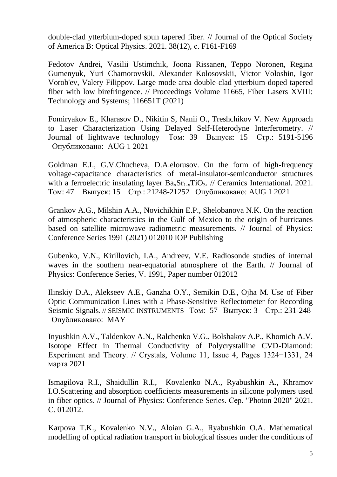[double-clad ytterbium-doped spun tapered fiber.](https://www.scopus.com/record/display.uri?eid=2-s2.0-85120033826&origin=resultslist&sort=plf-f&src=s&st1=Fryazino&sid=66e60ce894a3d791c60f7f6dee05b5b8&sot=b&sdt=b&sl=38&s=AFFILCITY%28Fryazino%29+AND+PUBYEAR+%3e+2020&relpos=1&citeCnt=0&searchTerm=) // [Journal of the Optical Society](https://www.scopus.com/sourceid/12341?origin=resultslist)  [of America B: Optical Physics.](https://www.scopus.com/sourceid/12341?origin=resultslist) 2021. 38(12), с. F161-F169

Fedotov Andrei, Vasilii Ustimchik, Joona Rissanen, Teppo Noronen, Regina Gumenyuk, Yuri Chamorovskii, Alexander Kolosovskii, Victor Voloshin, Igor Vorob'ev, Valery Filippov. Large mode area double-clad ytterbium-doped tapered fiber with low birefringence. // Proceedings Volume 11665, Fiber Lasers XVIII: Technology and Systems; 116651T (2021)

[Fomiryakov E.](http://apps.webofknowledge.com/OutboundService.do?SID=D6GOdDn8jUiRu6e4PII&mode=rrcAuthorRecordService&action=go&product=WOS&lang=ru_RU&daisIds=35358377), [Kharasov D.](http://apps.webofknowledge.com/OutboundService.do?SID=D6GOdDn8jUiRu6e4PII&mode=rrcAuthorRecordService&action=go&product=WOS&lang=ru_RU&daisIds=27366580), [Nikitin S,](http://apps.webofknowledge.com/OutboundService.do?SID=D6GOdDn8jUiRu6e4PII&mode=rrcAuthorRecordService&action=go&product=WOS&lang=ru_RU&daisIds=1730634) [Nanii O.](http://apps.webofknowledge.com/OutboundService.do?SID=D6GOdDn8jUiRu6e4PII&mode=rrcAuthorRecordService&action=go&product=WOS&lang=ru_RU&daisIds=44732278), [Treshchikov V.](http://apps.webofknowledge.com/OutboundService.do?SID=D6GOdDn8jUiRu6e4PII&mode=rrcAuthorRecordService&action=go&product=WOS&lang=ru_RU&daisIds=16722908) [New Approach](http://apps.webofknowledge.com/full_record.do?product=WOS&search_mode=GeneralSearch&qid=8&SID=D6GOdDn8jUiRu6e4PII&page=1&doc=5)  [to Laser Characterization Using Delayed Self-Heterodyne Interferometry.](http://apps.webofknowledge.com/full_record.do?product=WOS&search_mode=GeneralSearch&qid=8&SID=D6GOdDn8jUiRu6e4PII&page=1&doc=5) // [Journal of lightwave technology](javascript:;) Том: 39 Выпуск: 15 Стр.: 5191-5196 Опубликовано: AUG 1 2021

[Goldman](https://www.sciencedirect.com/science/article/pii/S0272884221011731?via%3Dihub#!) E.I., [G.V.Chucheva,](https://www.sciencedirect.com/science/article/pii/S0272884221011731?via%3Dihub#!) [D.A.elorusov.](https://www.sciencedirect.com/science/article/pii/S0272884221011731?via%3Dihub#!) On the form of high-frequency voltage-capacitance characteristics of metal-insulator-semiconductor structures with a ferroelectric insulating layer  $Ba_{x}Sr_{1-x}TiO_{3}$ . // Ceramics International. 2021. Том: 47 Выпуск: 15 Стр.: 21248-21252 Опубликовано: AUG 1 2021

Grankov A.G., Milshin A.A., Novichikhin E.P., Shelobanova N.K. On the reaction of atmospheric characteristics in the Gulf of Mexico to the origin of hurricanes based on satellite microwave radiometric measurements. // Journal of Physics: Conference Series 1991 (2021) 012010 IOP Publishing

Gubenko, V.N., Kirillovich, I.A., Andreev, V.E. Radiosonde studies of internal waves in the southern near-equatorial atmosphere of the Earth. // Journal of Physics: Conference Series, V. 1991, Paper number 012012

[Ilinskiy](http://apps.webofknowledge.com/OneClickSearch.do?product=WOS&search_mode=OneClickSearch&excludeEventConfig=ExcludeIfFromFullRecPage&colName=WOS&SID=C6haDmBDMgLcON3gg61&field=AU&value=Ilinskiy,%20DA) D.A., [Alekseev](http://apps.webofknowledge.com/OneClickSearch.do?product=WOS&search_mode=OneClickSearch&excludeEventConfig=ExcludeIfFromFullRecPage&colName=WOS&SID=C6haDmBDMgLcON3gg61&field=AU&value=Alekseev,%20AE) A.E., [Ganzha](http://apps.webofknowledge.com/OneClickSearch.do?product=WOS&search_mode=OneClickSearch&excludeEventConfig=ExcludeIfFromFullRecPage&colName=WOS&SID=C6haDmBDMgLcON3gg61&field=AU&value=Ganzha,%20OY) O.Y., [Semikin](http://apps.webofknowledge.com/OneClickSearch.do?product=WOS&search_mode=OneClickSearch&excludeEventConfig=ExcludeIfFromFullRecPage&colName=WOS&SID=C6haDmBDMgLcON3gg61&field=AU&value=Semikin,%20DE) D.E., [Ojha](http://apps.webofknowledge.com/OneClickSearch.do?product=WOS&search_mode=OneClickSearch&excludeEventConfig=ExcludeIfFromFullRecPage&colName=WOS&SID=C6haDmBDMgLcON3gg61&field=AU&value=Ojha,%20M) M. [Use of Fiber](http://apps.webofknowledge.com/full_record.do?product=WOS&search_mode=GeneralSearch&qid=1&SID=C6haDmBDMgLcON3gg61&page=1&doc=4)  [Optic Communication Lines with a Phase-Sensitive Reflectometer for Recording](http://apps.webofknowledge.com/full_record.do?product=WOS&search_mode=GeneralSearch&qid=1&SID=C6haDmBDMgLcON3gg61&page=1&doc=4)  [Seismic Signals](http://apps.webofknowledge.com/full_record.do?product=WOS&search_mode=GeneralSearch&qid=1&SID=C6haDmBDMgLcON3gg61&page=1&doc=4). // SEISMIC INSTRUMENTS Том: 57 Выпуск: 3 Стр.: 231-248 Опубликовано: MAY

Inyushkin A.V., Taldenkov A.N., Ralchenko V.G., Bolshakov A.P., Khomich A.V. Isotope Effect in Thermal Conductivity of Polycrystalline CVD-Diamond: Experiment and Theory. // Crystals, Volume 11, Issue 4, Pages 1324−1331, 24 марта 2021

Ismagilova R.I., Shaidullin R.I., Kovalenko N.A., Ryabushkin A., Khramov I.O[.Scattering and absorption coefficients measurements in silicone polymers used](https://www.elibrary.ru/item.asp?id=46840479)  [in fiber optics.](https://www.elibrary.ru/item.asp?id=46840479) // Journal of Physics: Conference Series. Сер. "Photon 2020" 2021. С. 012012.

Karpova T.K., Kovalenko N.V., Aloian G.A., Ryabushkin O.A. Mathematical modelling of optical radiation transport in biological tissues under the conditions of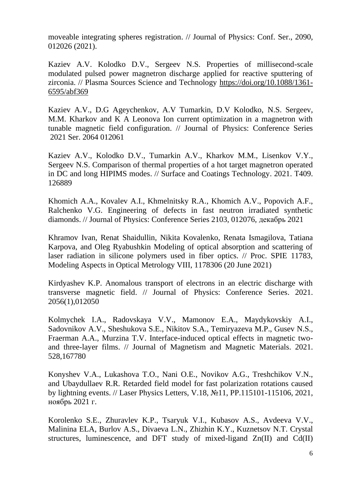moveable integrating spheres registration. // Journal of Physics: Conf. Ser., 2090, 012026 (2021).

Kaziev A.V. Kolodko D.V., Sergeev N.S. Properties of millisecond-scale modulated pulsed power magnetron discharge applied for reactive sputtering of zirconia. // Plasma Sources Science and Technology [https://doi.org/10.1088/1361-](https://doi.org/10.1088/1361-6595/abf369) [6595/abf369](https://doi.org/10.1088/1361-6595/abf369) 

Kaziev A.V., D.G Ageychenkov, A.V Tumarkin, D.V Kolodko, N.S. Sergeev, M.M. Kharkov and K A Leonova Ion current optimization in a magnetron with tunable magnetic field configuration. // Journal of Physics: Conference Series 2021 Ser. 2064 012061

[Kaziev A.V.,](https://www.scopus.com/authid/detail.uri?authorId=35810493900&eid=2-s2.0-85100019237) [Kolodko D.V.,](https://www.scopus.com/authid/detail.uri?authorId=56404590000&eid=2-s2.0-85100019237) [Tumarkin A.V.,](https://www.scopus.com/authid/detail.uri?authorId=56845159900&eid=2-s2.0-85100019237) [Kharkov M.M.,](https://www.scopus.com/authid/detail.uri?authorId=57024229900&eid=2-s2.0-85100019237) [Lisenkov V.Y.,](https://www.scopus.com/authid/detail.uri?authorId=57221751518&eid=2-s2.0-85100019237) [Sergeev N.S.](https://www.scopus.com/authid/detail.uri?authorId=57204199185&eid=2-s2.0-85100019237) [Comparison of thermal properties of](https://www.scopus.com/record/display.uri?eid=2-s2.0-85100019237&origin=resultslist&sort=plf-f&src=s&st1=&st2=&sid=2544c73c2bb5b0c563fdd1be69afd5b3&sot=b&sdt=b&sl=20&s=AFFILCITY+%28Fryazino%29&relpos=1&citeCnt=0&searchTerm=) a hot target magnetron operated [in DC and long HIPIMS modes.](https://www.scopus.com/record/display.uri?eid=2-s2.0-85100019237&origin=resultslist&sort=plf-f&src=s&st1=&st2=&sid=2544c73c2bb5b0c563fdd1be69afd5b3&sot=b&sdt=b&sl=20&s=AFFILCITY+%28Fryazino%29&relpos=1&citeCnt=0&searchTerm=) // [Surface and Coatings Technology.](https://www.scopus.com/sourceid/24537?origin=resultslist) 2021. Т409. 126889

Khomich A.A., Kovalev A.I., Khmelnitsky R.A., Khomich A.V., Popovich A.F., Ralchenko V.G. Engineering of defects in fast neutron irradiated synthetic diamonds. // Journal of Physics: Conference Series 2103, 012076, декабрь 2021

Khramov Ivan, Renat Shaidullin, Nikita Kovalenko, Renata Ismagilova, Tatiana Karpova, and Oleg Ryabushkin Modeling of optical absorption and scattering of laser radiation in silicone polymers used in fiber optics. // Proc. SPIE 11783, Modeling Aspects in Optical Metrology VIII, 1178306 (20 June 2021)

[Kirdyashev K.P.](https://www.scopus.com/authid/detail.uri?origin=resultslist&authorId=56619869900&zone=) [Anomalous transport of electrons in an electric discharge with](https://www.scopus.com/record/display.uri?eid=2-s2.0-85119486664&origin=resultslist&sort=plf-f&src=s&st1=Fryazino&sid=66e60ce894a3d791c60f7f6dee05b5b8&sot=b&sdt=b&sl=38&s=AFFILCITY%28Fryazino%29+AND+PUBYEAR+%3e+2020&relpos=6&citeCnt=0&searchTerm=)  [transverse magnetic field.](https://www.scopus.com/record/display.uri?eid=2-s2.0-85119486664&origin=resultslist&sort=plf-f&src=s&st1=Fryazino&sid=66e60ce894a3d791c60f7f6dee05b5b8&sot=b&sdt=b&sl=38&s=AFFILCITY%28Fryazino%29+AND+PUBYEAR+%3e+2020&relpos=6&citeCnt=0&searchTerm=) // [Journal of Physics: Conference Series.](https://www.scopus.com/sourceid/130053?origin=resultslist) 2021. 2056(1),012050

[Kolmychek](https://www.scopus.com/authid/detail.uri?authorId=16239375600&eid=2-s2.0-85100799084) I.A., [Radovskaya](https://www.scopus.com/authid/detail.uri?authorId=57212477641&eid=2-s2.0-85100799084) V.V., [Mamonov](https://www.scopus.com/authid/detail.uri?authorId=50661541500&eid=2-s2.0-85100799084) E.A., [Maydykovskiy](https://www.scopus.com/authid/detail.uri?authorId=23005205200&eid=2-s2.0-85100799084) A.I., [Sadovnikov](https://www.scopus.com/authid/detail.uri?authorId=36683238600&eid=2-s2.0-85100799084) A.V., [Sheshukova](https://www.scopus.com/authid/detail.uri?authorId=36728405400&eid=2-s2.0-85100799084) S.E., [Nikitov](https://www.scopus.com/authid/detail.uri?authorId=7004556902&eid=2-s2.0-85100799084) S.A., [Temiryazeva](https://www.scopus.com/authid/detail.uri?authorId=18438639000&eid=2-s2.0-85100799084) M.P., [Gusev](https://www.scopus.com/authid/detail.uri?authorId=56688261600&eid=2-s2.0-85100799084) N.S., [Fraerman](https://www.scopus.com/authid/detail.uri?authorId=7003552075&eid=2-s2.0-85100799084) A.A., [Murzina](https://www.scopus.com/authid/detail.uri?authorId=7003855567&eid=2-s2.0-85100799084) T.V. [Interface-induced optical effects in magnetic two](https://www.scopus.com/record/display.uri?eid=2-s2.0-85100799084&origin=resultslist&sort=plf-f&src=s&st1=&st2=&sid=7585d8053800349a74d65a63ade5d74f&sot=b&sdt=b&sl=39&s=AFFILCITY+%28Fryazino%29+AND+PUBYEAR+%3e+2020&relpos=0&citeCnt=0&searchTerm=)[and three-layer films.](https://www.scopus.com/record/display.uri?eid=2-s2.0-85100799084&origin=resultslist&sort=plf-f&src=s&st1=&st2=&sid=7585d8053800349a74d65a63ade5d74f&sot=b&sdt=b&sl=39&s=AFFILCITY+%28Fryazino%29+AND+PUBYEAR+%3e+2020&relpos=0&citeCnt=0&searchTerm=) // [Journal of Magnetism and Magnetic Materials.](https://www.scopus.com/sourceid/28526?origin=resultslist) 2021. 528,167780

Konyshev V.A., Lukashova T.O., Nani O.E., Novikov A.G., Treshchikov V.N., and Ubaydullaev R.R. Retarded field model for fast polarization rotations caused by lightning events. // Laser Physics Letters, V.18, №11, PP.115101-115106, 2021, ноябрь 2021 г.

[Korolenko](http://apps.webofknowledge.com/OneClickSearch.do?product=WOS&search_mode=OneClickSearch&excludeEventConfig=ExcludeIfFromFullRecPage&colName=WOS&SID=F66RA6jkzu49OThcH8H&field=AU&value=Korolenko,%20SE) S.E., [Zhuravlev](http://apps.webofknowledge.com/OneClickSearch.do?product=WOS&search_mode=OneClickSearch&excludeEventConfig=ExcludeIfFromFullRecPage&colName=WOS&SID=F66RA6jkzu49OThcH8H&field=AU&value=Zhuravlev,%20KP) K.P., [Tsaryuk](http://apps.webofknowledge.com/OneClickSearch.do?product=WOS&search_mode=OneClickSearch&excludeEventConfig=ExcludeIfFromFullRecPage&colName=WOS&SID=F66RA6jkzu49OThcH8H&field=AU&value=Tsaryuk,%20VI) V.I., [Kubasov](http://apps.webofknowledge.com/OneClickSearch.do?product=WOS&search_mode=OneClickSearch&excludeEventConfig=ExcludeIfFromFullRecPage&colName=WOS&SID=F66RA6jkzu49OThcH8H&field=AU&value=Kubasov,%20AS) A.S., [Avdeeva](http://apps.webofknowledge.com/OneClickSearch.do?product=WOS&search_mode=OneClickSearch&excludeEventConfig=ExcludeIfFromFullRecPage&colName=WOS&SID=F66RA6jkzu49OThcH8H&field=AU&value=Avdeeva,%20VV) V.V., [Malinina](http://apps.webofknowledge.com/OneClickSearch.do?product=WOS&search_mode=OneClickSearch&excludeEventConfig=ExcludeIfFromFullRecPage&colName=WOS&SID=F66RA6jkzu49OThcH8H&field=AU&value=Malinina,%20ELA) ELA, [Burlov](http://apps.webofknowledge.com/OneClickSearch.do?product=WOS&search_mode=OneClickSearch&excludeEventConfig=ExcludeIfFromFullRecPage&colName=WOS&SID=F66RA6jkzu49OThcH8H&field=AU&value=Burlov,%20AS) A.S., [Divaeva](http://apps.webofknowledge.com/OneClickSearch.do?product=WOS&search_mode=OneClickSearch&excludeEventConfig=ExcludeIfFromFullRecPage&colName=WOS&SID=F66RA6jkzu49OThcH8H&field=AU&value=Divaeva,%20LN) L.N., [Zhizhin](http://apps.webofknowledge.com/OneClickSearch.do?product=WOS&search_mode=OneClickSearch&excludeEventConfig=ExcludeIfFromFullRecPage&colName=WOS&SID=F66RA6jkzu49OThcH8H&field=AU&value=Zhizhin,%20KY) K.Y., [Kuznetsov](http://apps.webofknowledge.com/OneClickSearch.do?product=WOS&search_mode=OneClickSearch&excludeEventConfig=ExcludeIfFromFullRecPage&colName=WOS&SID=F66RA6jkzu49OThcH8H&field=AU&value=Kuznetsov,%20NT) N.T. [Crystal](http://apps.webofknowledge.com/full_record.do?product=WOS&search_mode=GeneralSearch&qid=1&SID=F66RA6jkzu49OThcH8H&page=1&doc=1)  [structures, luminescence, and DFT study of mixed-ligand Zn\(II\) and Cd\(II\)](http://apps.webofknowledge.com/full_record.do?product=WOS&search_mode=GeneralSearch&qid=1&SID=F66RA6jkzu49OThcH8H&page=1&doc=1)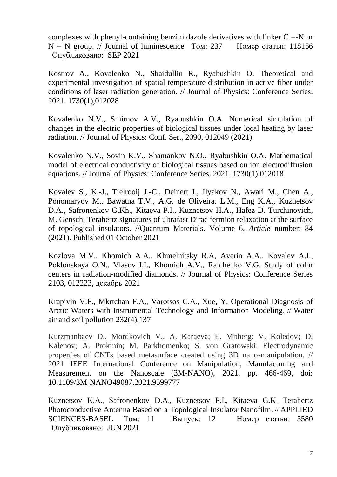complexes with phenyl-containing benzimidazole derivatives with linker  $C = -N$  or  $N = N$  group. // [Journal of luminescence](javascript:;) Том: 237 Номер статьи: 118156 Опубликовано: SEP 2021

[Kostrov A.,](https://www.scopus.com/authid/detail.uri?origin=resultslist&authorId=57211293257&zone=) [Kovalenko N.,](https://www.scopus.com/authid/detail.uri?origin=resultslist&authorId=57202097296&zone=) [Shaidullin R.,](https://www.scopus.com/authid/detail.uri?origin=resultslist&authorId=36698409000&zone=) [Ryabushkin O.](https://www.scopus.com/authid/detail.uri?origin=resultslist&authorId=6604035918&zone=) [Theoretical and](https://www.scopus.com/record/display.uri?eid=2-s2.0-85101531613&origin=resultslist&sort=plf-f&src=s&st1=&st2=&sid=93f2073d78777d0b1f4ecfd220e07b12&sot=b&sdt=b&sl=38&s=AFFILCITY%28Fryazino%29+AND+PUBYEAR+%3e+2020&relpos=7&citeCnt=0&searchTerm=)  [experimental investigation of spatial temperature distribution in active fiber under](https://www.scopus.com/record/display.uri?eid=2-s2.0-85101531613&origin=resultslist&sort=plf-f&src=s&st1=&st2=&sid=93f2073d78777d0b1f4ecfd220e07b12&sot=b&sdt=b&sl=38&s=AFFILCITY%28Fryazino%29+AND+PUBYEAR+%3e+2020&relpos=7&citeCnt=0&searchTerm=)  [conditions of laser radiation generation.](https://www.scopus.com/record/display.uri?eid=2-s2.0-85101531613&origin=resultslist&sort=plf-f&src=s&st1=&st2=&sid=93f2073d78777d0b1f4ecfd220e07b12&sot=b&sdt=b&sl=38&s=AFFILCITY%28Fryazino%29+AND+PUBYEAR+%3e+2020&relpos=7&citeCnt=0&searchTerm=) // [Journal of Physics: Conference Series.](https://www.scopus.com/sourceid/130053?origin=resultslist) 2021. 1730(1),012028

Kovalenko N.V., Smirnov A.V., Ryabushkin O.A. Numerical simulation of changes in the electric properties of biological tissues under local heating by laser radiation. // Journal of Physics: Conf. Ser., 2090, 012049 (2021).

[Kovalenko](https://www.scopus.com/authid/detail.uri?origin=resultslist&authorId=57202097296&zone=) N.V., [Sovin](https://www.scopus.com/authid/detail.uri?origin=resultslist&authorId=57222127729&zone=) K.V., [Shamankov](https://www.scopus.com/authid/detail.uri?origin=resultslist&authorId=57222119570&zone=) N.O., [Ryabushkin](https://www.scopus.com/authid/detail.uri?origin=resultslist&authorId=6604035918&zone=) O.A. [Mathematical](https://www.scopus.com/record/display.uri?eid=2-s2.0-85101496992&origin=resultslist&sort=plf-f&src=s&st1=&st2=&sid=93f2073d78777d0b1f4ecfd220e07b12&sot=b&sdt=b&sl=38&s=AFFILCITY%28Fryazino%29+AND+PUBYEAR+%3e+2020&relpos=9&citeCnt=0&searchTerm=)  [model of electrical conductivity of biological tissues based on ion electrodiffusion](https://www.scopus.com/record/display.uri?eid=2-s2.0-85101496992&origin=resultslist&sort=plf-f&src=s&st1=&st2=&sid=93f2073d78777d0b1f4ecfd220e07b12&sot=b&sdt=b&sl=38&s=AFFILCITY%28Fryazino%29+AND+PUBYEAR+%3e+2020&relpos=9&citeCnt=0&searchTerm=)  [equations.](https://www.scopus.com/record/display.uri?eid=2-s2.0-85101496992&origin=resultslist&sort=plf-f&src=s&st1=&st2=&sid=93f2073d78777d0b1f4ecfd220e07b12&sot=b&sdt=b&sl=38&s=AFFILCITY%28Fryazino%29+AND+PUBYEAR+%3e+2020&relpos=9&citeCnt=0&searchTerm=) // [Journal of Physics: Conference Series.](https://www.scopus.com/sourceid/130053?origin=resultslist) 2021. 1730(1),012018

Kovalev S., K.-J., Tielrooij J.-C., Deinert I., Ilyakov N., Awari M., Chen A., Ponomaryov M., Bawatna T.V., A.G. de Oliveira, L.M., Eng K.A., Kuznetsov D.A., Safronenkov G.Kh., Kitaeva P.I., Kuznetsov H.A., Hafez D. Turchinovich, M. Gensch. Terahertz signatures of ultrafast Dirac fermion relaxation at the surface of topological insulators. //Quantum Materials. Volume 6, *Article* number: 84 (2021). Published 01 October 2021

Kozlova M.V., Khomich A.A., Khmelnitsky R.A, Averin A.A., Kovalev A.I., Poklonskaya O.N., Vlasov I.I., Khomich A.V., Ralchenko V.G. Study of color centers in radiation-modified diamonds. // Journal of Physics: Conference Series 2103, 012223, декабрь 2021

[Krapivin V.F.](https://www.scopus.com/authid/detail.uri?origin=resultslist&authorId=6603854907&zone=), [Mkrtchan F.A.](https://www.scopus.com/authid/detail.uri?origin=resultslist&authorId=57222726482&zone=), [Varotsos C.A.](https://www.scopus.com/authid/detail.uri?origin=resultslist&authorId=7005233189&zone=), [Xue, Y.](https://www.scopus.com/authid/detail.uri?origin=resultslist&authorId=57215206904&zone=) [Operational Diagnosis of](https://www.scopus.com/record/display.uri?eid=2-s2.0-85103859470&origin=resultslist&sort=plf-f&src=s&sid=b7e4db41101037a99734da9492b0f123&sot=b&sdt=b&sl=38&s=AFFILCITY%28Fryazino%29+AND+PUBYEAR+%3e+2020&relpos=4&citeCnt=0&searchTerm=)  [Arctic Waters with Instrumental Technology and Information Modeling](https://www.scopus.com/record/display.uri?eid=2-s2.0-85103859470&origin=resultslist&sort=plf-f&src=s&sid=b7e4db41101037a99734da9492b0f123&sot=b&sdt=b&sl=38&s=AFFILCITY%28Fryazino%29+AND+PUBYEAR+%3e+2020&relpos=4&citeCnt=0&searchTerm=). // Water air and soil pollution 232(4),137

Kurzmanbaev D., Mordkovich V., A. Karaeva; E. Mitberg; V. Koledov**;** D. Kalenov; A. Prokinin; M. Parkhomenko; S. von Gratowski. Electrodynamic properties of CNTs based metasurface created using 3D nano-manipulation. // 2021 IEEE International Conference on Manipulation, Manufacturing and Measurement on the Nanoscale (3M-NANO), 2021, pp. 466-469, doi: 10.1109/3M-NANO49087.2021.9599777

[Kuznetsov](http://apps.webofknowledge.com/OutboundService.do?SID=E5XHHUmMvTeIC8TW722&mode=rrcAuthorRecordService&action=go&product=WOS&lang=ru_RU&daisIds=40086441) K.A., [Safronenkov](http://apps.webofknowledge.com/OutboundService.do?SID=E5XHHUmMvTeIC8TW722&mode=rrcAuthorRecordService&action=go&product=WOS&lang=ru_RU&daisIds=27991304) D.A., [Kuznetsov](http://apps.webofknowledge.com/OutboundService.do?SID=E5XHHUmMvTeIC8TW722&mode=rrcAuthorRecordService&action=go&product=WOS&lang=ru_RU&daisIds=34723549) P.I., [Kitaeva](http://apps.webofknowledge.com/OutboundService.do?SID=E5XHHUmMvTeIC8TW722&mode=rrcAuthorRecordService&action=go&product=WOS&lang=ru_RU&daisIds=31058204) G.K. [Terahertz](http://apps.webofknowledge.com/full_record.do?product=WOS&search_mode=GeneralSearch&qid=1&SID=E5XHHUmMvTeIC8TW722&page=3&doc=24)  [Photoconductive Antenna Based on a Topological Insulator Nanofilm](http://apps.webofknowledge.com/full_record.do?product=WOS&search_mode=GeneralSearch&qid=1&SID=E5XHHUmMvTeIC8TW722&page=3&doc=24). // [APPLIED](javascript:;)  [SCIENCES-BASEL](javascript:;) Том: 11 Выпуск: 12 Номер статьи: 5580 Опубликовано: JUN 2021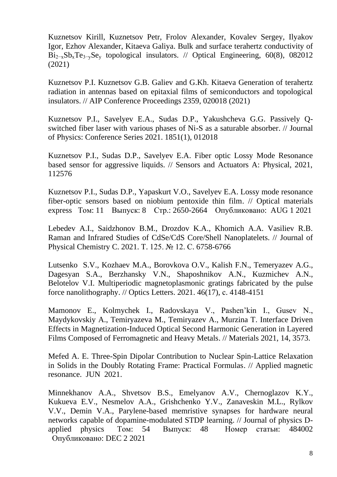Kuznetsov Kirill, Kuznetsov Petr, Frolov Alexander, Kovalev Sergey, Ilyakov Igor, Ezhov Alexander, Kitaeva Galiya. Bulk and surface terahertz conductivity of  $Bi_{2-x}Sb_xTe_{3-y}Se_y$  topological insulators. // [Optical Engineering, 60\(8\),](https://www.spiedigitallibrary.org/journals/optical-engineering/volume-60/issue-8) 082012 (2021)

[Kuznetsov](https://aip.scitation.org/author/Kuznetsov%2C+K+A) [P.I. Kuznetsov](https://aip.scitation.org/author/Kuznetsov%2C+P+I) [G.B. Galiev](https://aip.scitation.org/author/Galiev%2C+G+B) and [G.Kh. Kitaeva](https://aip.scitation.org/author/Kitaeva%2C+G+Kh) Generation of terahertz radiation in antennas based on epitaxial films of semiconductors and topological insulators. // AIP Conference Proceedings 2359, 020018 (2021)

[Kuznetsov](https://www.scopus.com/authid/detail.uri?origin=resultslist&authorId=7101997255&zone=) P.I., [Savelyev](https://www.scopus.com/authid/detail.uri?origin=resultslist&authorId=57208721512&zone=) E.A., [Sudas](https://www.scopus.com/authid/detail.uri?origin=resultslist&authorId=57207793434&zone=) D.P., [Yakushcheva](https://www.scopus.com/authid/detail.uri?origin=resultslist&authorId=6602589420&zone=) G.G. [Passively Q](https://www.scopus.com/record/display.uri?eid=2-s2.0-85104648492&origin=resultslist&sort=plf-f&src=s&sid=ad575a189a7a574d6960481d37c6b936&sot=b&sdt=b&sl=38&s=AFFILCITY%28Fryazino%29+AND+PUBYEAR+%3e+2020&relpos=10&citeCnt=0&searchTerm=)[switched fiber laser with various phases of Ni-S as a saturable absorber.](https://www.scopus.com/record/display.uri?eid=2-s2.0-85104648492&origin=resultslist&sort=plf-f&src=s&sid=ad575a189a7a574d6960481d37c6b936&sot=b&sdt=b&sl=38&s=AFFILCITY%28Fryazino%29+AND+PUBYEAR+%3e+2020&relpos=10&citeCnt=0&searchTerm=) // [Journal](https://www.scopus.com/sourceid/130053?origin=resultslist)  [of Physics: Conference Series](https://www.scopus.com/sourceid/130053?origin=resultslist) 2021. 1851(1), 012018

Kuznetsov P.I., Sudas D.P., Savelyev E.A. Fiber optic Lossy Mode Resonance based sensor for aggressive liquids. // Sensors and Actuators A: Physical, 2021, 112576

[Kuznetsov P.I.](http://apps.webofknowledge.com/OutboundService.do?SID=F5z8CIzL2j5vVqIGBta&mode=rrcAuthorRecordService&action=go&product=WOS&lang=ru_RU&daisIds=438050), [Sudas D.P.](http://apps.webofknowledge.com/OutboundService.do?SID=F5z8CIzL2j5vVqIGBta&mode=rrcAuthorRecordService&action=go&product=WOS&lang=ru_RU&daisIds=32360020), [Yapaskurt V.O.](http://apps.webofknowledge.com/OutboundService.do?SID=F5z8CIzL2j5vVqIGBta&mode=rrcAuthorRecordService&action=go&product=WOS&lang=ru_RU&daisIds=6001438), [Savelyev E.A.](http://apps.webofknowledge.com/OutboundService.do?SID=F5z8CIzL2j5vVqIGBta&mode=rrcAuthorRecordService&action=go&product=WOS&lang=ru_RU&daisIds=44572877) [Lossy mode resonance](http://apps.webofknowledge.com/full_record.do?product=WOS&search_mode=GeneralSearch&qid=1&SID=F5z8CIzL2j5vVqIGBta&page=1&doc=7)  [fiber-optic sensors based on niobium pentoxide thin film.](http://apps.webofknowledge.com/full_record.do?product=WOS&search_mode=GeneralSearch&qid=1&SID=F5z8CIzL2j5vVqIGBta&page=1&doc=7) // [Optical materials](javascript:;) [express](javascript:;) Том: 11 Выпуск: 8 Стр.: 2650-2664 Опубликовано: AUG 1 2021

Lebedev A.I., Saidzhonov B.M., Drozdov K.A., Khomich A.A. Vasiliev R.B. Raman and Infrared Studies of CdSe/CdS Core/Shell Nanoplatelets. // [Journal of](https://www.elibrary.ru/title_about.asp?id=28230)  [Physical Chemistry C.](https://www.elibrary.ru/title_about.asp?id=28230) 2021. Т. 125. № 12. С. 6758-6766

[Lutsenko S.V.,](https://www.scopus.com/authid/detail.uri?origin=resultslist&authorId=57224583442&zone=) [Kozhaev](https://www.scopus.com/authid/detail.uri?origin=resultslist&authorId=55882077300&zone=) M.A., [Borovkova](https://www.scopus.com/authid/detail.uri?origin=resultslist&authorId=8360407300&zone=) O.V., Kalish F.N., Temeryazev A.G., Dagesyan S.A., Berzhansky V.N., Shaposhnikov A.N., [Kuzmichev](https://www.scopus.com/authid/detail.uri?origin=resultslist&authorId=57193410693&zone=) A.N., [Belotelov](https://www.scopus.com/authid/detail.uri?origin=resultslist&authorId=6602192880&zone=) V.I. [Multiperiodic magnetoplasmonic gratings fabricated by the pulse](https://www.scopus.com/record/display.uri?eid=2-s2.0-85113276660&origin=resultslist&sort=plf-f&src=s&sid=87534a2e3b982da90c810430f239a303&sot=b&sdt=b&sl=38&s=AFFILCITY%28Fryazino%29+AND+PUBYEAR+%3e+2020&relpos=3&citeCnt=0&searchTerm=)  [force nanolithography.](https://www.scopus.com/record/display.uri?eid=2-s2.0-85113276660&origin=resultslist&sort=plf-f&src=s&sid=87534a2e3b982da90c810430f239a303&sot=b&sdt=b&sl=38&s=AFFILCITY%28Fryazino%29+AND+PUBYEAR+%3e+2020&relpos=3&citeCnt=0&searchTerm=) // [Optics Letters.](https://www.scopus.com/sourceid/12863?origin=resultslist) 2021. 46(17), с. 4148-4151

Mamonov E., Kolmychek I., Radovskaya V., Pashen'kin I., Gusev N., Maydykovskiy A., Temiryazeva M., Temiryazev A., Murzina T. Interface Driven Effects in Magnetization-Induced Optical Second Harmonic Generation in Layered Films Composed of Ferromagnetic and Heavy Metals. // Materials 2021, 14, 3573.

[Mefed A. E.](http://apps.webofknowledge.com/OneClickSearch.do?product=WOS&search_mode=OneClickSearch&excludeEventConfig=ExcludeIfFromFullRecPage&colName=WOS&SID=F6t6551zm1nWBVUZ7YR&field=AU&value=Mefed,%20A.%20E.) [Three-Spin Dipolar Contribution to Nuclear Spin-Lattice Relaxation](http://apps.webofknowledge.com/full_record.do?product=WOS&search_mode=GeneralSearch&qid=1&SID=F6t6551zm1nWBVUZ7YR&page=1&doc=2)  [in Solids in the Doubly Rotating Frame: Practical Formulas.](http://apps.webofknowledge.com/full_record.do?product=WOS&search_mode=GeneralSearch&qid=1&SID=F6t6551zm1nWBVUZ7YR&page=1&doc=2) // [Applied magnetic](javascript:;)  [resonance.](javascript:;) JUN 2021.

[Minnekhanov](http://apps.webofknowledge.com/OneClickSearch.do?product=WOS&search_mode=OneClickSearch&excludeEventConfig=ExcludeIfFromFullRecPage&colName=WOS&SID=E62Fmv6TMBlkzcJ2ahc&field=AU&value=Minnekhanov,%20AA) A.A., [Shvetsov](http://apps.webofknowledge.com/OneClickSearch.do?product=WOS&search_mode=OneClickSearch&excludeEventConfig=ExcludeIfFromFullRecPage&colName=WOS&SID=E62Fmv6TMBlkzcJ2ahc&field=AU&value=Shvetsov,%20BS) B.S., [Emelyanov](http://apps.webofknowledge.com/OneClickSearch.do?product=WOS&search_mode=OneClickSearch&excludeEventConfig=ExcludeIfFromFullRecPage&colName=WOS&SID=E62Fmv6TMBlkzcJ2ahc&field=AU&value=Emelyanov,%20AV) A.V., [Chernoglazov](http://apps.webofknowledge.com/OneClickSearch.do?product=WOS&search_mode=OneClickSearch&excludeEventConfig=ExcludeIfFromFullRecPage&colName=WOS&SID=E62Fmv6TMBlkzcJ2ahc&field=AU&value=Chernoglazov,%20KY) K.Y., [Kukueva](http://apps.webofknowledge.com/OneClickSearch.do?product=WOS&search_mode=OneClickSearch&excludeEventConfig=ExcludeIfFromFullRecPage&colName=WOS&SID=E62Fmv6TMBlkzcJ2ahc&field=AU&value=Kukueva,%20EV) E.V., [Nesmelov](http://apps.webofknowledge.com/OneClickSearch.do?product=WOS&search_mode=OneClickSearch&excludeEventConfig=ExcludeIfFromFullRecPage&colName=WOS&SID=E62Fmv6TMBlkzcJ2ahc&field=AU&value=Nesmelov,%20AA) A.A., [Grishchenko](http://apps.webofknowledge.com/OneClickSearch.do?product=WOS&search_mode=OneClickSearch&excludeEventConfig=ExcludeIfFromFullRecPage&colName=WOS&SID=E62Fmv6TMBlkzcJ2ahc&field=AU&value=Grishchenko,%20YV) Y.V., [Zanaveskin](http://apps.webofknowledge.com/OneClickSearch.do?product=WOS&search_mode=OneClickSearch&excludeEventConfig=ExcludeIfFromFullRecPage&colName=WOS&SID=E62Fmv6TMBlkzcJ2ahc&field=AU&value=Zanaveskin,%20ML) M.L., [Rylkov](http://apps.webofknowledge.com/OneClickSearch.do?product=WOS&search_mode=OneClickSearch&excludeEventConfig=ExcludeIfFromFullRecPage&colName=WOS&SID=E62Fmv6TMBlkzcJ2ahc&field=AU&value=Rylkov,%20VV) [V.V.](http://apps.webofknowledge.com/OneClickSearch.do?product=WOS&search_mode=OneClickSearch&excludeEventConfig=ExcludeIfFromFullRecPage&colName=WOS&SID=E62Fmv6TMBlkzcJ2ahc&field=AU&value=Rylkov,%20VV), [Demin](http://apps.webofknowledge.com/OneClickSearch.do?product=WOS&search_mode=OneClickSearch&excludeEventConfig=ExcludeIfFromFullRecPage&colName=WOS&SID=E62Fmv6TMBlkzcJ2ahc&field=AU&value=Demin,%20VA) V.A., [Parylene-based](http://apps.webofknowledge.com/full_record.do?product=WOS&search_mode=GeneralSearch&qid=1&SID=E62Fmv6TMBlkzcJ2ahc&page=1&doc=1) memristive synapses for hardware neural networks capable of [dopamine-modulated](http://apps.webofknowledge.com/full_record.do?product=WOS&search_mode=GeneralSearch&qid=1&SID=E62Fmv6TMBlkzcJ2ahc&page=1&doc=1) STDP learning. // [Journal of physics D](javascript:;)[applied physics](javascript:;) Том: 54 Выпуск: 48 Номер статьи: 484002 Опубликовано: DEC 2 2021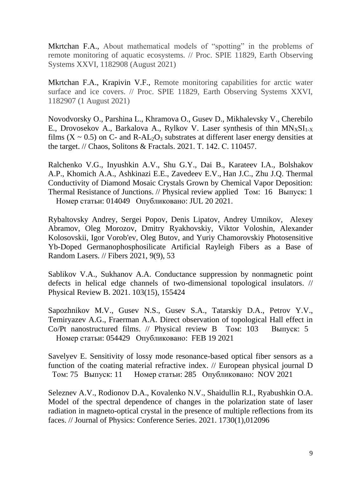[Mkrtchan F.A.,](https://www.scopus.com/authid/detail.uri?origin=resultslist&authorId=57222726482&zone=) About mathematical models of "spotting" in the problems of remote monitoring of aquatic ecosystems. // Proc. SPIE 11829, Earth Observing Systems XXVI, 1182908 (August 2021)

[Mkrtchan F.A.,](https://www.scopus.com/authid/detail.uri?origin=resultslist&authorId=57222726482&zone=) [Krapivin V.F.,](https://www.scopus.com/authid/detail.uri?origin=resultslist&authorId=6603854907&zone=) Remote monitoring capabilities for arctic water surface and ice covers. // Proc. SPIE 11829, Earth Observing Systems XXVI, 1182907 (1 August 2021)

Novodvorsky O., Parshina L., Khramova O., Gusev D., Mikhalevsky V., Cherebilo E., Drovosekov A., Barkalova A., Rylkov V. Laser synthesis of thin  $MN_xSI_{1-x}$ films ( $X \sim 0.5$ ) on C- and R-AL<sub>2</sub>O<sub>3</sub> substrates at different laser energy densities at [the target.](https://elibrary.ru/item.asp?id=45102562) // [Chaos, Solitons & Fractals.](https://elibrary.ru/contents.asp?id=44879333) 2021. Т. 142. С. 110457.

[Ralchenko](http://apps.webofknowledge.com/OutboundService.do?SID=D6GOdDn8jUiRu6e4PII&mode=rrcAuthorRecordService&action=go&product=WOS&lang=ru_RU&daisIds=35355179) V.G., [Inyushkin](http://apps.webofknowledge.com/OutboundService.do?SID=D6GOdDn8jUiRu6e4PII&mode=rrcAuthorRecordService&action=go&product=WOS&lang=ru_RU&daisIds=35256708) A.V., Shu [G.Y.](http://apps.webofknowledge.com/OutboundService.do?SID=D6GOdDn8jUiRu6e4PII&mode=rrcAuthorRecordService&action=go&product=WOS&lang=ru_RU&daisIds=3684275), [Dai](http://apps.webofknowledge.com/OutboundService.do?SID=D6GOdDn8jUiRu6e4PII&mode=rrcAuthorRecordService&action=go&product=WOS&lang=ru_RU&daisIds=18340176) B., [Karateev](http://apps.webofknowledge.com/OutboundService.do?SID=D6GOdDn8jUiRu6e4PII&mode=rrcAuthorRecordService&action=go&product=WOS&lang=ru_RU&daisIds=35345296) I.A., [Bolshakov](http://apps.webofknowledge.com/OutboundService.do?SID=D6GOdDn8jUiRu6e4PII&mode=rrcAuthorRecordService&action=go&product=WOS&lang=ru_RU&daisIds=32329812) [A.P.](http://apps.webofknowledge.com/OutboundService.do?SID=D6GOdDn8jUiRu6e4PII&mode=rrcAuthorRecordService&action=go&product=WOS&lang=ru_RU&daisIds=32329812), [Khomich](http://apps.webofknowledge.com/OutboundService.do?SID=D6GOdDn8jUiRu6e4PII&mode=rrcAuthorRecordService&action=go&product=WOS&lang=ru_RU&daisIds=43716252) A.A., [Ashkinazi](http://apps.webofknowledge.com/OutboundService.do?SID=D6GOdDn8jUiRu6e4PII&mode=rrcAuthorRecordService&action=go&product=WOS&lang=ru_RU&daisIds=1082519) E.E., [Zavedeev](http://apps.webofknowledge.com/OutboundService.do?SID=D6GOdDn8jUiRu6e4PII&mode=rrcAuthorRecordService&action=go&product=WOS&lang=ru_RU&daisIds=44760764) E.V., [Han](http://apps.webofknowledge.com/OutboundService.do?SID=D6GOdDn8jUiRu6e4PII&mode=rrcAuthorRecordService&action=go&product=WOS&lang=ru_RU&daisIds=17636) J.C., [Zhu](http://apps.webofknowledge.com/OutboundService.do?SID=D6GOdDn8jUiRu6e4PII&mode=rrcAuthorRecordService&action=go&product=WOS&lang=ru_RU&daisIds=133059) J.Q. [Thermal](http://apps.webofknowledge.com/full_record.do?product=WOS&search_mode=GeneralSearch&qid=8&SID=D6GOdDn8jUiRu6e4PII&page=1&doc=7)  [Conductivity of Diamond Mosaic Crystals Grown by Chemical Vapor Deposition:](http://apps.webofknowledge.com/full_record.do?product=WOS&search_mode=GeneralSearch&qid=8&SID=D6GOdDn8jUiRu6e4PII&page=1&doc=7)  [Thermal Resistance of Junctions. // Physical review applied Том: 16 Выпуск: 1](http://apps.webofknowledge.com/full_record.do?product=WOS&search_mode=GeneralSearch&qid=8&SID=D6GOdDn8jUiRu6e4PII&page=1&doc=7) Номер [статьи: 014049 Опубликовано: JUL 20 2021.](http://apps.webofknowledge.com/full_record.do?product=WOS&search_mode=GeneralSearch&qid=8&SID=D6GOdDn8jUiRu6e4PII&page=1&doc=7)

Rybaltovsky Andrey, Sergei Popov, Denis Lipatov, Andrey Umnikov, Alexey Abramov, Oleg Morozov, Dmitry Ryakhovskiy, Viktor Voloshin, Alexander Kolosovskii, Igor Vorob'ev, Oleg Butov, and Yuriy Chamorovskiy Photosensitive Yb-Doped Germanophosphosilicate Artificial Rayleigh Fibers as a Base of Random Lasers. // Fibers 2021, 9(9), 53

[Sablikov V.A.,](https://www.scopus.com/authid/detail.uri?origin=resultslist&authorId=7003988442&zone=) [Sukhanov A.A.](https://www.scopus.com/authid/detail.uri?origin=resultslist&authorId=57212816353&zone=) [Conductance suppression by nonmagnetic point](https://www.scopus.com/record/display.uri?eid=2-s2.0-85105521435&origin=resultslist&sort=plf-f&src=s&sid=ad575a189a7a574d6960481d37c6b936&sot=b&sdt=b&sl=38&s=AFFILCITY%28Fryazino%29+AND+PUBYEAR+%3e+2020&relpos=9&citeCnt=0&searchTerm=)  [defects in helical edge channels of two-dimensional topological insulators.](https://www.scopus.com/record/display.uri?eid=2-s2.0-85105521435&origin=resultslist&sort=plf-f&src=s&sid=ad575a189a7a574d6960481d37c6b936&sot=b&sdt=b&sl=38&s=AFFILCITY%28Fryazino%29+AND+PUBYEAR+%3e+2020&relpos=9&citeCnt=0&searchTerm=) // [Physical Review B.](https://www.scopus.com/sourceid/21100874236?origin=resultslist) 2021. 103(15), 155424

[Sapozhnikov M.V.](http://apps.webofknowledge.com/OneClickSearch.do?product=WOS&search_mode=OneClickSearch&excludeEventConfig=ExcludeIfFromFullRecPage&colName=WOS&SID=E5PCU5civ73URxRYB2q&field=AU&value=Sapozhnikov,%20MV), [Gusev](http://apps.webofknowledge.com/OneClickSearch.do?product=WOS&search_mode=OneClickSearch&excludeEventConfig=ExcludeIfFromFullRecPage&colName=WOS&SID=E5PCU5civ73URxRYB2q&field=AU&value=Gusev,%20NS) N.S., [Gusev S.A.](http://apps.webofknowledge.com/OneClickSearch.do?product=WOS&search_mode=OneClickSearch&excludeEventConfig=ExcludeIfFromFullRecPage&colName=WOS&SID=E5PCU5civ73URxRYB2q&field=AU&value=Gusev,%20SA), [Tatarskiy D.A.](http://apps.webofknowledge.com/OneClickSearch.do?product=WOS&search_mode=OneClickSearch&excludeEventConfig=ExcludeIfFromFullRecPage&colName=WOS&SID=E5PCU5civ73URxRYB2q&field=AU&value=Tatarskiy,%20DA), [Petrov Y.V.](http://apps.webofknowledge.com/OneClickSearch.do?product=WOS&search_mode=OneClickSearch&excludeEventConfig=ExcludeIfFromFullRecPage&colName=WOS&SID=E5PCU5civ73URxRYB2q&field=AU&value=Petrov,%20YV), [Temiryazev A.G.](http://apps.webofknowledge.com/OneClickSearch.do?product=WOS&search_mode=OneClickSearch&excludeEventConfig=ExcludeIfFromFullRecPage&colName=WOS&SID=E5PCU5civ73URxRYB2q&field=AU&value=Temiryazev,%20AG), [Fraerman A.A.](http://apps.webofknowledge.com/OneClickSearch.do?product=WOS&search_mode=OneClickSearch&excludeEventConfig=ExcludeIfFromFullRecPage&colName=WOS&SID=E5PCU5civ73URxRYB2q&field=AU&value=Fraerman,%20AA) [Direct observation of topological Hall effect in](http://apps.webofknowledge.com/full_record.do?product=WOS&search_mode=GeneralSearch&qid=1&SID=E5PCU5civ73URxRYB2q&page=1&doc=3)  [Co/Pt nanostructured films. // Physical review B Том: 103 Выпуск: 5](http://apps.webofknowledge.com/full_record.do?product=WOS&search_mode=GeneralSearch&qid=1&SID=E5PCU5civ73URxRYB2q&page=1&doc=3) Номер [статьи: 054429 Опубликовано: FEB 19 2021](http://apps.webofknowledge.com/full_record.do?product=WOS&search_mode=GeneralSearch&qid=1&SID=E5PCU5civ73URxRYB2q&page=1&doc=3) 

[Savelyev E.](http://apps.webofknowledge.com/OutboundService.do?SID=D66pg4wOrrsXnlYY6fV&mode=rrcAuthorRecordService&action=go&product=WOS&lang=ru_RU&daisIds=44572651) [Sensitivity of lossy mode resonance-based optical fiber sensors as a](http://apps.webofknowledge.com/full_record.do?product=WOS&search_mode=GeneralSearch&qid=1&SID=D66pg4wOrrsXnlYY6fV&page=1&doc=6)  [function of the coating material refractive index.](http://apps.webofknowledge.com/full_record.do?product=WOS&search_mode=GeneralSearch&qid=1&SID=D66pg4wOrrsXnlYY6fV&page=1&doc=6) // [European physical journal D](javascript:;)  Том: 75 Выпуск: 11 Номер статьи: 285 Опубликовано: NOV 2021

[Seleznev](https://www.scopus.com/authid/detail.uri?origin=resultslist&authorId=57213521235&zone=) A.V., [Rodionov](https://www.scopus.com/authid/detail.uri?origin=resultslist&authorId=57208446088&zone=) D.A., [Kovalenko](https://www.scopus.com/authid/detail.uri?origin=resultslist&authorId=57202097296&zone=) N.V., [Shaidullin](https://www.scopus.com/authid/detail.uri?origin=resultslist&authorId=36698409000&zone=) R.I., [Ryabushkin](https://www.scopus.com/authid/detail.uri?origin=resultslist&authorId=6604035918&zone=) O.A. [Model of the spectral dependence of changes in the polarization state of laser](https://www.scopus.com/record/display.uri?eid=2-s2.0-85101504944&origin=resultslist&sort=plf-f&src=s&st1=&st2=&sid=93f2073d78777d0b1f4ecfd220e07b12&sot=b&sdt=b&sl=38&s=AFFILCITY%28Fryazino%29+AND+PUBYEAR+%3e+2020&relpos=8&citeCnt=0&searchTerm=)  [radiation in magneto-optical crystal in the presence of multiple reflections from its](https://www.scopus.com/record/display.uri?eid=2-s2.0-85101504944&origin=resultslist&sort=plf-f&src=s&st1=&st2=&sid=93f2073d78777d0b1f4ecfd220e07b12&sot=b&sdt=b&sl=38&s=AFFILCITY%28Fryazino%29+AND+PUBYEAR+%3e+2020&relpos=8&citeCnt=0&searchTerm=)  [faces.](https://www.scopus.com/record/display.uri?eid=2-s2.0-85101504944&origin=resultslist&sort=plf-f&src=s&st1=&st2=&sid=93f2073d78777d0b1f4ecfd220e07b12&sot=b&sdt=b&sl=38&s=AFFILCITY%28Fryazino%29+AND+PUBYEAR+%3e+2020&relpos=8&citeCnt=0&searchTerm=) // [Journal of Physics: Conference Series.](https://www.scopus.com/sourceid/130053?origin=resultslist) 2021. 1730(1),012096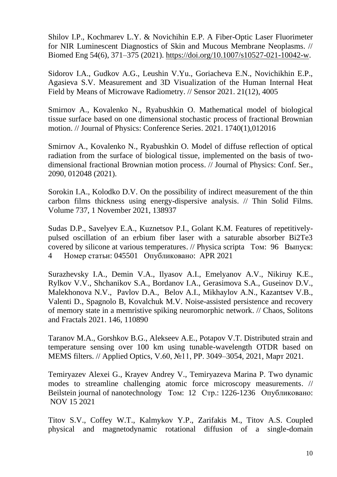Shilov I.P., Kochmarev L.Y. & Novichihin E.P. A Fiber-Optic Laser Fluorimeter for NIR Luminescent Diagnostics of Skin and Mucous Membrane Neoplasms. // Biomed Eng 54(6), 371–375 (2021). [https://doi.org/10.1007/s10527-021-10042-w.](https://doi.org/10.1007/s10527-021-10042-w)

Sidorov I.A., Gudkov A.G., Leushin V.Yu., Goriacheva E.N., Novichikhin E.P., Agasieva S.V. Measurement and 3D Visualization of the Human Internal Heat Field by Means of Microwave Radiometry. // Sensor 2021. 21(12), 4005

[Smirnov A.,](https://www.scopus.com/authid/detail.uri?origin=resultslist&authorId=55574203317&zone=) [Kovalenko N.,](https://www.scopus.com/authid/detail.uri?origin=resultslist&authorId=57202097296&zone=) [Ryabushkin O.](https://www.scopus.com/authid/detail.uri?origin=resultslist&authorId=6604035918&zone=) [Mathematical model of biological](https://www.scopus.com/record/display.uri?eid=2-s2.0-85101773316&origin=resultslist&sort=plf-f&src=s&st1=&st2=&sid=93f2073d78777d0b1f4ecfd220e07b12&sot=b&sdt=b&sl=38&s=AFFILCITY%28Fryazino%29+AND+PUBYEAR+%3e+2020&relpos=12&citeCnt=0&searchTerm=)  [tissue surface based on one dimensional stochastic process of fractional Brownian](https://www.scopus.com/record/display.uri?eid=2-s2.0-85101773316&origin=resultslist&sort=plf-f&src=s&st1=&st2=&sid=93f2073d78777d0b1f4ecfd220e07b12&sot=b&sdt=b&sl=38&s=AFFILCITY%28Fryazino%29+AND+PUBYEAR+%3e+2020&relpos=12&citeCnt=0&searchTerm=)  [motion.](https://www.scopus.com/record/display.uri?eid=2-s2.0-85101773316&origin=resultslist&sort=plf-f&src=s&st1=&st2=&sid=93f2073d78777d0b1f4ecfd220e07b12&sot=b&sdt=b&sl=38&s=AFFILCITY%28Fryazino%29+AND+PUBYEAR+%3e+2020&relpos=12&citeCnt=0&searchTerm=) // [Journal of Physics: Conference Series.](https://www.scopus.com/sourceid/130053?origin=resultslist) 2021. 1740(1),012016

[Smirnov A.,](https://www.scopus.com/authid/detail.uri?origin=resultslist&authorId=55574203317&zone=) [Kovalenko N.,](https://www.scopus.com/authid/detail.uri?origin=resultslist&authorId=57202097296&zone=) [Ryabushkin O.](https://www.scopus.com/authid/detail.uri?origin=resultslist&authorId=6604035918&zone=) Model of diffuse reflection of optical radiation from the surface of biological tissue, implemented on the basis of twodimensional fractional Brownian motion process. // Journal of Physics: Conf. Ser., 2090, 012048 (2021).

Sorokin I.A., Kolodko D.V. On the possibility of indirect measurement of the thin carbon films thickness using energy-dispersive analysis. // Thin Solid Films. Volume 737, 1 November 2021, 138937

[Sudas](http://apps.webofknowledge.com/OneClickSearch.do?product=WOS&search_mode=OneClickSearch&excludeEventConfig=ExcludeIfFromFullRecPage&colName=WOS&SID=F3o298tPkJXIuGOK3oH&field=AU&value=Sudas,%20DP) D.P., [Savelyev](http://apps.webofknowledge.com/OneClickSearch.do?product=WOS&search_mode=OneClickSearch&excludeEventConfig=ExcludeIfFromFullRecPage&colName=WOS&SID=F3o298tPkJXIuGOK3oH&field=AU&value=Savelyev,%20EA) E.A., [Kuznetsov](http://apps.webofknowledge.com/OneClickSearch.do?product=WOS&search_mode=OneClickSearch&excludeEventConfig=ExcludeIfFromFullRecPage&colName=WOS&SID=F3o298tPkJXIuGOK3oH&field=AU&value=Kuznetsov,%20PI) P.I., [Golant](http://apps.webofknowledge.com/OneClickSearch.do?product=WOS&search_mode=OneClickSearch&excludeEventConfig=ExcludeIfFromFullRecPage&colName=WOS&SID=F3o298tPkJXIuGOK3oH&field=AU&value=Golant,%20KM) K.M. [Features of repetitively](http://apps.webofknowledge.com/full_record.do?product=WOS&search_mode=GeneralSearch&qid=9&SID=F3o298tPkJXIuGOK3oH&page=1&doc=1)[pulsed oscillation of an erbium fiber laser with a saturable absorber Bi2Te3](http://apps.webofknowledge.com/full_record.do?product=WOS&search_mode=GeneralSearch&qid=9&SID=F3o298tPkJXIuGOK3oH&page=1&doc=1)  [covered by silicone at various temperatures.](http://apps.webofknowledge.com/full_record.do?product=WOS&search_mode=GeneralSearch&qid=9&SID=F3o298tPkJXIuGOK3oH&page=1&doc=1) // [Physica scripta](javascript:;) Том: 96 Выпуск: 4 Номер статьи: 045501 Опубликовано: APR 2021

[Surazhevsky I.A.,](https://www.scopus.com/authid/detail.uri?authorId=57215653095&eid=2-s2.0-85103380439) [Demin V.A.,](https://www.scopus.com/authid/detail.uri?authorId=57197652454&eid=2-s2.0-85103380439) [Ilyasov A.I.,](https://www.scopus.com/authid/detail.uri?authorId=57222596865&eid=2-s2.0-85103380439) [Emelyanov A.V.,](https://www.scopus.com/authid/detail.uri?authorId=55091778600&eid=2-s2.0-85103380439) [Nikiruy K.E.,](https://www.scopus.com/authid/detail.uri?authorId=57201673803&eid=2-s2.0-85103380439) [Rylkov V.V.,](https://www.scopus.com/authid/detail.uri?authorId=57191295438&eid=2-s2.0-85103380439) [Shchanikov S.A.,](https://www.scopus.com/authid/detail.uri?authorId=56440216400&eid=2-s2.0-85103380439) [Bordanov I.A.,](https://www.scopus.com/authid/detail.uri?authorId=57210341196&eid=2-s2.0-85103380439) [Gerasimova S.A.,](https://www.scopus.com/authid/detail.uri?authorId=56779844300&eid=2-s2.0-85103380439) [Guseinov D.V.,](https://www.scopus.com/authid/detail.uri?authorId=8929042600&eid=2-s2.0-85103380439) [Malekhonova N.V.,](https://www.scopus.com/authid/detail.uri?authorId=55516630100&eid=2-s2.0-85103380439) [Pavlov D.A.,](https://www.scopus.com/authid/detail.uri?authorId=57222605993&eid=2-s2.0-85103380439) [Belov A.I.,](https://www.scopus.com/authid/detail.uri?authorId=7202832059&eid=2-s2.0-85103380439) [Mikhaylov A.N.,](https://www.scopus.com/authid/detail.uri?authorId=6701888444&eid=2-s2.0-85103380439) [Kazantsev V.B.,](https://www.scopus.com/authid/detail.uri?authorId=7005605401&eid=2-s2.0-85103380439) [Valenti D.,](https://www.scopus.com/authid/detail.uri?authorId=7006315835&eid=2-s2.0-85103380439) [Spagnolo B,](https://www.scopus.com/authid/detail.uri?authorId=7003559874&eid=2-s2.0-85103380439) [Kovalchuk M.V.](https://www.scopus.com/authid/detail.uri?authorId=57205017354&eid=2-s2.0-85103380439) [Noise-assisted persistence and recovery](https://www.scopus.com/record/display.uri?eid=2-s2.0-85103380439&origin=resultslist&sort=plf-f&src=s&sid=f1b29e86eb34283aad9926595b2aa3c6&sot=b&sdt=b&sl=38&s=AFFILCITY%28Fryazino%29+AND+PUBYEAR+%3e+2020&relpos=3&citeCnt=0&searchTerm=)  [of memory state in a memristive spiking neuromorphic network.](https://www.scopus.com/record/display.uri?eid=2-s2.0-85103380439&origin=resultslist&sort=plf-f&src=s&sid=f1b29e86eb34283aad9926595b2aa3c6&sot=b&sdt=b&sl=38&s=AFFILCITY%28Fryazino%29+AND+PUBYEAR+%3e+2020&relpos=3&citeCnt=0&searchTerm=) // [Chaos, Solitons](https://www.scopus.com/sourceid/25347?origin=resultslist)  [and Fractals](https://www.scopus.com/sourceid/25347?origin=resultslist) 2021. 146, 110890

Taranov M.A., Gorshkov B.G., Alekseev A.E., Potapov V.T. Distributed strain and temperature sensing over 100 km using tunable-wavelength OTDR based on MEMS filters. // Applied Optics, V.60, №11, PP. 3049–3054, 2021, Март 2021.

[Temiryazev Alexei G.,](http://apps.webofknowledge.com/OneClickSearch.do?product=WOS&search_mode=OneClickSearch&excludeEventConfig=ExcludeIfFromFullRecPage&colName=WOS&SID=E28aLMOciJImTqqoarR&field=AU&value=Temiryazev,%20Alexei%20G.) [Krayev Andrey V.,](http://apps.webofknowledge.com/OneClickSearch.do?product=WOS&search_mode=OneClickSearch&excludeEventConfig=ExcludeIfFromFullRecPage&colName=WOS&SID=E28aLMOciJImTqqoarR&field=AU&value=Krayev,%20Andrey%20V.) [Temiryazeva Marina P.](http://apps.webofknowledge.com/OneClickSearch.do?product=WOS&search_mode=OneClickSearch&excludeEventConfig=ExcludeIfFromFullRecPage&colName=WOS&SID=E28aLMOciJImTqqoarR&field=AU&value=Temiryazeva,%20Marina%20P.) [Two dynamic](http://apps.webofknowledge.com/full_record.do?product=WOS&search_mode=GeneralSearch&qid=1&SID=E28aLMOciJImTqqoarR&page=1&doc=6)  [modes to streamline challenging atomic force microscopy measurements.](http://apps.webofknowledge.com/full_record.do?product=WOS&search_mode=GeneralSearch&qid=1&SID=E28aLMOciJImTqqoarR&page=1&doc=6) // [Beilstein journal of nanotechnology](javascript:;) Том: 12 Стр.: 1226-1236 Опубликовано: NOV 15 2021

[Titov S.V.](http://apps.webofknowledge.com/OutboundService.do?SID=F44VRLOjkVSBXOVyGFw&mode=rrcAuthorRecordService&action=go&product=WOS&lang=ru_RU&daisIds=30395303), [Coffey W.T.](http://apps.webofknowledge.com/OutboundService.do?SID=F44VRLOjkVSBXOVyGFw&mode=rrcAuthorRecordService&action=go&product=WOS&lang=ru_RU&daisIds=93318), [Kalmykov Y.P.](http://apps.webofknowledge.com/OutboundService.do?SID=F44VRLOjkVSBXOVyGFw&mode=rrcAuthorRecordService&action=go&product=WOS&lang=ru_RU&daisIds=30700782), [Zarifakis M.](http://apps.webofknowledge.com/OutboundService.do?SID=F44VRLOjkVSBXOVyGFw&mode=rrcAuthorRecordService&action=go&product=WOS&lang=ru_RU&daisIds=11398516), [Titov A.S.](http://apps.webofknowledge.com/OutboundService.do?SID=F44VRLOjkVSBXOVyGFw&mode=rrcAuthorRecordService&action=go&product=WOS&lang=ru_RU&daisIds=2972293) Coupled physical and magnetodynamic rotational diffusion of a single-domain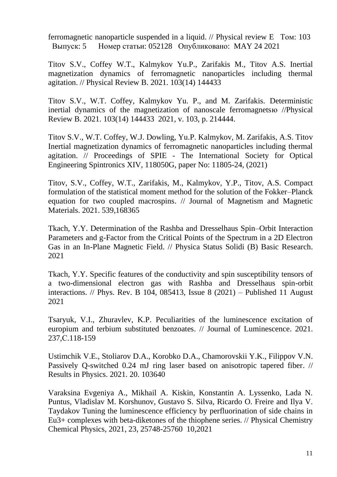ferromagnetic nanoparticle suspended in a liquid. // [Physical review E](javascript:;) Том: 103 Выпуск: 5 Номер статьи: 052128 Опубликовано: MAY 24 2021

[Titov](https://www.scopus.com/authid/detail.uri?origin=resultslist&authorId=7007011884&zone=) S.V., [Coffey](https://www.scopus.com/authid/detail.uri?origin=resultslist&authorId=23148521300&zone=) W.T., [Kalmykov](https://www.scopus.com/authid/detail.uri?origin=resultslist&authorId=55938889800&zone=) Yu.P., [Zarifakis](https://www.scopus.com/authid/detail.uri?origin=resultslist&authorId=57194686818&zone=) M., [Titov](https://www.scopus.com/authid/detail.uri?origin=resultslist&authorId=57195137731&zone=) A.S. [Inertial](https://www.scopus.com/record/display.uri?eid=2-s2.0-85105067650&origin=resultslist&sort=plf-f&src=s&sid=ad575a189a7a574d6960481d37c6b936&sot=b&sdt=b&sl=38&s=AFFILCITY%28Fryazino%29+AND+PUBYEAR+%3e+2020&relpos=8&citeCnt=0&searchTerm=)  [magnetization dynamics of ferromagnetic nanoparticles including thermal](https://www.scopus.com/record/display.uri?eid=2-s2.0-85105067650&origin=resultslist&sort=plf-f&src=s&sid=ad575a189a7a574d6960481d37c6b936&sot=b&sdt=b&sl=38&s=AFFILCITY%28Fryazino%29+AND+PUBYEAR+%3e+2020&relpos=8&citeCnt=0&searchTerm=)  [agitation.](https://www.scopus.com/record/display.uri?eid=2-s2.0-85105067650&origin=resultslist&sort=plf-f&src=s&sid=ad575a189a7a574d6960481d37c6b936&sot=b&sdt=b&sl=38&s=AFFILCITY%28Fryazino%29+AND+PUBYEAR+%3e+2020&relpos=8&citeCnt=0&searchTerm=) // [Physical Review B.](https://www.scopus.com/sourceid/21100874236?origin=resultslist) 2021. 103(14) 144433

Titov S.V., W.T. Coffey, Kalmykov Yu. P., and M. Zarifakis. Deterministic inertial dynamics of the magnetization of nanoscale ferromagnetsю /[/Physical](https://www.scopus.com/sourceid/21100874236?origin=resultslist)  [Review B.](https://www.scopus.com/sourceid/21100874236?origin=resultslist) 2021. 103(14) 144433 2021, v. 103, p. 214444.

Titov S.V., W.T. Coffey, W.J. Dowling, Yu.P. Kalmykov, M. Zarifakis, A.S. Titov Inertial magnetization dynamics of ferromagnetic nanoparticles including thermal agitation. // Proceedings of SPIE - [The International Society for Optical](https://www.scopus.com/sourceid/40067?origin=resultslist)  [Engineering](https://www.scopus.com/sourceid/40067?origin=resultslist) Spintronics XIV, 118050G, paper No: 11805-24, (2021)

[Titov, S.V.,](https://www.scopus.com/authid/detail.uri?origin=resultslist&authorId=55398570900&zone=) [Coffey, W.T.,](https://www.scopus.com/authid/detail.uri?origin=resultslist&authorId=23148521300&zone=) [Zarifakis, M.,](https://www.scopus.com/authid/detail.uri?origin=resultslist&authorId=57194686818&zone=) [Kalmykov, Y.P.,](https://www.scopus.com/authid/detail.uri?origin=resultslist&authorId=55938889800&zone=) [Titov, A.S.](https://www.scopus.com/authid/detail.uri?origin=resultslist&authorId=57195137731&zone=) [Compact](https://www.scopus.com/record/display.uri?eid=2-s2.0-85112023765&origin=resultslist&sort=plf-f&src=s&sid=8cfd1556b59618214a26418d73a601b7&sot=b&sdt=b&sl=38&s=AFFILCITY%28Fryazino%29+AND+PUBYEAR+%3e+2020&relpos=0&citeCnt=0&searchTerm=)  [formulation of the statistical moment method for the solution of the Fokker–Planck](https://www.scopus.com/record/display.uri?eid=2-s2.0-85112023765&origin=resultslist&sort=plf-f&src=s&sid=8cfd1556b59618214a26418d73a601b7&sot=b&sdt=b&sl=38&s=AFFILCITY%28Fryazino%29+AND+PUBYEAR+%3e+2020&relpos=0&citeCnt=0&searchTerm=)  [equation for two coupled macrospins.](https://www.scopus.com/record/display.uri?eid=2-s2.0-85112023765&origin=resultslist&sort=plf-f&src=s&sid=8cfd1556b59618214a26418d73a601b7&sot=b&sdt=b&sl=38&s=AFFILCITY%28Fryazino%29+AND+PUBYEAR+%3e+2020&relpos=0&citeCnt=0&searchTerm=) // [Journal of Magnetism and Magnetic](https://www.scopus.com/sourceid/28526?origin=resultslist)  [Materials.](https://www.scopus.com/sourceid/28526?origin=resultslist) 2021. 539,168365

[Tkach, Y.Y.](https://www.scopus.com/authid/detail.uri?origin=resultslist&authorId=56919469400&zone=) [Determination of the Rashba and Dresselhaus Spin–Orbit Interaction](https://www.scopus.com/record/display.uri?eid=2-s2.0-85101941859&origin=resultslist&sort=plf-f&src=s&st1=&st2=&sid=1ce4d25cf52543efd34771960aced408&sot=b&sdt=b&sl=38&s=AFFILCITY%28Fryazino%29+AND+PUBYEAR+%3e+2020&relpos=13&citeCnt=0&searchTerm=)  [Parameters and g-Factor from the Critical Points of the Spectrum in a 2D Electron](https://www.scopus.com/record/display.uri?eid=2-s2.0-85101941859&origin=resultslist&sort=plf-f&src=s&st1=&st2=&sid=1ce4d25cf52543efd34771960aced408&sot=b&sdt=b&sl=38&s=AFFILCITY%28Fryazino%29+AND+PUBYEAR+%3e+2020&relpos=13&citeCnt=0&searchTerm=)  [Gas in an In-Plane Magnetic Field.](https://www.scopus.com/record/display.uri?eid=2-s2.0-85101941859&origin=resultslist&sort=plf-f&src=s&st1=&st2=&sid=1ce4d25cf52543efd34771960aced408&sot=b&sdt=b&sl=38&s=AFFILCITY%28Fryazino%29+AND+PUBYEAR+%3e+2020&relpos=13&citeCnt=0&searchTerm=) // [Physica Status Solidi \(B\) Basic Research.](https://www.scopus.com/sourceid/29140?origin=resultslist) 2021

[Tkach, Y.Y.](https://www.scopus.com/authid/detail.uri?origin=resultslist&authorId=56919469400&zone=) Specific features of the conductivity and spin susceptibility tensors of a two-dimensional electron gas with Rashba and Dresselhaus spin-orbit interactions. // Phys. Rev. B 104, 085413, Issue 8 (2021) – Published 11 August 2021

[Tsaryuk, V.I.,](https://www.scopus.com/authid/detail.uri?origin=resultslist&authorId=35570143000&zone=) [Zhuravlev, K.P.](https://www.scopus.com/authid/detail.uri?origin=resultslist&authorId=16481581800&zone=) [Peculiarities of the luminescence excitation of](https://www.scopus.com/record/display.uri?eid=2-s2.0-85105060153&origin=resultslist&sort=plf-f&src=s&sid=02dd4f6a33bb7eed352b9f430fb24bf4&sot=b&sdt=b&sl=38&s=AFFILCITY%28Fryazino%29+AND+PUBYEAR+%3e+2020&relpos=2&citeCnt=0&searchTerm=)  [europium and terbium substituted benzoates.](https://www.scopus.com/record/display.uri?eid=2-s2.0-85105060153&origin=resultslist&sort=plf-f&src=s&sid=02dd4f6a33bb7eed352b9f430fb24bf4&sot=b&sdt=b&sl=38&s=AFFILCITY%28Fryazino%29+AND+PUBYEAR+%3e+2020&relpos=2&citeCnt=0&searchTerm=) // [Journal of Luminescence.](https://www.scopus.com/sourceid/12179?origin=resultslist) 2021. 237,С.118-159

[Ustimchik](https://www.scopus.com/authid/detail.uri?origin=resultslist&authorId=50462739300&zone=) V.E., [Stoliarov](https://www.scopus.com/authid/detail.uri?origin=resultslist&authorId=56584423000&zone=) D.A., [Korobko](https://www.scopus.com/authid/detail.uri?origin=resultslist&authorId=7801382202&zone=) D.A., [Chamorovskii](https://www.scopus.com/authid/detail.uri?origin=resultslist&authorId=6602317669&zone=) Y.K., [Filippov](https://www.scopus.com/authid/detail.uri?origin=resultslist&authorId=7202667170&zone=) V.N. [Passively Q-switched 0.24 mJ ring laser based on anisotropic tapered fiber.](https://www.scopus.com/record/display.uri?eid=2-s2.0-85097746003&origin=resultslist&sort=plf-f&src=s&st1=&st2=&sid=331c4f2b96d379b30b2bffc20fbacd0d&sot=b&sdt=b&sl=39&s=AFFILCITY+%28Fryazino%29+AND+PUBYEAR+%3e+2020&relpos=4&citeCnt=0&searchTerm=) // [Results in Physics.](https://www.scopus.com/sourceid/19900192162?origin=resultslist) 2021. 20. 103640

Varaksina Evgeniya A., Mikhail A. Kiskin, Konstantin A. Lyssenko, Lada N. Puntus, Vladislav M. Korshunov, Gustavo S. Silva, Ricardo O. Freire and Ilya V. Taydakov Tuning the luminescence efficiency by perfluorination of side chains in Eu3+ complexes with beta-diketones of the thiophene series. // Physical Chemistry Chemical Physics, 2021, 23, 25748-25760 10,2021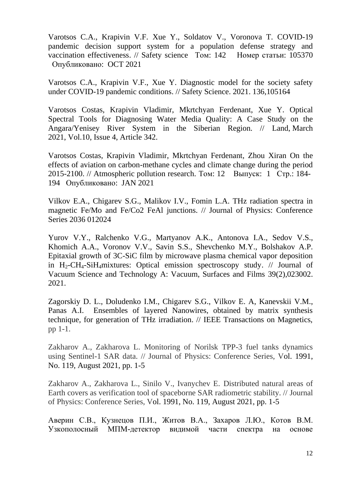Varotsos C.A., Krapivin V.F. Xue Y., Soldatov V., Voronova T. [COVID-19](http://apps.webofknowledge.com/full_record.do?product=WOS&search_mode=GeneralSearch&qid=3&SID=D6GOdDn8jUiRu6e4PII&page=1&doc=1)  [pandemic decision support system for a population defense strategy and](http://apps.webofknowledge.com/full_record.do?product=WOS&search_mode=GeneralSearch&qid=3&SID=D6GOdDn8jUiRu6e4PII&page=1&doc=1)  [vaccination effectiveness.](http://apps.webofknowledge.com/full_record.do?product=WOS&search_mode=GeneralSearch&qid=3&SID=D6GOdDn8jUiRu6e4PII&page=1&doc=1) // [Safety science](javascript:;) Том: 142 Номер статьи: 105370 Опубликовано: OCT 2021

[Varotsos C.A.,](https://www.scopus.com/authid/detail.uri?origin=resultslist&authorId=7005233189&zone=) [Krapivin V.F.,](https://www.scopus.com/authid/detail.uri?origin=resultslist&authorId=6603854907&zone=) [Xue Y.](https://www.scopus.com/authid/detail.uri?origin=resultslist&authorId=7402270526&zone=) [Diagnostic model for the society safety](https://www.scopus.com/record/display.uri?eid=2-s2.0-85099777113&origin=resultslist&sort=plf-f&src=s&st1=&st2=&sid=82630a087b4360a257b9661ba1ab69e4&sot=b&sdt=b&sl=41&s=%28AFFILCITY+%28Fryazino%29%29+AND+PUBYEAR+%3e+2020&relpos=0&citeCnt=0&searchTerm=)  [under COVID-19 pandemic conditions.](https://www.scopus.com/record/display.uri?eid=2-s2.0-85099777113&origin=resultslist&sort=plf-f&src=s&st1=&st2=&sid=82630a087b4360a257b9661ba1ab69e4&sot=b&sdt=b&sl=41&s=%28AFFILCITY+%28Fryazino%29%29+AND+PUBYEAR+%3e+2020&relpos=0&citeCnt=0&searchTerm=) // [Safety Science.](https://www.scopus.com/sourceid/12332?origin=resultslist) 2021. 136,105164

[Varotsos](http://apps.webofknowledge.com/OutboundService.do?SID=D551XV3ZZZBkNzqyJzM&mode=rrcAuthorRecordService&action=go&product=WOS&lang=ru_RU&daisIds=42853291) Costas, [Krapivin](http://apps.webofknowledge.com/OutboundService.do?SID=D551XV3ZZZBkNzqyJzM&mode=rrcAuthorRecordService&action=go&product=WOS&lang=ru_RU&daisIds=841714) Vladimir, [Mkrtchyan](http://apps.webofknowledge.com/OutboundService.do?SID=D551XV3ZZZBkNzqyJzM&mode=rrcAuthorRecordService&action=go&product=WOS&lang=ru_RU&daisIds=2389134) Ferdenant, [Xue Y.](https://www.scopus.com/authid/detail.uri?origin=resultslist&authorId=7402270526&zone=) Optical Spectral Tools for Diagnosing Water Media Quality: A Case Study on the Angara/Yenisey River System in the Siberian Region. // Land, March 2021, Vol.10, Issue 4, Article 342.

[Varotsos](http://apps.webofknowledge.com/OutboundService.do?SID=D551XV3ZZZBkNzqyJzM&mode=rrcAuthorRecordService&action=go&product=WOS&lang=ru_RU&daisIds=42853291) Costas, [Krapivin](http://apps.webofknowledge.com/OutboundService.do?SID=D551XV3ZZZBkNzqyJzM&mode=rrcAuthorRecordService&action=go&product=WOS&lang=ru_RU&daisIds=841714) Vladimir, [Mkrtchyan](http://apps.webofknowledge.com/OutboundService.do?SID=D551XV3ZZZBkNzqyJzM&mode=rrcAuthorRecordService&action=go&product=WOS&lang=ru_RU&daisIds=2389134) Ferdenant, [Zhou](http://apps.webofknowledge.com/OutboundService.do?SID=D551XV3ZZZBkNzqyJzM&mode=rrcAuthorRecordService&action=go&product=WOS&lang=ru_RU&daisIds=32286271) Xiran On the effects of aviation on carbon-methane cycles and climate change during the period 2015-2100. // Atmospheric pollution research. Том: 12 Выпуск: 1 Стр.: 184- 194 Опубликовано: JAN 2021

Vilkov E.A., Chigarev S.G., Malikov I.V., Fomin L.A. THz radiation spectra in magnetic Fe/Mo and Fe/Co2 FeAl junctions. // Journal of Physics: Conference Series 2036 012024

[Yurov](https://www.scopus.com/authid/detail.uri?authorId=7003373389&eid=2-s2.0-85100942635) V.Y., [Ralchenko](https://www.scopus.com/authid/detail.uri?authorId=7006576246&eid=2-s2.0-85100942635) V.G., [Martyanov](https://www.scopus.com/authid/detail.uri?authorId=57189246152&eid=2-s2.0-85100942635) A.K., [Antonova](https://www.scopus.com/authid/detail.uri?authorId=57038392800&eid=2-s2.0-85100942635) I.A., [Sedov](https://www.scopus.com/authid/detail.uri?authorId=54387527700&eid=2-s2.0-85100942635) V.S., [Khomich](https://www.scopus.com/authid/detail.uri?authorId=56973657100&eid=2-s2.0-85100942635) A.A., [Voronov](https://www.scopus.com/authid/detail.uri?authorId=7101822002&eid=2-s2.0-85100942635) V.V., [Savin](https://www.scopus.com/authid/detail.uri?authorId=56496508700&eid=2-s2.0-85100942635) S.S., [Shevchenko](https://www.scopus.com/authid/detail.uri?authorId=55234106200&eid=2-s2.0-85100942635) M.Y., [Bolshakov](https://www.scopus.com/authid/detail.uri?authorId=7003875502&eid=2-s2.0-85100942635) A.P. [Epitaxial growth of 3C-SiC film by microwave plasma chemical vapor deposition](https://www.scopus.com/record/display.uri?eid=2-s2.0-85100942635&origin=resultslist&sort=plf-f&src=s&st1=&st2=&sid=4b98c4a71432da476f7edb7643a61aff&sot=b&sdt=b&sl=39&s=AFFILCITY+%28Fryazino%29+AND+PUBYEAR+%3e+2020&relpos=3&citeCnt=0&searchTerm=)  in  $H_2$ -CH<sub>4</sub>-SiH<sub>4</sub>[mixtures: Optical emission spectroscopy study.](https://www.scopus.com/record/display.uri?eid=2-s2.0-85100942635&origin=resultslist&sort=plf-f&src=s&st1=&st2=&sid=4b98c4a71432da476f7edb7643a61aff&sot=b&sdt=b&sl=39&s=AFFILCITY+%28Fryazino%29+AND+PUBYEAR+%3e+2020&relpos=3&citeCnt=0&searchTerm=) // Journal of [Vacuum Science and Technology A: Vacuum, Surfaces and Films](https://www.scopus.com/sourceid/28596?origin=resultslist) 39(2),023002. 2021.

Zagorskiy D. L., Doludenko I.M., Chigarev S.G., Vilkov E. A, Kanevskii V.M., Panas A.I. Ensembles of layered Nanowires, obtained by matrix synthesis technique, for generation of THz irradiation. // IEEE Transactions on Magnetics, pp 1-1.

Zakharov A., Zakharova L. Monitoring of Norilsk TPP-3 fuel tanks dynamics using Sentinel-1 SAR data. // Journal of Physics: Conference Series, Vol. 1991, No. 119, August 2021, pp. 1-5

Zakharov A., Zakharova L., Sinilo V., Ivanychev E. Distributed natural areas of Earth covers as verification tool of spaceborne SAR radiometric stability. // Journal of Physics: Conference Series, Vol. 1991, No. 119, August 2021, pp. 1-5

Аверин С.В., Кузнецов П.И., Житов В.А., Захаров Л.Ю., Котов В.М. [Узкополосный МПМ-детектор видимой части спектра на основе](https://www.elibrary.ru/item.asp?id=44596097)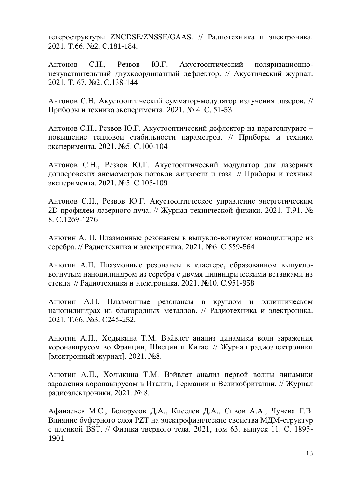[гетероструктуры ZNCDSE/ZNSSE/GAAS.](https://www.elibrary.ru/item.asp?id=44596097) // [Радиотехника и электроника.](https://www.elibrary.ru/title_about.asp?id=7980) 2021. Т.66. №2. С.181-184.

Антонов С.Н., Резвов Ю.Г. [Акустооптический поляризационно](https://elibrary.ru/item.asp?id=44811399)[нечувствительный двухкоординатный дефлектор.](https://elibrary.ru/item.asp?id=44811399) // [Акустический журнал.](https://elibrary.ru/title_about.asp?id=7658) 2021. Т. 67. №2. С.138-144

Антонов С.Н. [Акустооптический сумматор-модулятор излучения лазеров.](https://www.elibrary.ru/item.asp?id=46153367) // [Приборы и техника эксперимента.](https://www.elibrary.ru/contents.asp?id=46153359) 2021. [№](https://www.elibrary.ru/contents.asp?id=46153359&selid=46153367) 4. С. 51-53.

Антонов С.Н., Резвов Ю.Г. [Акустооптический дефлектор на парателлурите –](https://elibrary.ru/item.asp?id=46386400) [повышение тепловой стабильности параметров.](https://elibrary.ru/item.asp?id=46386400) // [Приборы и техника](https://elibrary.ru/title_about.asp?id=7954)  [эксперимента.](https://elibrary.ru/title_about.asp?id=7954) 2021. №5. С.100-104

Антонов С.Н., Резвов Ю.Г. [Акустооптический модулятор для лазерных](https://www.elibrary.ru/item.asp?id=46386401)  [доплеровских анемометров потоков жидкости и газа.](https://www.elibrary.ru/item.asp?id=46386401) // [Приборы и техника](https://elibrary.ru/title_about.asp?id=7954)  [эксперимента.](https://elibrary.ru/title_about.asp?id=7954) 2021. №5. С.105-109

Антонов С.Н., Резвов Ю.Г. [Акустооптическое управление энергетическим](https://journals.ioffe.ru/articles/51104)  [2D-профилем лазерного луча.](https://journals.ioffe.ru/articles/51104) // Журнал технической физики. 2021. Т.91. № 8. С.1269-1276

Анютин А. П. [Плазмонные резонансы в выпукло-вогнутом наноцилиндре из](https://elibrary.ru/item.asp?id=45682789) [серебра.](https://elibrary.ru/item.asp?id=45682789) // [Радиотехника и электроника.](https://elibrary.ru/title_about.asp?id=7980) 2021. №6. С.559-564

Анютин А.П. [Плазмонные резонансы в кластере, образованном выпукло](https://www.elibrary.ru/item.asp?id=46589297)[вогнутым наноцилиндром из серебра с двумя цилиндрическими вставками из](https://www.elibrary.ru/item.asp?id=46589297)  [стекла.](https://www.elibrary.ru/item.asp?id=46589297) // [Радиотехника и электроника.](https://elibrary.ru/title_about.asp?id=7980) 2021. №10. С.951-958

Анютин А.П. [Плазмонные резонансы в круглом и эллиптическом](https://elibrary.ru/item.asp?id=44652057)  [наноцилиндрах из благородных металлов.](https://elibrary.ru/item.asp?id=44652057) // [Радиотехника и электроника.](https://www.elibrary.ru/title_about.asp?id=7980) 2021. Т.66. №3. С245-252.

Анютин А.П., Ходыкина Т.М. Вэйвлет анализ динамики волн заражения коронавирусом во Франции, Швеции и Китае. // Журнал радиоэлектроники [электронный журнал]. 2021. №8.

Анютин А.П., Ходыкина Т.М. Вэйвлет анализ первой волны динамики заражения коронавирусом в Италии, Германии и Великобритании. // Журнал радиоэлектроники. 2021. № 8.

Афанасьев М.С., Белорусов Д.А., Киселев Д.А., Сивов А.А., Чучева Г.В. [Влияние буферного слоя PZT на электрофизические свойства МДМ-структур](https://journals.ioffe.ru/articles/51594)  [с пленкой BST.](https://journals.ioffe.ru/articles/51594) // Физика твердого тела. 2021, том 63, выпуск 11. С. 1895- 1901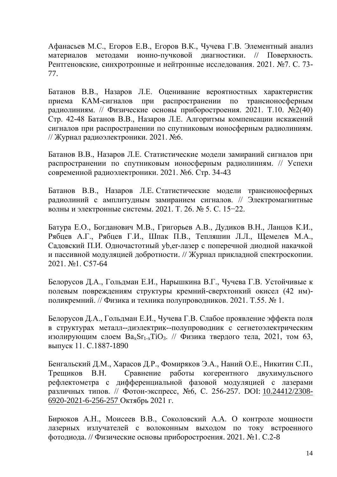Афанасьев М.С., Егоров Е.В., Егоров В.К., Чучева Г.В. [Элементный анализ](https://www.elibrary.ru/item.asp?id=45797659)  [материалов методами ионно-пучковой диагностики.](https://www.elibrary.ru/item.asp?id=45797659) // [Поверхность.](https://www.elibrary.ru/title_about.asp?id=9739)  [Рентгеновские, синхротронные и нейтронные исследования.](https://www.elibrary.ru/title_about.asp?id=9739) 2021. №7. С. 73- 77.

Батанов В.В., Назаров Л.Е. Оценивание вероятностных характеристик приема КАМ-сигналов при распространении по трансионосферным радиолиниям. // Физические основы приборостроения. 2021. Т.10. №2(40) Стр. 42-48 Батанов В.В., Назаров Л.Е. Алгоритмы компенсации искажений сигналов при распространении по спутниковым ионосферным радиолиниям. // Журнал радиоэлектроники. 2021. №6.

Батанов В.В., Назаров Л.Е. Статистические модели замираний сигналов при распространении по спутниковым ионосферным радиолиниям. // Успехи современной радиоэлектроники. 2021. №6. Стр. 34-43

Батанов В.В., Назаров Л.Е*.* Статистические модели трансионосферных радиолиний с амплитудным замиранием сигналов. // Электромагнитные волны и электронные системы. 2021. Т. 26. № 5. С. 15−22.

Батура Е.О., Богданович М.В., Григорьев А.В., Дудиков В.Н., Ланцов К.И., Рябцев А.Г., Рябцев Г.И., Шпак П.В., Тепляшин Л.Л., Щемелев М.А., Садовский П.И. [Одночастотный yb,er-лазер с поперечной диодной накачкой](https://elibrary.ru/item.asp?id=44611073)  [и пассивной модуляцией добротности.](https://elibrary.ru/item.asp?id=44611073) // [Журнал прикладной спектроскопии.](https://elibrary.ru/title_about.asp?id=7318) 2021. №1. С57-64

Белорусов Д.А., Гольдман Е.И., Нарышкина В.Г., Чучева Г.В. [Устойчивые к](https://journals.ioffe.ru/articles/50379)  [полевым повреждениям структуры кремний-сверхтонкий окисел \(42 нм\)](https://journals.ioffe.ru/articles/50379) [поликремний.](https://journals.ioffe.ru/articles/50379) // Физика и техника полупроводников. 2021. Т.55. № 1.

Белорусов Д.А., Гольдман Е.И., Чучева Г.В. [Слабое проявление эффекта поля](https://journals.ioffe.ru/articles/51592)  [в структурах металл--диэлектрик--полупроводник с сегнетоэлектрическим](https://journals.ioffe.ru/articles/51592)  изолирующим слоем  $Ba_xSr_{1-x}TiO_3$ . // Физика твердого тела, 2021, том 63, выпуск 11. С.1887-1890

Бенгальский Д.М., Харасов Д.Р., Фомиряков Э.А., Наний О.Е., Никитин С.П., Трещиков В.Н. Сравнение работы когерентного двухимульсного рефлектометра с дифференциальной фазовой модуляцией с лазерами различных типов. // Фотон-экспресс, №6, С. 256-257. DOI: [10.24412/2308-](https://doi.org/10.24412/2308-6920-2021-6-256-257) [6920-2021-6-256-257](https://doi.org/10.24412/2308-6920-2021-6-256-257) Октябрь 2021 г.

Бирюков А.Н., Моисеев В.В., Соколовский А.А. [О контроле мощности](https://www.elibrary.ru/item.asp?id=45824778)  [лазерных излучателей с волоконным выходом по току встроенного](https://www.elibrary.ru/item.asp?id=45824778)  [фотодиода.](https://www.elibrary.ru/item.asp?id=45824778) // [Физические основы приборостроения.](https://www.elibrary.ru/title_about.asp?id=37911) 2021. №1. С.2-8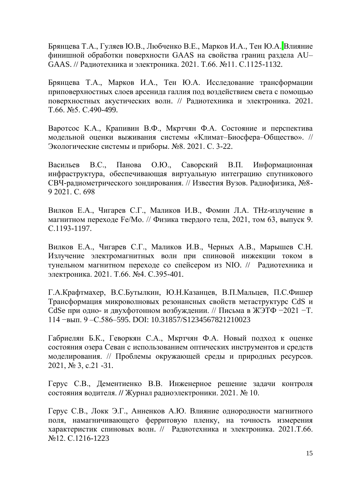Брянцева Т.А., Гуляев Ю.В., Любченко В.Е., Марков И.А., Тен Ю.А. [Влияние](https://www.elibrary.ru/item.asp?id=46621818)  [финишной обработки поверхности GAAS на свойства границ раздела AU–](https://www.elibrary.ru/item.asp?id=46621818) [GAAS.](https://www.elibrary.ru/item.asp?id=46621818) // [Радиотехника и электроника.](https://www.elibrary.ru/title_about.asp?id=7980) 2021. Т.66. №11. С.1125-1132.

Брянцева Т.А., Марков И.А., Тен Ю.А. [Исследованиe трансформации](https://elibrary.ru/item.asp?id=45067018) [приповерхностных слоев арсенида галлия под воздействием света с помощью](https://elibrary.ru/item.asp?id=45067018)  [поверхностных акустических волн.](https://elibrary.ru/item.asp?id=45067018) // [Радиотехника и электроника.](https://www.elibrary.ru/title_about.asp?id=7980) 2021. Т.66. №5. С.490-499.

Варотсос К.А., Крапивин В.Ф., Мкртчян Ф.А. Состояние и перспектива модельной оценки выживания системы «Климат–Биосфера–Общество». // Экологические системы и приборы. №8. 2021. С. 3-22.

Васильев В.С., Панова О.Ю., Саворский В.П. Информационная инфраструктура, обеспечивающая виртуальную интеграцию спутникового СВЧ-радиометрического зондирования. // Известия Вузов. Радиофизика, №8- 9 2021. С. 698

Вилков Е.А., Чигарев С.Г., Маликов И.В., Фомин Л.А. [THz-излучение в](https://journals.ioffe.ru/articles/51237)  [магнитном переходе Fe/Mo.](https://journals.ioffe.ru/articles/51237) // Физика твердого тела, 2021, том 63, выпуск 9. С.1193-1197.

Вилков Е.А., Чигарев С.Г., Маликов И.В., Черных А.В., Марышев С.Н. [Излучение электромагнитных волн при спиновой инжекции током в](https://www.elibrary.ru/item.asp?id=44811284)  [тунельном магнитном переходе со спейсером из NIO.](https://www.elibrary.ru/item.asp?id=44811284) // [Радиотехника и](https://www.elibrary.ru/title_about.asp?id=7980)  [электроника.](https://www.elibrary.ru/title_about.asp?id=7980) 2021. Т.66. №4. С.395-401.

Г.А.Крафтмахер, В.С.Бутылкин, Ю.Н.Казанцев, В.П.Мальцев, П.С.Фишер Трансформация микроволновых резонансных свойств метаструктурс CdS и CdSe при одно- и двухфотонном возбуждении. // Письма в ЖЭТФ −2021 −Т. 114 −вып. 9 –С.586–595. DOI: 10.31857/S1234567821210023

Габриелян Б.К., Геворкян С.А., Мкртчян Ф.А. Новый подход к оценке состояния озера Севан с использованием оптических инструментов и средств моделирования. // Проблемы окружающей среды и природных ресурсов. 2021, № 3, с.21 -31.

Герус С.В., Дементиенко В.В. Инженерное решение задачи контроля состояния водителя. **//** Журнал радиоэлектроники. 2021. № 10.

Герус С.В., Локк Э.Г., Анненков А.Ю. [Влияние однородности магнитного](https://elibrary.ru/item.asp?id=47115636)  [поля, намагничивающего ферритовую пленку, на точность измерения](https://elibrary.ru/item.asp?id=47115636)  [характеристик спиновых волн.](https://elibrary.ru/item.asp?id=47115636) // [Радиотехника и электроника.](https://www.elibrary.ru/title_about.asp?id=7980) 2021.Т.66. №12. С.1216-1223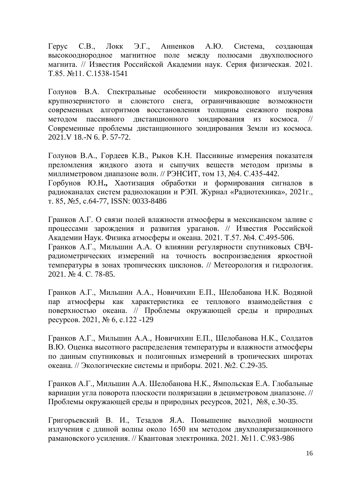Герус С.В., Локк Э.Г., Анненков А.Ю. [Система, создающая](https://elibrary.ru/item.asp?id=46688074) [высокооднородное магнитное поле между полюсами двухполюсного](https://elibrary.ru/item.asp?id=46688074)  [магнита.](https://elibrary.ru/item.asp?id=46688074) // Известия Российской Академии наук. Серия физическая. 2021. Т.85. №11. С.1538-1541

Голунов В.А. Спектральные особенности микроволнового излучения крупнозернистого и слоистого снега, ограничивающие возможности современных алгоритмов восстановления толщины снежного покрова методом пассивного дистанционного зондирования из космоса. // Современные проблемы дистанционного зондирования Земли из космоса. 2021.V 18.-N 6. P. 57-72.

Голунов В.А., Гордеев К.В., Рыков К.Н. [Пассивные измерения показателя](https://elibrary.ru/item.asp?id=47433071)  [преломления жидкого азота и сыпучих веществ методом призмы в](https://elibrary.ru/item.asp?id=47433071)  [миллиметровом диапазоне волн.](https://elibrary.ru/item.asp?id=47433071) // РЭНСИТ, том 13, №4. С.435-442. Горбунов Ю.Н**.,** Хаотизация обработки и формирования сигналов в радиоканалах систем радиолокации и РЭП. Журнал «Радиотехника», 2021г., т. 85, №5, с.64-77, ISSN: 0033-8486

Гранков А.Г. [О связи полей влажности атмосферы в мексиканском заливе с](https://www.elibrary.ru/item.asp?id=46321730)  [процессами зарождения и развития ураганов.](https://www.elibrary.ru/item.asp?id=46321730) // [Известия Российской](https://www.elibrary.ru/title_about.asp?id=7831)  [Академии Наук. Физика атмосферы и океана.](https://www.elibrary.ru/title_about.asp?id=7831) 2021. Т.57. №4. С.495-506. Гранков А.Г., Мильшин А.А. [О влиянии регулярности спутниковых СВЧ](https://www.elibrary.ru/item.asp?id=45961467)[радиометрических измерений на точность воспроизведения яркостной](https://www.elibrary.ru/item.asp?id=45961467)  [температуры в зонах тропических циклонов.](https://www.elibrary.ru/item.asp?id=45961467) // [Метеорология и гидрология.](https://www.elibrary.ru/contents.asp?id=45961457) 2021. [№](https://www.elibrary.ru/contents.asp?id=45961457&selid=45961467) 4. С. 78-85.

Гранков А.Г., Мильшин А.А., Новичихин Е.П., Шелобанова Н.К. Водяной пар атмосферы как характеристика ее теплового взаимодействия с поверхностью океана. // Проблемы окружающей среды и природных ресурсов. 2021, № 6, с.122 -129

Гранков А.Г., Мильшин А.А., Новичихин Е.П., Шелобанова Н.К., Солдатов В.Ю. Оценка высотного распределения температуры и влажности атмосферы по данным спутниковых и полигонных измерений в тропических широтах океана. // Экологические системы и приборы. 2021. №2. С.29-35.

Гранков А.Г., Мильшин А.А. Шелобанова Н.К., Ямпольская Е.А. [Глобальные](https://www.elibrary.ru/item.asp?id=46667984)  [вариации угла поворота плоскости поляризации в дециметровом диапазоне.](https://www.elibrary.ru/item.asp?id=46667984) // Проблемы окружающей среды и природных ресурсов, 2021, №8, с.30-35.

Григорьевский В. И., Тезадов Я.А. [Повышение выходной мощности](https://www.elibrary.ru/item.asp?id=47192747)  [излучения с длиной волны около 1650 нм методом двухполяризационного](https://www.elibrary.ru/item.asp?id=47192747)  [рамановского усиления.](https://www.elibrary.ru/item.asp?id=47192747) // Квантовая электроника. 2021. №11. С.983-986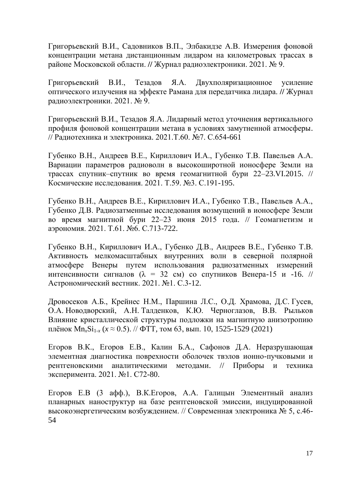Григорьевский В.И., Садовников В.П., Элбакидзе А.В. Измерения фоновой концентрации метана дистанционным лидаром на километровых трассах в районе Московской области. **//** Журнал радиоэлектроники. 2021. № 9.

Григорьевский В.И., Тезадов Я.А. Двухполяризационное усиление оптического излучения на эффекте Рамана для передатчика лидара. **//** Журнал радиоэлектроники. 2021. № 9.

Григорьевский В.И., Тезадов Я.А. [Лидарный метод уточнения вертикального](https://www.elibrary.ru/item.asp?id=46120235)  [профиля фоновой концентрации метана в условиях замутненной атмосферы.](https://www.elibrary.ru/item.asp?id=46120235) // [Радиотехника и электроника.](https://www.elibrary.ru/title_about.asp?id=7980) 2021.Т.60. №7. С.654-661

Губенко В.Н., Андреев В.Е., Кириллович И.А., Губенко Т.В. Павельев А.А. [Вариации параметров радиоволн в высокоширотной ионосфере Земли на](https://sciencejournals.ru/view-article/?j=kosiss&y=2021&v=59&n=3&a=KosIss2103005Gubenko)  [трассах спутник–спутник во время геомагнитной бури 22–23.VI.2015.](https://sciencejournals.ru/view-article/?j=kosiss&y=2021&v=59&n=3&a=KosIss2103005Gubenko) // Космические исследования. 2021. Т.59. №3. С.191-195.

Губенко В.Н., Андреев В.Е., Кириллович И.А., Губенко Т.В., Павельев А.А., Губенко Д.В. [Радиозатменные исследования возмущений в ионосфере Земли](https://www.elibrary.ru/item.asp?id=47115612)  [во время магнитной бури 22–23 июня 2015 года.](https://www.elibrary.ru/item.asp?id=47115612) // [Геомагнетизм и](https://www.elibrary.ru/title_about.asp?id=7765)  [аэрономия.](https://www.elibrary.ru/title_about.asp?id=7765) 2021. Т.61. №6. С.713-722.

Губенко В.Н., Кириллович И.А., Губенко Д.В., Андреев В.Е., Губенко Т.В. [Активность мелкомасштабных внутренних волн в северной полярной](https://sciencejournals.ru/view-article/?j=astvest&y=2021&v=55&n=1&a=AstVest2101004Gubenko)  [атмосфере Венеры путем использования радиозатменных измерений](https://sciencejournals.ru/view-article/?j=astvest&y=2021&v=55&n=1&a=AstVest2101004Gubenko)  интенсивности сигналов ( $\lambda = 32$  см) со спутников Венера-15 и -16. // [Астрономический вестник.](https://sciencejournals.ru/list-issues/astvest/) 2021. №1. С.3-12.

Дровосеков А.Б., Крейнес Н.М., Паршина Л.С., О.Д. Храмова, Д.С. Гусев, О.А. Новодворский, А.Н. Талденков, К.Ю. Черноглазов, В.В. Рыльков Влияние кристаллической структуры подложки на магнитную анизотропию плёнок Mn*x*Si1-*<sup>x</sup>* (*x* ≈ 0.5). // ФТТ*,* том 63, вып. 10, 1525-1529 (2021)

Егоров В.К., Егоров Е.В., Калин Б.А., Сафонов Д.А. [Неразрушающая](https://www.elibrary.ru/item.asp?id=44652349)  [элементная диагностика поврехности оболочек твэлов ионно-пучковыми и](https://www.elibrary.ru/item.asp?id=44652349)  [рентгеновскими аналитическими методами.](https://www.elibrary.ru/item.asp?id=44652349) // [Приборы и техника](https://www.elibrary.ru/title_about.asp?id=7954)  [эксперимента.](https://www.elibrary.ru/title_about.asp?id=7954) 2021. №1. С72-80.

Егоров Е.В (3 афф.), В.К.Егоров, А.А. Галицын Элементный анализ планарных наноструктур на базе рентгеновской эмиссии, индуцированной высокоэнергетическим возбуждением. // Современная электроника № 5, с.46- 54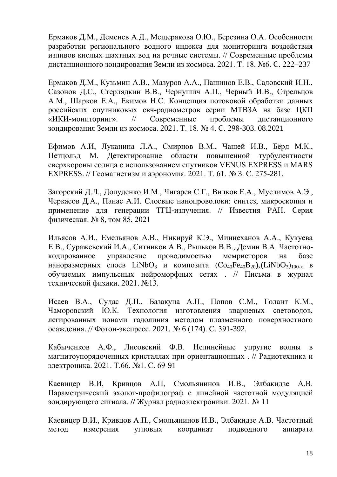Ермаков Д.М., Деменев А.Д., Мещерякова О.Ю., Березина О.А. Особенности разработки регионального водного индекса для мониторинга воздействия изливов кислых шахтных вод на речные системы. // Современные проблемы дистанционного зондирования Земли из космоса. 2021. Т. 18. №6. С. 222–237

Ермаков Д.М., Кузьмин А.В., Мазуров А.А., Пашинов Е.В., Садовский И.Н., Сазонов Д.С., Стерлядкин В.В., Чернушич А.П., Черный И.В., Стрельцов А.М., Шарков Е.А., Екимов Н.С. Концепция потоковой обработки данных российских спутниковых свч-радиометров серии МТВЗА на базе ЦКП «ИКИ-мониторинг». // Современные проблемы дистанционного зондирования Земли из космоса. 2021. Т. 18. № 4. С. 298-303. 08.2021

Ефимов А.И, Луканина Л.А., Смирнов В.М., Чашей И.В., Бёрд М.К., Петцольд М. [Детектирование области повышенной турбулентности](https://www.elibrary.ru/item.asp?id=45692875)  [сверхкороны солнца с использованием спутников VENUS EXPRESS и MARS](https://www.elibrary.ru/item.asp?id=45692875)  [EXPRESS.](https://www.elibrary.ru/item.asp?id=45692875) // [Геомагнетизм и аэрономия.](https://www.elibrary.ru/contents.asp?id=45692874) 2021. Т. 61. [№](https://www.elibrary.ru/contents.asp?id=45692874&selid=45692875) 3. С. 275-281.

Загорский Д.Л., Долуденко И.М., Чигарев С.Г., Вилков Е.А., Муслимов А.Э., Черкасов Д.А., Панас А.И. Слоевые нанопроволоки: синтез, микроскопия и применение для генерации ТГЦ-излучения. // Известия РAН. Серия физическая. № 8, том 85, 2021

Ильясов А.И., Емельянов А.В., Никируй К.Э., Миннеханов А.А., Кукуева Е.В., Суражевский И.А., Ситников А.В., Рыльков В.В., Демин В.А. [Частотно](https://journals.ioffe.ru/articles/51112)[кодированное управление проводимостью мемристоров на базе](https://journals.ioffe.ru/articles/51112)  [наноразмерных слоев LiNbO](https://journals.ioffe.ru/articles/51112)<sub>3</sub> и композита  $(Co_{40}Fe_{40}B_{20})_{x}$ (LiNbO<sub>3</sub>)<sub>100-х</sub> в [обучаемых импульсных нейроморфных сетях](https://journals.ioffe.ru/articles/51112) . // [Письма в журнал](https://journals.ioffe.ru/journals/4)  [технической физики.](https://journals.ioffe.ru/journals/4) [2021. №13.](https://journals.ioffe.ru/issues/2064)

Исаев В.А., Судас Д.П., Базакуца А.П., Попов С.М., Голант К.М., Чаморовский Ю.К. [Технология изготовления кварцевых световодов,](https://elibrary.ru/item.asp?id=46695476)  [легированных ионами гадолиния методом плазменного поверхностного](https://elibrary.ru/item.asp?id=46695476)  [осаждения.](https://elibrary.ru/item.asp?id=46695476) // [Фотон-экспресс.](https://elibrary.ru/contents.asp?id=46695268) 2021. № 6 [\(174\).](https://elibrary.ru/contents.asp?id=46695268&selid=46695318) С. 391-392.

Кабыченков А.Ф., Лисовский Ф.В. [Нелинейные упругие волны в](https://www.elibrary.ru/item.asp?id=44596083)  [магнитоупорядоченных кристаллах при ориентационных .](https://www.elibrary.ru/item.asp?id=44596083) // [Радиотехника и](https://www.elibrary.ru/title_about.asp?id=7980)  [электроника.](https://www.elibrary.ru/title_about.asp?id=7980) 2021. Т.66. №1. С. 69-91

Каевицер В.И, Кривцов А.П, Смольянинов И.В., Элбакидзе А.В. Параметрический эхолот-профилограф с линейной частотной модуляцией зондирующего сигнала. **//** Журнал радиоэлектроники. 2021. № 11

Каевицер В.И., Кривцов А.П., Смольянинов И.В., Элбакидзе А.В. Частотный метод измерения угловых координат подводного аппарата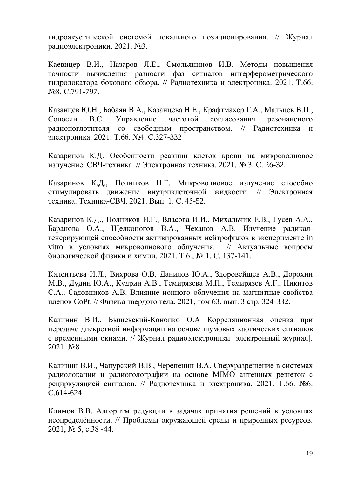гидроакустической системой локального позиционирования. // Журнал радиоэлектроники. 2021. №3.

Каевицер В.И., Назаров Л.Е., Смольянинов И.В. [Методы повышения](https://www.elibrary.ru/item.asp?id=46370683)  [точности вычисления разности фаз сигналов интерферометрического](https://www.elibrary.ru/item.asp?id=46370683)  [гидролокатора бокового обзора.](https://www.elibrary.ru/item.asp?id=46370683) // [Радиотехника и электроника.](https://www.elibrary.ru/title_about.asp?id=7980) 2021. Т.66. №8. С.791-797.

Казанцев Ю.Н., Бабаян В.А., Казанцева Н.Е., Крафтмахер Г.А., Мальцев В.П., Солосин В.С. [Управление частотой согласования резонансного](https://www.elibrary.ru/item.asp?id=44811269)  [радиопоглотителя со свободным пространством.](https://www.elibrary.ru/item.asp?id=44811269) // [Радиотехника и](https://www.elibrary.ru/title_about.asp?id=7980)  [электроника.](https://www.elibrary.ru/title_about.asp?id=7980) 2021. Т.66. №4. С.327-332

Казаринов К.Д. Особенности реакции клеток крови на микроволновое излучение. CВЧ-техника. // Электронная техника. 2021. № 3. С. 26-32.

Казаринов К.Д., Полников И.Г. Микроволновое излучение способно стимулировать движение внутриклеточной жидкости. // Электронная техника. Техника-СВЧ. 2021. Вып. 1. С. 45-52.

Казаринов К.Д., Полников И.Г., Власова И.И., Михальчик Е.В., Гусев А.А., Баранова О.А., Щелконогов В.А., Чеканов А.В. Изучение радикалгенерирующей способности активированных нейтрофилов в эксперименте in vitro в условиях микроволнового облучения. // Актуальные вопросы биологической физики и химии. 2021. Т.6., № 1. С. 137-141.

Калентьева И.Л., Вихрова О.В, Данилов Ю.А., Здоровейщев А.В., Дорохин М.В., Дудин Ю.А., Кудрин А.В., Темирязева М.П., Темирязев А.Г., Никитов С.А., Садовников А.В. Влияние ионного облучения на магнитные свойства пленок CoPt. // Физика твердого тела, 2021, том 63, вып. 3 стр. 324-332.

Калинин В.И., Бышевский-Конопко О.А Корреляционная оценка при передаче дискретной информации на основе шумовых хаотических сигналов с временными окнами. // Журнал радиоэлектроники [электронный журнал]. 2021. No8

Калинин В.И., Чапурский В.В., Черепенин В.А. [Сверхразрешение в системах](https://elibrary.ru/item.asp?id=45682810)  [радиолокации и радиоголографии на основе MIMO антенных решеток с](https://elibrary.ru/item.asp?id=45682810)  [рециркуляцией сигналов.](https://elibrary.ru/item.asp?id=45682810) // [Радиотехника и электроника.](https://www.elibrary.ru/title_about.asp?id=7980) 2021. Т.66. №6. С.614-624

Климов В.В. Алгоритм редукции в задачах принятия решений в условиях неопределённости. // Проблемы окружающей среды и природных ресурсов. 2021, № 5, с.38 -44.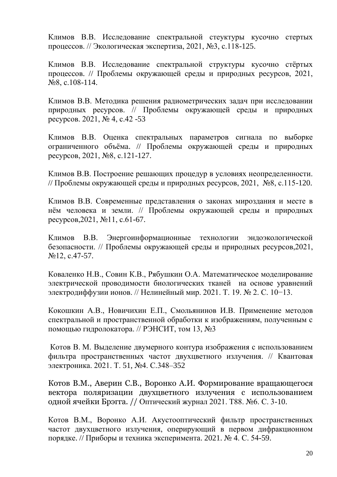Климов В.В. Исследование спектральной стеуктуры кусочно стертых процессов. // Экологическая экспертиза, 2021, №3, с.118-125.

Климов В.В. [Исследование спектральной структуры кусочно стёртых](https://www.elibrary.ru/item.asp?id=46667989)  [процессов.](https://www.elibrary.ru/item.asp?id=46667989) // Проблемы окружающей среды и природных ресурсов, 2021, №8, с.108-114.

Климов В.В. Методика решения радиометрических задач при исследовании природных ресурсов. // Проблемы окружающей среды и природных ресурсов. 2021, № 4, с.42 -53

Климов В.В. [Оценка спектральных параметров сигнала по выборке](https://www.elibrary.ru/item.asp?id=46667991)  [ограниченного объёма.](https://www.elibrary.ru/item.asp?id=46667991) // Проблемы окружающей среды и природных ресурсов, 2021, №8, с.121-127.

Климов В.В. [Построение](https://www.elibrary.ru/item.asp?id=46667990) решающих процедур в условиях неопределенности. // Проблемы окружающей среды и природных ресурсов, 2021, №8, с.115-120.

Климов В.В. Современные представления о законах мироздания и месте в нём человека и земли. // Проблемы окружающей среды и природных ресурсов,2021, №11, с.61-67.

Климов В.В. Энергоинформационные технологии эндоэкологической безопасности. // Проблемы окружающей среды и природных ресурсов,2021, №12, с.47-57.

Коваленко Н.В., Совин К.В., Рябушкин О.А. Математическое моделирование электрической проводимости биологических тканей на основе уравнений электродиффузии ионов. // Нелинейный мир. 2021. Т. 19. № 2. С. 10−13.

Кокошкин А.В., Новичихин Е.П., Смольянинов И.В. Применение методов спектральной и пространственной обработки к изображениям, полученным с помощью гидролокатора. // РЭНСИТ, том 13, №3

[Котов](http://www.mathnet.ru/php/person.phtml?option_lang=rus&personid=84796) В. М. Выделение двумерного контура изображения с использованием фильтра пространственных частот двухцветного излучения. // Квантовая электроника. 2021. Т. [51,](http://www.mathnet.ru/php/archive.phtml?wshow=contents&option_lang=rus&jrnid=qe&vl=51&yl=2021&series=0#showvolume) №4. С.348–352

Котов В.М., Аверин С.В., Воронко А.И. Формирование вращающегося вектора поляризации двухцветного излучения с использованием одной ячейки Брэгга. // Оптический журнал 2021. Т88. №6. С. 3-10.

Котов В.М., Воронко А.И. [Акустооптический фильтр пространственных](https://www.elibrary.ru/item.asp?id=46153368)  [частот двухцветного излучения, оперирующий в первом дифракционном](https://www.elibrary.ru/item.asp?id=46153368)  [порядке.](https://www.elibrary.ru/item.asp?id=46153368) // [Приборы и техника эксперимента.](https://www.elibrary.ru/contents.asp?id=46153359) 2021. [№](https://www.elibrary.ru/contents.asp?id=46153359&selid=46153368) 4. С. 54-59.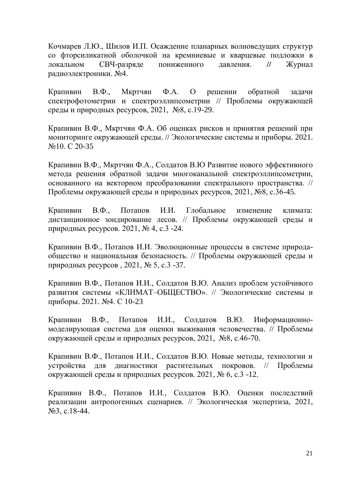Кочмарев Л.Ю., Шилов И.П. Осаждение планарных волноведущих структур со фторсиликатной оболочкой на кремниевые и кварцевые подложки в локальном СВЧ-разряде пониженного давления. **//** Журнал радиоэлектроники. №4.

Крапивин В.Ф., Мкртчян Ф.А. [О решении обратной задачи](https://www.elibrary.ru/item.asp?id=46667983)  [спектрофотометрии и спектроэллипсометрии](https://www.elibrary.ru/item.asp?id=46667983) // Проблемы окружающей среды и природных ресурсов, 2021, №8, с.19-29.

Крапивин В.Ф., Мкртчян Ф.А. [Об оценках рисков и принятия решений при](https://www.elibrary.ru/item.asp?id=47149016)  [мониторинге окружающей среды.](https://www.elibrary.ru/item.asp?id=47149016) // [Экологические системы и приборы.](https://www.elibrary.ru/title_about.asp?id=8274) 2021. №10. С 20-35

Крапивин В.Ф., Мкртчян Ф.А., Солдатов В.Ю Развитие нового эффективного метода решения обратной задачи многоканальной спектроэллипсометрии, основанного на векторном преобразовании спектрального пространства. // Проблемы окружающей среды и природных ресурсов, 2021, №8, с.36-45.

Крапивин В.Ф., Потапов И.И. Глобальное изменение климата: дистанционное зондирование лесов. // Проблемы окружающей среды и природных ресурсов. 2021, № 4, с.3 -24.

Крапивин В.Ф., Потапов И.И. Эволюционные процессы в системе природаобщество и национальная безопасность. // Проблемы окружающей среды и природных ресурсов , 2021, № 5, с.3 -37.

Крапивин В.Ф., Потапов И.И., Солдатов В.Ю. Анализ проблем устойчивого развития системы «КЛИМАТ–ОБЩЕСТВО». // [Экологические системы и](https://www.elibrary.ru/title_about.asp?id=8274)  [приборы.](https://www.elibrary.ru/title_about.asp?id=8274) 2021. №4. С 10-23

Крапивин В.Ф., Потапов И.И., Солдатов В.Ю. [Информационно](https://www.elibrary.ru/item.asp?id=46667986)[моделирующая система для оценки выживания человечества.](https://www.elibrary.ru/item.asp?id=46667986) // Проблемы окружающей среды и природных ресурсов, 2021, №8, с.46-70.

Крапивин В.Ф., Потапов И.И., Солдатов В.Ю. Новые методы, технологии и устройства для диагностики растительных покровов. // Проблемы окружающей среды и природных ресурсов. 2021, № 6, с.3 -12.

Крапивин В.Ф., Потапов И.И., Солдатов В.Ю. Оценки последствий реализации антропогенных сценариев. // Экологическая экспертиза, 2021, №3, с.18-44.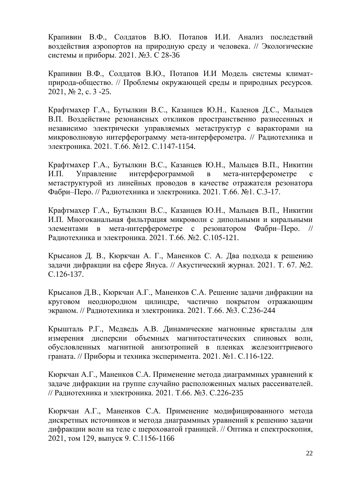Крапивин В.Ф., Солдатов В.Ю. Потапов И.И. [Анализ последствий](https://www.elibrary.ru/item.asp?id=44883423)  [воздействия аэропортов на природную среду и человека.](https://www.elibrary.ru/item.asp?id=44883423) // [Экологические](https://www.elibrary.ru/title_about.asp?id=8274)  [системы и приборы.](https://www.elibrary.ru/title_about.asp?id=8274) 2021. №3. С 28-36

Крапивин В.Ф., Солдатов В.Ю., Потапов И.И Модель системы климатприрода-общество. // Проблемы окружающей среды и природных ресурсов. 2021, № 2, с. 3 -25.

Крафтмахер Г.А., Бутылкин В.С., Казанцев Ю.Н., Каленов Д.С., Мальцев В.П. [Воздействие резонансных откликов пространственно разнесенных и](https://elibrary.ru/item.asp?id=47115626)  [независимо электрически управляемых метаструктур с варакторами на](https://elibrary.ru/item.asp?id=47115626)  [микроволновую интерферограмму мета-интерферометра.](https://elibrary.ru/item.asp?id=47115626) // [Радиотехника и](https://www.elibrary.ru/title_about.asp?id=7980)  [электроника.](https://www.elibrary.ru/title_about.asp?id=7980) 2021. Т.66. №12. С.1147-1154.

Крафтмахер Г.А., Бутылкин В.С., Казанцев Ю.Н., Мальцев В.П., Никитин И.П. [Управление интерферограммой в мета-интерферометре с](https://www.elibrary.ru/item.asp?id=44596078)  [метаструктурой из линейных проводов в качестве отражателя резонатора](https://www.elibrary.ru/item.asp?id=44596078)  [Фабри–Перо.](https://www.elibrary.ru/item.asp?id=44596078) // [Радиотехника и электроника.](https://www.elibrary.ru/title_about.asp?id=7980) 2021. Т.66. №1. С.3-17.

Крафтмахер Г.А., Бутылкин В.С., Казанцев Ю.Н., Мальцев В.П., Никитин И.П. [Многоканальная фильтрация микроволн с дипольными и киральными](https://www.elibrary.ru/item.asp?id=44596089)  [элементами в мета-интерферометре с резонатором Фабри–Перо.](https://www.elibrary.ru/item.asp?id=44596089) // [Радиотехника и электроника.](https://www.elibrary.ru/title_about.asp?id=7980) 2021. Т.66. №2. С.105-121.

Крысанов Д. В., Кюркчан А. Г., Маненков С. А. [Два подхода к решению](https://elibrary.ru/item.asp?id=44811398)  [задачи дифракции на сфере Януса.](https://elibrary.ru/item.asp?id=44811398) // [Акустический журнал.](https://elibrary.ru/title_about.asp?id=7658) 2021. Т. 67. №2. С.126-137.

Крысанов Д.В., Кюркчан А.Г., Маненков С.А. [Решение задачи дифракции на](https://elibrary.ru/item.asp?id=44652056)  [круговом неоднородном цилиндре, частично покрытом отражающим](https://elibrary.ru/item.asp?id=44652056)  [экраном.](https://elibrary.ru/item.asp?id=44652056) // [Радиотехника и электроника.](https://www.elibrary.ru/title_about.asp?id=7980) 2021. Т.66. №3. С.236-244

Крышталь Р.Г., Медведь А.В. [Динамические магнонные кристаллы для](https://www.elibrary.ru/item.asp?id=44652358)  [измерения дисперсии объемных магнитостатических спиновых волн,](https://www.elibrary.ru/item.asp?id=44652358)  [обусловленных магнитной анизотропией в пленках железоиттриевого](https://www.elibrary.ru/item.asp?id=44652358)  [граната.](https://www.elibrary.ru/item.asp?id=44652358) // [Приборы и техника эксперимента.](https://www.elibrary.ru/title_about.asp?id=7954) 2021. №1. С.116-122.

Кюркчан А.Г., Маненков С.А. [Применение метода диаграммных уравнений к](https://elibrary.ru/item.asp?id=44652055)  [задаче дифракции на группе случайно расположенных малых рассеивателей.](https://elibrary.ru/item.asp?id=44652055) // [Радиотехника и электроника.](https://www.elibrary.ru/title_about.asp?id=7980) 2021. Т.66. №3. С.226-235

Кюркчан А.Г., Маненков С.А. [Применение модифицированного метода](https://journals.ioffe.ru/articles/51343)  дискретных [источников и метода диаграммных уравнений к решению задачи](https://journals.ioffe.ru/articles/51343)  [дифракции волн на теле с шероховатой границей.](https://journals.ioffe.ru/articles/51343) // Оптика и спектроскопия, 2021, том 129, выпуск 9. С.1156-1166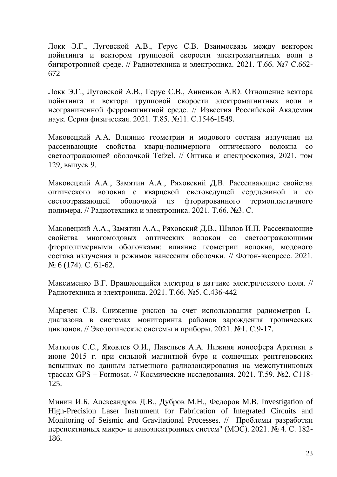Локк Э.Г., Луговской А.В., Герус С.В. [Взаимосвязь между вектором](https://www.elibrary.ru/item.asp?id=46120236)  [пойнтинга и вектором групповой скорости электромагнитных волн в](https://www.elibrary.ru/item.asp?id=46120236)  [бигиротропной среде.](https://www.elibrary.ru/item.asp?id=46120236) // [Радиотехника и электроника.](https://www.elibrary.ru/title_about.asp?id=7980) 2021. Т.66. №7 С.662- 672

Локк Э.Г., Луговской А.В., Герус С.В., Анненков А.Ю. [Отношение вектора](https://elibrary.ru/item.asp?id=46688079)  [пойнтинга и вектора групповой скорости электромагнитных волн в](https://elibrary.ru/item.asp?id=46688079)  [неограниченной ферромагнитной среде.](https://elibrary.ru/item.asp?id=46688079) // Известия Российской Академии наук. Серия физическая. 2021. Т.85. №11. С.1546-1549.

Маковецкий А.А. [Влияние геометрии и модового состава излучения на](https://journals.ioffe.ru/articles/51351)  [рассеивающие свойства кварц-полимерного оптического волокна со](https://journals.ioffe.ru/articles/51351)  [светоотражающей оболочкой Tefzel.](https://journals.ioffe.ru/articles/51351) // Оптика и спектроскопия, 2021, том 129, выпуск 9.

Маковецкий А.А., Замятин А.А., Ряховский Д.В. [Рассеивающие свойства](https://elibrary.ru/item.asp?id=44652061)  [оптического волокна с кварцевой световедущей сердцевиной и со](https://elibrary.ru/item.asp?id=44652061)  [светоотражающей оболочкой из фторированного термопластичного](https://elibrary.ru/item.asp?id=44652061)  [полимера.](https://elibrary.ru/item.asp?id=44652061) // [Радиотехника и электроника.](https://www.elibrary.ru/title_about.asp?id=7980) 2021. Т.66. №3. С.

Маковецкий А.А., Замятин А.А., Ряховский Д.В., Шилов И.П. [Рассеивающие](https://elibrary.ru/item.asp?id=46695293)  [свойства многомодовых оптических волокон со светоотражающими](https://elibrary.ru/item.asp?id=46695293)  [фторполимерными оболочками: влияние геометрии волокна, модового](https://elibrary.ru/item.asp?id=46695293)  [состава излучения и режимов нанесения оболочки.](https://elibrary.ru/item.asp?id=46695293) // [Фотон-экспресс.](https://elibrary.ru/contents.asp?id=46695268) 2021. № 6 [\(174\).](https://elibrary.ru/contents.asp?id=46695268&selid=46695318) С. 61-62.

Максименко В.Г. [Вращающийся электрод в датчике электрического поля.](https://elibrary.ru/item.asp?id=45066977) // [Радиотехника и электроника.](https://www.elibrary.ru/title_about.asp?id=7980) 2021. Т.66. №5. С.436-442

Маречек С.В. [Снижение рисков за счет использования радиометров L](https://elibrary.ru/item.asp?id=44576572)[диапазона в системах мониторинга районов зарождения тропических](https://elibrary.ru/item.asp?id=44576572)  [циклонов.](https://elibrary.ru/item.asp?id=44576572) // [Экологические системы и приборы.](https://elibrary.ru/title_about.asp?id=8274) 2021. №1. С.9-17.

Матюгов С.С., Яковлев О.И., Павельев А.А. [Нижняя ионосфера Арктики в](https://sciencejournals.ru/view-article/?j=kosiss&y=2021&v=59&n=2&a=KosIss2102006Matyugov)  [июне 2015 г. при сильной магнитной буре и солнечных рентгеновских](https://sciencejournals.ru/view-article/?j=kosiss&y=2021&v=59&n=2&a=KosIss2102006Matyugov)  [вспышках по данным затменного радиозондирования на межспутниковых](https://sciencejournals.ru/view-article/?j=kosiss&y=2021&v=59&n=2&a=KosIss2102006Matyugov)  [трассах GPS –](https://sciencejournals.ru/view-article/?j=kosiss&y=2021&v=59&n=2&a=KosIss2102006Matyugov) Formosat. // Космические исследования. 2021. Т.59. №2. С118- 125.

Минин И.Б. Александров Д.В., Дубров М.Н., Федоров М.В. Investigation of High-Precision Laser Instrument for Fabrication of Integrated Circuits and Monitoring of Seismic and Gravitational Processes. // Проблемы разработки перспективных микро- и наноэлектронных систем" (МЭС). 2021. № 4. С. 182- 186.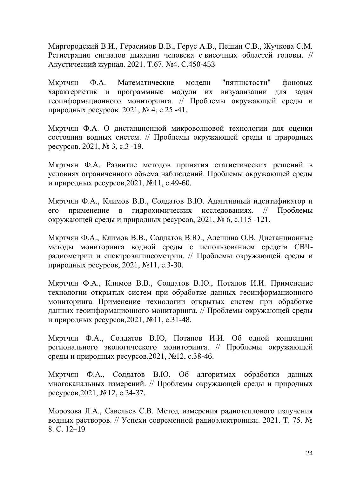Миргородский В.И., Герасимов В.В., Герус А.В., Пешин С.В., Жучкова С.М. [Регистрация сигналов дыхания человека с](https://elibrary.ru/item.asp?id=46322080) височных областей головы. // [Акустический журнал.](https://elibrary.ru/title_about.asp?id=7658) 2021. Т.67. №4. С.450-453

Мкртчян Ф.А. Математические модели "пятнистости" фоновых характеристик и программные модули их визуализации для задач геоинформационного мониторинга. // Проблемы окружающей среды и природных ресурсов. 2021, № 4, с.25 -41.

Мкртчян Ф.А. О дистанционной микроволновой технологии для оценки состояния водных систем. // Проблемы окружающей среды и природных ресурсов. 2021, № 3, с.3 -19.

Мкртчян Ф.А. Развитие методов принятия статистических решений в условиях ограниченного объема наблюдений. Проблемы окружающей среды и природных ресурсов,2021, №11, с.49-60.

Мкртчян Ф.А., Климов В.В., Солдатов В.Ю. Адаптивный идентификатор и его применение в гидрохимических исследованиях. // Проблемы окружающей среды и природных ресурсов, 2021, № 6, с.115 -121.

Мкртчян Ф.А., Климов В.В., Солдатов В.Ю., Алешина О.В. Дистанционные методы мониторинга водной среды с использованием средств СВЧрадиометрии и спектроэллипсометрии. // Проблемы окружающей среды и природных ресурсов, 2021, №11, с.3-30.

Мкртчян Ф.А., Климов В.В., Солдатов В.Ю., Потапов И.И. Применение технологии открытых систем при обработке данных геоинформационного мониторинга Применение технологии открытых систем при обработке данных геоинформационного мониторинга. // Проблемы окружающей среды и природных ресурсов,2021, №11, с.31-48.

Мкртчян Ф.А., Солдатов В.Ю, Потапов И.И. Об одной концепции регионального экологического мониторинга. // Проблемы окружающей среды и природных ресурсов,2021, №12, с.38-46.

Мкртчян Ф.А., Солдатов В.Ю. Об алгоритмах обработки данных многоканальных измерений. // Проблемы окружающей среды и природных ресурсов,2021, №12, с.24-37.

Морозова Л.А., Савельев С.В. Метод измерения радиотеплового излучения водных растворов. // Успехи современной радиоэлектроники. 2021. T. 75. № 8. С. 12–19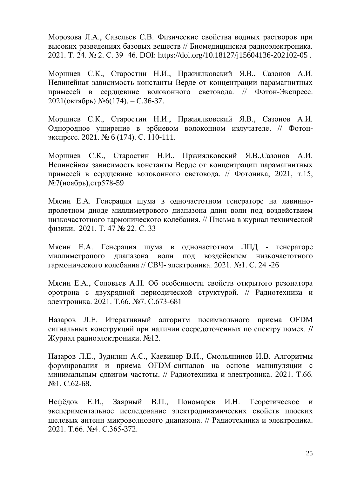Морозова Л.А., Савельев С.В. Физические свойства водных растворов при высоких разведениях базовых веществ // Биомедицинская радиоэлектроника. 2021. T. 24. № 2. С. 39−46. DOI: [https://doi.org/10.18127/j15604136-202102-05 .](https://doi.org/10.18127/j15604136-202102-05%20.)

Моршнев С.К., Старостин Н.И., Пржиялковский Я.В., Сазонов А.И. Нелинейная зависимость константы Верде от концентрации парамагнитных примесей в сердцевине волоконного световода. // Фотон-Экспресс. 2021(октябрь) №6(174). – C.36-37.

Моршнев С.К., Старостин Н.И., Пржиялковский Я.В., Сазонов А.И. [Однородное уширение в эрбиевом волоконном излучателе.](https://elibrary.ru/item.asp?id=46695318) // [Фотон](https://elibrary.ru/contents.asp?id=46695268)[экспресс.](https://elibrary.ru/contents.asp?id=46695268) 2021. № 6 [\(174\).](https://elibrary.ru/contents.asp?id=46695268&selid=46695318) С. 110-111.

Моршнев С.К., Старостин Н.И., Пржиялковский Я.В.,Сазонов А.И. Нелинейная зависимость константы Верде от концентрации парамагнитных примесей в сердцевине волоконного световода. // Фотоника, 2021, т.15, №7(ноябрь),стр578-59

Мясин Е.А. Генерация шума в одночастотном генераторе на лавиннопролетном диоде миллиметрового диапазона длин волн под воздействием низкочастотного гармонического колебания. // [Письма в журнал технической](http://journals.ioffe.ru/journals/4)  [физики.](http://journals.ioffe.ru/journals/4) [2021. Т. 47 № 22](http://journals.ioffe.ru/issues/2090)[. С. 33](http://journals.ioffe.ru/articles/51724)

Мясин Е.А. Генерация шума в одночастотном ЛПД - генераторе миллиметропого диапазона волн под воздейсвием низкочастотного гармонического колебания // СВЧ- электроника. 2021. №1. С. 24 -26

Мясин Е.А., Соловьев А.Н. [Об особенности свойств открытого резонатора](https://www.elibrary.ru/item.asp?id=46120237)  [оротрона с двухрядной периодической структурой.](https://www.elibrary.ru/item.asp?id=46120237) // [Радиотехника и](https://www.elibrary.ru/title_about.asp?id=7980)  [электроника.](https://www.elibrary.ru/title_about.asp?id=7980) 2021. Т.66. №7. С.673-681

Назаров Л.Е. Итеративный алгоритм посимвольного приема OFDM сигнальных конструкций при наличии сосредоточенных по спектру помех. **//**  Журнал радиоэлектроники. №12.

Назаров Л.Е., Зудилин А.С., Каевицер В.И., Смольянинов И.В. [Алгоритмы](https://www.elibrary.ru/item.asp?id=44596082)  [формирования и приема OFDM-сигналов на основе манипуляции с](https://www.elibrary.ru/item.asp?id=44596082)  [минимальным сдвигом частоты.](https://www.elibrary.ru/item.asp?id=44596082) // [Радиотехника и электроника.](https://www.elibrary.ru/title_about.asp?id=7980) 2021. Т.66. №1. С.62-68.

Нефёдов Е.И., Заярный В.П., Пономарев И.Н. [Теоретическое и](https://www.elibrary.ru/item.asp?id=44811277)  [экспериментальное исследование электродинамических свойств плоских](https://www.elibrary.ru/item.asp?id=44811277)  [щелевых антенн микроволнового диапазона.](https://www.elibrary.ru/item.asp?id=44811277) // [Радиотехника и электроника.](https://www.elibrary.ru/title_about.asp?id=7980) 2021. Т.66. №4. С.365-372.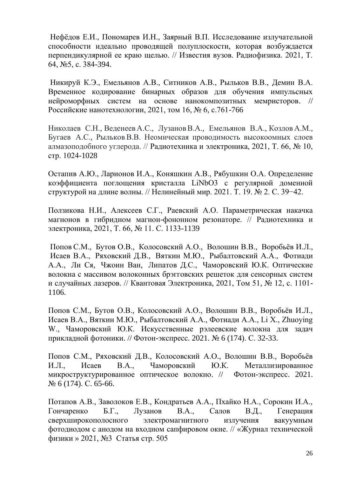Нефёдов Е.И., Пономарев И.Н., Заярный В.П. Исследование излучательной способности идеально проводящей полуплоскости, которая возбуждается перпендикулярной ее краю щелью. // Известия вузов. Радиофизика. 2021, Т.  $64,$  N<sup>o</sup> 5, c. 384-394.

Никируй К.Э., Емельянов А.В., Ситников А.В., Рыльков В.В., Демин В.А. [Временное кодирование бинарных образов для обучения импульсных](https://elibrary.ru/item.asp?id=47188580)  [нейроморфных систем на основе нанокомпозитных мемристоров.](https://elibrary.ru/item.asp?id=47188580) // Российские нанотехнологии, 2021, том 16, № 6, с.761-766

Николаев С.Н., Веденеев А.С., Лузанов В.А., Емельянов В.А., Козлов А.М., Бугаев А.С., РыльковВ.В. Неомическая проводимость высокоомных слоев алмазоподобного углерода. // Радиотехника и электроника, 2021, Т. 66, № 10, стр. 1024-1028

Остапив А.Ю., Ларионов И.А., Коняшкин А.В., Рябушкин О.А. Определение коэффициента поглощения кристалла LiNbO3 с регулярной доменной структурой на длине волны. // Нелинейный мир. 2021. Т. 19. № 2. С. 39−42.

Ползикова Н.И., Алексеев С.Г., Раевский А.О. [Параметрическая накачка](https://www.elibrary.ru/item.asp?id=46621819)  [магнонов в гибридном магнон-фононном резонаторе.](https://www.elibrary.ru/item.asp?id=46621819) // Радиотехника и электроника, 2021, T. 66, № 11. С. 1133-1139

[Попов](https://www.quantum-electron.ru/php/author_rus.phtml?jrnid=qe&authorid=46893) С.М., [Бутов](https://www.quantum-electron.ru/php/author_rus.phtml?jrnid=qe&authorid=7932) О.В., [Колосовский](https://www.quantum-electron.ru/php/author_rus.phtml?jrnid=qe&authorid=46894) А.О., [Волошин](https://www.quantum-electron.ru/php/author_rus.phtml?jrnid=qe&authorid=46895) В.В., [Воробьёв](https://www.quantum-electron.ru/php/author_rus.phtml?jrnid=qe&authorid=11382) И.Л., [Исаев](https://www.quantum-electron.ru/php/author_rus.phtml?jrnid=qe&authorid=19189) В.А., [Ряховский](https://www.quantum-electron.ru/php/author_rus.phtml?jrnid=qe&authorid=48151) Д.В., [Вяткин](https://www.quantum-electron.ru/php/author_rus.phtml?jrnid=qe&authorid=15212) М.Ю., [Рыбалтовский](https://www.quantum-electron.ru/php/author_rus.phtml?jrnid=qe&authorid=11416) А.А., [Фотиади](https://www.quantum-electron.ru/php/author_rus.phtml?jrnid=qe&authorid=12428) А.А., [Ли Ся,](https://www.quantum-electron.ru/php/author_rus.phtml?jrnid=qe&authorid=48152) [Чжоин Ван,](https://www.quantum-electron.ru/php/author_rus.phtml?jrnid=qe&authorid=48153) [Липатов](https://www.quantum-electron.ru/php/author_rus.phtml?jrnid=qe&authorid=36377) Д.С., [Чаморовский](https://www.quantum-electron.ru/php/author_rus.phtml?jrnid=qe&authorid=13903) Ю.К. Оптические волокна с массивом волоконных брэгговских решеток для сенсорных систем и случайных лазеров. // Квантовая Электроника, 2021, Том 51, № 12, с. 1101- 1106.

Попов С.М., Бутов О.В., Колосовский А.О., Волошин В.В., Воробьёв И.Л., Исаев В.А., Вяткин М.Ю., Рыбалтовский А.А., Фотиади А.А., Li X., Zhuoying W., Чаморовский Ю.К. [Искусственные рэлеевские волокна для задач](https://elibrary.ru/item.asp?id=46695278)  [прикладной фотоники.](https://elibrary.ru/item.asp?id=46695278) // [Фотон-экспресс.](https://elibrary.ru/contents.asp?id=46695268) 2021. № 6 [\(174\).](https://elibrary.ru/contents.asp?id=46695268&selid=46695318) С. 32-33.

Попов С.М., Ряховский Д.В., Колосовский А.О., Волошин В.В., Воробьёв И.Л., Исаев В.А., Чаморовский Ю.К. [Металлизированное](https://elibrary.ru/item.asp?id=46695295)  [микроструктурированное оптическое волокно.](https://elibrary.ru/item.asp?id=46695295) // [Фотон-экспресс.](https://elibrary.ru/contents.asp?id=46695268) 2021. № 6 [\(174\).](https://elibrary.ru/contents.asp?id=46695268&selid=46695318) С. 65-66.

Потапов А.В., Заволоков Е.В., Кондратьев А.А., Пхайко Н.А., Сорокин И.А., Гончаренко Б.Г., Лузанов В.А., Салов В.Д., Генерация сверхширокополосного электромагнитного излучения вакуумным фотодиодом с анодом на входном сапфировом окне. // [«Журнал технической](https://journals.ioffe.ru/journals/3)  [физики](https://journals.ioffe.ru/journals/3) » [2021, №3](https://journals.ioffe.ru/issues/2031) [Статья стр. 505](https://journals.ioffe.ru/articles/50530)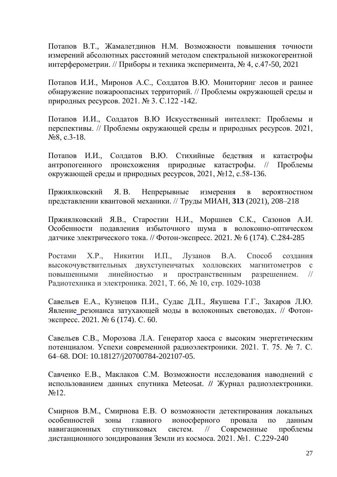Потапов В.Т., Жамалетдинов Н.М. Возможности повышения точности измерений абсолютных расстояний методом спектральной низкокогерентной интерферометрии. // Приборы и техника эксперимента, № 4, с.47-50, 2021

Потапов И.И., Миронов А.С., Солдатов В.Ю. Мониторинг лесов и раннее обнаружение пожароопасных территорий. // Проблемы окружающей среды и природных ресурсов. 2021. № 3. С.122 -142.

Потапов И.И., Солдатов В.Ю [Искусственный](https://www.elibrary.ru/item.asp?id=46667982) интеллект: Проблемы и перспективы. // Проблемы окружающей среды и природных ресурсов. 2021, №8, с.3-18.

Потапов И.И., Солдатов В.Ю. Стихийные бедствия и катастрофы антропогенного происхожения природные катастрофы. // Проблемы окружающей среды и природных ресурсов, 2021, №12, с.58-136.

Пржиялковский Я. В. Непрерывные измерения в вероятностном представлении квантовой механики. // Труды МИАН, **313** (2021), 208–218

Пржиялковский Я.В., Старостин Н.И., Моршнев С.К., Сазонов А.И. [Особенности подавления избыточного шума в волоконно-оптическом](https://elibrary.ru/item.asp?id=46695417)  [датчике электрического тока.](https://elibrary.ru/item.asp?id=46695417) // [Фотон-экспресс.](https://elibrary.ru/contents.asp?id=46695268) 2021. № 6 [\(174\).](https://elibrary.ru/contents.asp?id=46695268&selid=46695318) С.284-285

Ростами Х.Р., Никитин И.П., Лузанов В.А. Способ создания высокочувствительных двухступенчатых холловских магнитометров с повышенными линейностью и пространственным разрешением. // Радиотехника и электроника. 2021, T. 66, № 10, стр. 1029-1038

Савельев Е.А., Кузнецов П.И., Судас Д.П., Якушева Г.Г., Захаров Л.Ю. Явление [резонанса затухающей моды в волоконных световодах.](https://elibrary.ru/item.asp?id=46695292) // [Фотон](https://elibrary.ru/contents.asp?id=46695268)[экспресс.](https://elibrary.ru/contents.asp?id=46695268) 2021. № 6 [\(174\).](https://elibrary.ru/contents.asp?id=46695268&selid=46695318) С. 60.

Савельев С.В., Морозова Л.А. Генератор хаоса с высоким энергетическим потенциалом. Успехи современной радиоэлектроники. 2021. T. 75. № 7. С. 64–68. DOI: 10.18127/j20700784-202107-05.

Савченко Е.В., Маклаков С.М. Возможности исследования наводнений с использованием данных спутника Meteosat. **//** Журнал радиоэлектроники.  $\mathcal{N}$ <sup>0</sup>12.

Смирнов В.М., Смирнова Е.В. [О возможности детектирования локальных](http://jr.rse.cosmos.ru/article.aspx?id=2299)  [особенностей зоны главного ионосферного провала по данным](http://jr.rse.cosmos.ru/article.aspx?id=2299)  [навигационных спутниковых систем.](http://jr.rse.cosmos.ru/article.aspx?id=2299) // Современные проблемы дистанционного зондирования Земли из космоса. 2021. №1. С.229-240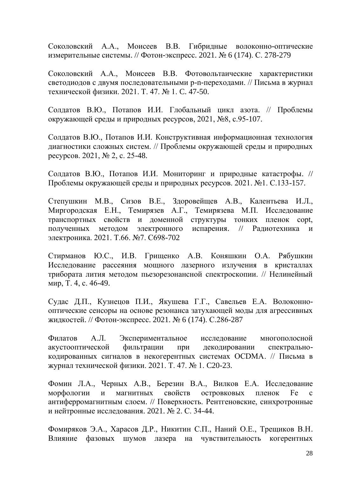Соколовский А.А., Моисеев В.В. [Гибридные волоконно-оптические](https://elibrary.ru/item.asp?id=46695414)  [измерительные системы.](https://elibrary.ru/item.asp?id=46695414) // [Фотон-экспресс.](https://elibrary.ru/contents.asp?id=46695268) 2021. № 6 [\(174\).](https://elibrary.ru/contents.asp?id=46695268&selid=46695318) С. 278-279

Соколовский А.А., Моисеев В.В. [Фотовольтаические характеристики](https://journals.ioffe.ru/articles/50459)  [светодиодов с двумя последовательными p-n-переходами.](https://journals.ioffe.ru/articles/50459) // Письма в журнал технической физики. 2021. Т. 47. № 1. C. 47-50.

Солдатов В.Ю., Потапов И.И. Глобальный цикл азота. // Проблемы окружающей среды и природных ресурсов, 2021, №8, с.95-107.

Солдатов В.Ю., Потапов И.И. Конструктивная информационная технология диагностики сложных систем. // Проблемы окружающей среды и природных ресурсов. 2021, № 2, с. 25-48.

Солдатов В.Ю., Потапов И.И. [Мониторинг и природные катастрофы.](https://www.elibrary.ru/item.asp?id=44834520) // Проблемы окружающей среды и природных ресурсов. 2021. №1. С.133-157.

Степушкин М.В., Сизов В.Е., Здоровейщев А.В., Калентьева И.Л., Миргородская Е.Н., Темирязев А.Г., Темирязева М.П. [Исследование](https://www.elibrary.ru/item.asp?id=46120240)  [транспортных свойств и доменной структуры тонких пленок copt,](https://www.elibrary.ru/item.asp?id=46120240)  [полученных методом электронного испарения.](https://www.elibrary.ru/item.asp?id=46120240) // [Радиотехника и](https://www.elibrary.ru/title_about.asp?id=7980)  [электроника.](https://www.elibrary.ru/title_about.asp?id=7980) 2021. Т.66. №7. С698-702

Стирманов Ю.С., И.В. Грищенко А.В. Коняшкин О.А. Рябушкин Исследование рассеяния мощного лазерного излучения в кристаллах трибората лития методом пьезорезонансной спектроскопии. // Нелинейный мир, Т. 4, с. 46-49.

Судас Д.П., Кузнецов П.И., Якушева Г.Г., Савельев Е.А. [Волоконно](https://elibrary.ru/item.asp?id=46695418)[оптические сенсоры на основе резонанса затухающей моды для агрессивных](https://elibrary.ru/item.asp?id=46695418)  [жидкостей.](https://elibrary.ru/item.asp?id=46695418) // [Фотон-экспресс.](https://elibrary.ru/contents.asp?id=46695268) 2021. № 6 [\(174\).](https://elibrary.ru/contents.asp?id=46695268&selid=46695318) С.286-287

Филатов А.Л. [Экспериментальное исследование многополосной](https://journals.ioffe.ru/articles/50452)  [акустооптической фильтрации при декодировании спектрально](https://journals.ioffe.ru/articles/50452)[кодированных сигналов в некогерентных системах OCDMA.](https://journals.ioffe.ru/articles/50452) // Письма в журнал технической физики. 2021. Т. 47. № 1. C20-23.

Фомин Л.А., Черных А.В., Березин В.А., Вилков Е.А. [Исследование](https://elibrary.ru/item.asp?id=44514615)  [морфологии и магнитных свойств островковых пленок Fe с](https://elibrary.ru/item.asp?id=44514615)  [антиферромагнитным слоем.](https://elibrary.ru/item.asp?id=44514615) // [Поверхность. Рентгеновские, синхротронные](https://elibrary.ru/contents.asp?id=44514611)  [и нейтронные исследования.](https://elibrary.ru/contents.asp?id=44514611) 2021. [№](https://elibrary.ru/contents.asp?id=44514611&selid=44514615) 2. С. 34-44.

Фомиряков Э.А., Харасов Д.Р., Никитин С.П., Наний О.Е., Трещиков В.Н. Влияние фазовых шумов лазера на чувствительность когерентных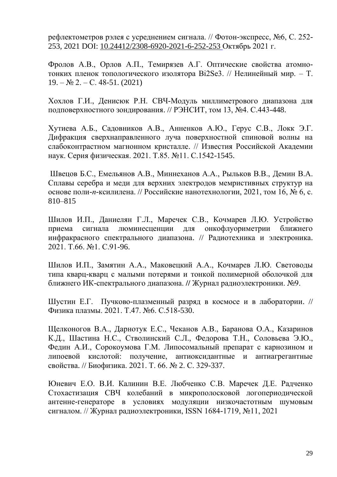рефлектометров рэлея с усреднением сигнала. // Фотон-экспресс, №6, С. 252- 253, 2021 DOI: [10.24412/2308-6920-2021-6-252-253](https://doi.org/10.24412/2308-6920-2021-6-252-253) Октябрь 2021 г.

Фролов А.В., Орлов А.П., Темирязев А.Г. Оптические свойства атомнотонких пленок топологического изолятора Bi2Se3. // Нелинейный мир. – Т.  $19. - N_2 2. - C. 48-51. (2021)$ 

Хохлов Г.И., Денисюк Р.Н. [СВЧ-Модуль миллиметрового диапазона для](https://elibrary.ru/item.asp?id=47433072)  [подповерхностного зондирования.](https://elibrary.ru/item.asp?id=47433072) // РЭНСИТ, том 13, №4. С.443-448.

Хутиева А.Б., Садовников А.В., Анненков А.Ю., Герус С.В., Локк Э.Г. [Дифракция сверхнаправленного луча поверхностной спиновой волны на](https://elibrary.ru/item.asp?id=46688076)  [слабоконтрастном магнонном кристалле.](https://elibrary.ru/item.asp?id=46688076) // Известия Российской Академии наук. Серия физическая. 2021. Т.85. №11. С.1542-1545.

Швецов Б.С., Емельянов А.В., Миннеханов А.А., Рыльков В.В., Демин В.А. Сплавы серебра и меди для верхних электродов мемристивных структур на основе поли-*п*-ксилилена. // Российские нанотехнологии, 2021, том 16, № 6, с. 810–815

Шилов И.П., Даниелян Г.Л., Маречек С.В., Кочмарев Л.Ю. [Устройство](https://www.elibrary.ru/item.asp?id=44596085)  [приема сигнала люминесценции для онкофлуориметрии ближнего](https://www.elibrary.ru/item.asp?id=44596085)  [инфракрасного спектрального диапазона.](https://www.elibrary.ru/item.asp?id=44596085) // [Радиотехника и электроника.](https://www.elibrary.ru/title_about.asp?id=7980) 2021. Т.66. №1. С.91-96.

Шилов И.П., Замятин А.А., Маковецкий А.А., Кочмарев Л.Ю. Световоды типа кварц-кварц с малыми потерями и тонкой полимерной оболочкой для ближнего ИК-спектрального диапазона. **//** Журнал радиоэлектроники. №9.

Шустин Е.Г. [Пучково-плазменный разряд в космосе и в лаборатории.](https://sciencejournals.ru/view-article/?j=fizplaz&y=2021&v=47&n=6&a=FizPlaz2106014Shustin) // [Физика плазмы.](https://www.elibrary.ru/contents.asp?id=42862738) 2021. Т.47. №6. С.518-530.

Щелконогов В.А., Дарнотук Е.С., Чеканов А.В., Баранова О.А., Казаринов К.Д., Шастина Н.С., Стволинский С.Л., Федорова Т.Н., Соловьева Э.Ю., Федин А.И., Сорокоумова Г.М. [Липосомальный препарат с карнозином и](https://elibrary.ru/item.asp?id=44743612)  [липоевой кислотой: получение, антиоксидантные и антиагрегантные](https://elibrary.ru/item.asp?id=44743612)  [свойства.](https://elibrary.ru/item.asp?id=44743612) // [Биофизика.](https://elibrary.ru/contents.asp?id=44743598) 2021. Т. 66. [№](https://elibrary.ru/contents.asp?id=44743598&selid=44743612) 2. С. 329-337.

Юневич Е.О. В.И. Калинин В.Е. Любченко С.В. Маречек Д.Е. Радченко Стохастизация СВЧ колебаний в микрополосковой логопериодической антенне-генераторе в условиях модуляции низкочастотным шумовым сигналом. // Журнал радиоэлектроники, ISSN 1684-1719, №11, 2021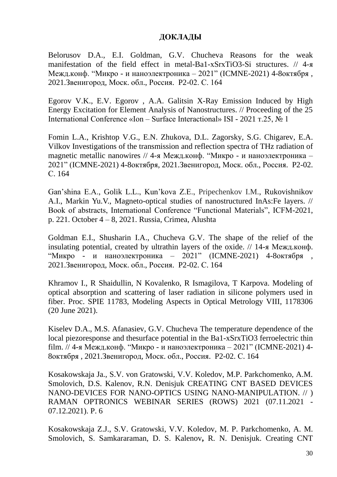#### **ДОКЛАДЫ**

Belorusov D.A., E.I. Goldman, G.V. Chucheva Reasons for the weak manifestation of the field effect in metal-Ba1-хSrхTiO3-Si structures. // 4-я Межд.конф. "Микро - и наноэлектроника – 2021" (ICMNE-2021) 4-8октября , 2021.Звенигород, Моск. обл., Россия. P2-02. С. 164

Egorov V.K., E.V. Egorov , A.A. Galitsin X-Ray Emission Induced by High Energy Excitation for Element Analysis of Nanostructures. // Proceeding of the 25 International Conference «Ion – Surface Interactional» ISI - 2021 т.25, № 1

Fomin L.A., Krishtop V.G., E.N. Zhukova, D.L. Zagorsky, S.G. Chigarev, E.A. Vilkov Investigations of the transmission and reflection spectra of THz radiation of magnetic metallic nanowires  $// 4-A$  Межд.конф. "Микро - и наноэлектроника – 2021" (ICMNE-2021) 4-8октября, 2021.Звенигород, Моск. обл., Россия. P2-02. С. 164

Gan'shina E.A., Golik L.L., Kun'kova Z.E., Pripechenkov I.M., Rukovishnikov A.I., Markin Yu.V., Magneto-optical studies of nanostructured InAs:Fe layers. // Book of abstracts, International Conference "Functional Materials", ICFM-2021, p. 221. October 4 – 8, 2021. Russia, Crimea, Alushta

Goldman E.I., Shusharin I.A., Chucheva G.V. The shape of the relief of the insulating potential, created by ultrathin layers of the oxide. // 14-я Межд.конф. "Микро - и наноэлектроника – 2021" (ICMNE-2021) 4-8октября , 2021.Звенигород, Моск. обл., Россия. P2-02. С. 164

Khramov I., R Shaidullin, N Kovalenko, R Ismagilova, T Karpova. Modeling of optical absorption and scattering of laser radiation in silicone polymers used in fiber. Proc. SPIE 11783, Modeling Aspects in Optical Metrology VIII, 1178306 (20 June 2021).

Kiselev D.A., M.S. Afanasiev, G.V. Chucheva The temperature dependence of the local piezoresponse and thesurface potential in the Ba1-xSrxTiO3 ferroelectric thin film. // 4-я Межд.конф. "Микро - и наноэлектроника – 2021" (ICMNE-2021) 4- 8октября , 2021.Звенигород, Моск. обл., Россия. P2-02. С. 164

Kosakowskaja Ja., S.V. von Gratowski, V.V. Koledov, M.P. Parkchomenko, A.M. Smolovich, D.S. Kalenov, R.N. Denisjuk CREATING CNT BASED DEVICES NANO-DEVICES FOR NANO-OPTICS USING NANO-MANIPULATION. // ) RAMAN OPTRONICS WEBINAR SERIES (ROWS) 2021 (07.11.2021 - 07.12.2021). P. 6

Kosakowskaja Z.J., S.V. Gratowski, V.V. Koledov, M. P. Parkchomenko, A. M. Smolovich, S. Samkararaman, D. S. Kalenov**,** R. N. Denisjuk. Creating CNT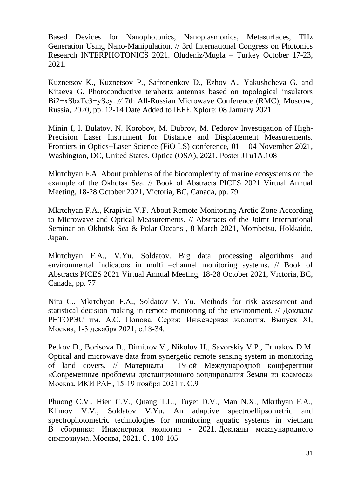Based Devices for Nanophotonics, Nanoplasmonics, Metasurfaces, THz Generation Using Nano-Manipulation. // 3rd International Congress on Photonics Research INTERPHOTONICS 2021. Oludeniz/Mugla – Turkey October 17-23, 2021.

Kuznetsov K., Kuznetsov P., Safronenkov D., Ezhov A., Yakushcheva G. and Kitaeva G. Photoconductive terahertz antennas based on topological insulators Bi2−xSbxTe3−ySey. *//* 7th All-Russian Microwave Conference (RMC)*,* Moscow, Russia, 2020, pp. 12-14 Date Added to IEEE Xplore: 08 January 2021

Minin I, I. Bulatov, N. Korobov, M. Dubrov, M. Fedorov Investigation of High-Precision Laser Instrument for Distance and Displacement Measurements. Frontiers in Optics+Laser Science (FiO LS) conference, 01 – 04 November 2021, Washington, DC, United States, Optica (OSA), 2021, Poster JTu1A.108

Mkrtchyan F.A. About problems of the biocomplexity of marine ecosystems on the example of the Okhotsk Sea. // Book of Abstracts PICES 2021 Virtual Annual Meeting, 18-28 October 2021, Victoria, BC, Canada, pp. 79

Mkrtchyan F.A., Krapivin V.F. About Remote Monitoring Arctic Zone According to Microwave and Optical Measurements. // Abstracts of the Joimt International Seminar on Okhotsk Sea & Polar Oceans , 8 March 2021, Mombetsu, Hokkaido, Japan.

Mkrtchyan F.A., V.Yu. Soldatov. Big data processing algorithms and environmental indicators in multi –channel monitoring systems. // Book of Abstracts PICES 2021 Virtual Annual Meeting, 18-28 October 2021, Victoria, BC, Canada, pp. 77

Nitu C., Mkrtchyan F.A., Soldatov V. Yu. Methods for risk assessment and statistical decision making in remote monitoring of the environment. // Доклады РНТОРЭС им. А.С. Попова, Серия: Инженерная экология, Выпуск XI, Москва, 1-3 декабря 2021, с.18-34.

Petkov D., Borisova D., Dimitrov V., Nikolov H., Savorskiy V.P., Ermakov D.M. Optical and microwave data from synergetic remote sensing system in [monitoring](http://conf.rse.geosmis.ru/files/books/2021/8908.htm) of land [covers.](http://conf.rse.geosmis.ru/files/books/2021/8908.htm) // Материалы 19-ой Международной конференции «Современные проблемы дистанционного зондирования Земли из космоса» Москва, ИКИ РАН, 15-19 ноября 2021 г. С.9

Phuong C.V., Hieu C.V., Quang T.L., Tuyet D.V., Man N.X., Mkrthyan F.A., Klimov V.V., Soldatov V.Yu. [An adaptive spectroellipsometric and](https://elibrary.ru/item.asp?id=46657453)  [spectrophotometric technologies for monitoring aquatic systems in vietnam](https://elibrary.ru/item.asp?id=46657453) В сборнике: Инженерная экология - 2021. Доклады международного симпозиума. Москва, 2021. С. 100-105.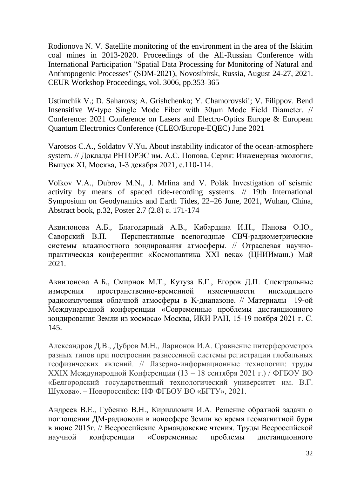Rodionova N. V. Satellite monitoring of the environment in the area of the Iskitim coal mines in 2013-2020. Proceedings of the All-Russian Conference with International Participation "Spatial Data Processing for Monitoring of Natural and Anthropogenic Processes" (SDM-2021), Novosibirsk, Russia, August 24-27, 2021. CEUR Workshop Proceedings, vol. 3006, pp.353-365

Ustimchik V.; D. Saharovs; A. Grishchenko; Y. Chamorovskii; V. Filippov. Bend Insensitive W-type Single Mode Fiber with 30µm Mode Field Diameter. // Conference: 2021 Conference on Lasers and Electro-Optics Europe & European Quantum Electronics Conference (CLEO/Europe-EQEC) June 2021

Varotsos C.A., Soldatov V.Yu**.** About instability indicator of the ocean-atmosphere system. // Доклады РНТОРЭС им. А.С. Попова, Серия: Инженерная экология, Выпуск XI, Москва, 1-3 декабря 2021, с.110-114.

Volkov V.A., Dubrov M.N., J. Mrlina and V. Polák Investigation of seismic activity by means of spaced tide-recording systems. // 19th International Symposium on Geodynamics and Earth Tides, 22–26 June, 2021, Wuhan, China, Abstract book, p.32, Poster 2.7 (2.8) с. 171-174

Аквилонова А.Б., Благодарный А.В., Кибардина И.Н., Панова О.Ю., Саворский В.П. Перспективные всепогодные СВЧ-радиометрические системы влажностного зондирования атмосферы. // Отраслевая научнопрактическая конференция «Космонавтика ХХI века» (ЦНИИмаш.) Май 2021.

Аквилонова А.Б., Смирнов М.Т., Кутуза Б.Г., Егоров Д.П. [Спектральные](http://conf.rse.geosmis.ru/files/books/2021/8728.htm)  [измерения пространственно-временной изменчивости нисходящего](http://conf.rse.geosmis.ru/files/books/2021/8728.htm)  [радиоизлучения облачной атмосферы в K-диапазоне.](http://conf.rse.geosmis.ru/files/books/2021/8728.htm) // Материалы 19-ой Международной конференции «Современные проблемы дистанционного зондирования Земли из космоса» Москва, ИКИ РАН, 15-19 ноября 2021 г. С. 145.

Александров Д.В., Дубров М.Н., Ларионов И.А. Сравнение интерферометров разных типов при построении разнесенной системы регистрации глобальных геофизических явлений. // Лазерно-информационные технологии: труды XXIX Международной Конференции (13 – 18 сентября 2021 г.) / ФГБОУ ВО «Белгородский государственный технологический университет им. В.Г. Шухова». – Новороссийск: НФ ФГБОУ ВО «БГТУ», 2021.

Андреев В.Е., Губенко В.Н., Кириллович И.А. Решение обратной задачи о поглощении ДМ-радиоволн в ионосфере Земли во время геомагнитной бури в июне 2015г. // Всероссийские Армандовские чтения. Труды Всероссийской научной конференции «Современные проблемы дистанционного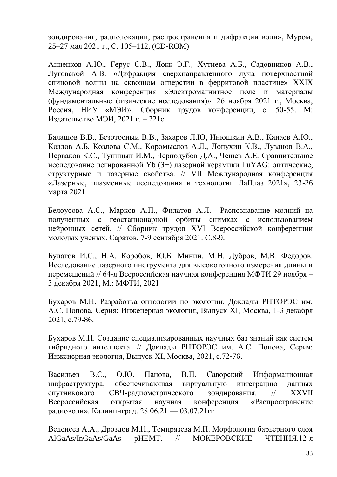зондирования, радиолокации, распространения и дифракции волн», Муром, 25–27 мая 2021 г., С. 105–112, (CD-ROM)

Анненков А.Ю., Герус С.В., Локк Э.Г., Хутиева А.Б., Садовников А.В., Луговской А.В. «Дифракция сверхнаправленного луча поверхностной спиновой волны на сквозном отверстии в ферритовой пластине» XXIX Международная конференция «Электромагнитное поле и материалы (фундаментальные физические исследования)». 26 ноября 2021 г., Москва, Россия, НИУ «МЭИ». Сборник трудов конференции, с. 50-55. М: Издательство МЭИ, 2021 г. – 221с.

Балашов В.В., Безотосный В.В., Захаров Л.Ю, Инюшкин А.В., Канаев А.Ю., Козлов А.Б, Козлова С.М., Коромыслов А.Л., Лопухин К.В., Лузанов В.А., Перваков К.С., Тупицын И.М., Чернодубов Д.А., Чешев А.Е. Сравнительное исследование легированной Yb (3+) лазерной керамики LuYAG: оптические, структурные и лазерные свойства. // VII Международная конференция «Лазерные, плазменные исследования и технологии ЛаПлаз 2021», 23-26 марта 2021

Белоусова А.С., Марков А.П., Филатов А.Л. Распознавание молний на полученных с геостационарной орбиты снимках с использованием нейронных сетей. // Сборник трудов XVI Всероссийской конференции молодых ученых. Саратов, 7-9 сентября 2021. С.8-9.

Булатов И.С., Н.А. Коробов, Ю.Б. Минин, М.Н. Дубров, М.В. Федоров. Исследование лазерного инструмента для высокоточного измерения длины и перемещений // 64-я Всероссийская научная конференция МФТИ 29 ноября – 3 декабря 2021, М.: МФТИ, 2021

Бухаров М.Н. Разработка онтологии по экологии. Доклады РНТОРЭС им. А.С. Попова, Серия: Инженерная экология, Выпуск XI, Москва, 1-3 декабря 2021, с.79-86.

Бухаров М.Н. Создание специализированных научных баз знаний как систем гибридного интеллекта. // Доклады РНТОРЭС им. А.С. Попова, Серия: Инженерная экология, Выпуск XI, Москва, 2021, с.72-76.

Васильев В.С., О.Ю. Панова, В.П. Саворский Информационная инфраструктура, обеспечивающая виртуальную интеграцию данных спутникового СВЧ-радиометрического зондирования. // XXVII Всероссийская открытая научная конференция «Распространение радиоволн». Калининград. 28.06.21 — 03.07.21гг

Веденеев А.А., Дроздов М.Н., Темирязева М.П. Морфология барьерного слоя AlGaAs/InGaAs/GaAs pHEMT. // МОКЕРОВСКИЕ ЧТЕНИЯ.12-я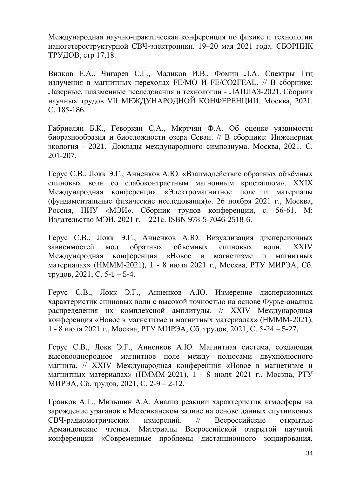Международная научно-практическая конференция по физике и технологии наногетероструктурной СВЧ-электроники. 19–20 мая 2021 года. СБОРНИК ТРУДОВ, стр 17,18.

Вилков Е.А., Чигарев С.Г., Маликов И.В., Фомин Л.А. [Спектры](https://www.elibrary.ru/item.asp?id=45698314) Тгц [излучения в магнитных переходах FE/MO И FE/CO2FEAL.](https://www.elibrary.ru/item.asp?id=45698314) // В сборнике: Лазерные, плазменные исследования и технологии - ЛАПЛАЗ-2021. Сборник научных трудов VII МЕЖДУНАРОДНОЙ КОНФЕРЕНЦИИ. Москва, 2021. С. 185-186.

Габриелян Б.К., Геворкян С.А., Мкртчян Ф.А. [Об оценке уязвимости](https://elibrary.ru/item.asp?id=46657328)  [биоразнообразия и биосложности озера Севан.](https://elibrary.ru/item.asp?id=46657328) // В сборнике: Инженерная экология - 2021. Доклады международного симпозиума. Москва, 2021. С. 201-207.

Герус С.В., Локк Э.Г., Анненков А.Ю. «Взаимодействие обратных объёмных спиновых волн со слабоконтрастным магнонным кристаллом». XXIX Международная конференция «Электромагнитное поле и материалы (фундаментальные физические исследования)». 26 ноября 2021 г., Москва, Россия, НИУ «МЭИ». Сборник трудов конференции, с. 56-61. М: Издательство МЭИ, 2021 г. – 221с. ISBN 978-5-7046-2518-6.

Герус С.В., Локк Э.Г., Анненков А.Ю. Визуализация дисперсионных зависимостей мод обратных объемных спиновых волн. XXIV Международная конференция «Новое в магнетизме и магнитных материалах» (НМММ-2021), 1 - 8 июля 2021 г., Москва, РТУ МИРЭА, Сб. трудов, 2021, С. 5-1 – 5-4.

Герус С.В., Локк Э.Г., Анненков А.Ю. Измерение дисперсионных характеристик спиновых волн с высокой точностью на основе Фурье-анализа распределения их комплексной амплитуды. // XXIV Международная конференция «Новое в магнетизме и магнитных материалах» (НМММ-2021), 1 - 8 июля 2021 г., Москва, РТУ МИРЭА, Сб. трудов, 2021, С. 5-24 – 5-27.

Герус С.В., Локк Э.Г., Анненков А.Ю. Магнитная система, создающая высокооднородное магнитное поле между полюсами двухполюсного магнита. // XXIV Международная конференция «Новое в магнетизме и магнитных материалах» (НМММ-2021), 1 - 8 июля 2021 г., Москва, РТУ МИРЭА, Сб. трудов, 2021, С. 2-9 – 2-12.

Гранков А.Г., Мильшин А.А. Анализ реакции характеристик атмосферы на зарождение ураганов в Мексиканском заливе на основе данных спутниковых СВЧ-радиометрических измерений. // Всероссийские открытые Армандовские чтения. Материалы Всероссийской открытой научной конференции «Современные проблемы дистанционного зондирования,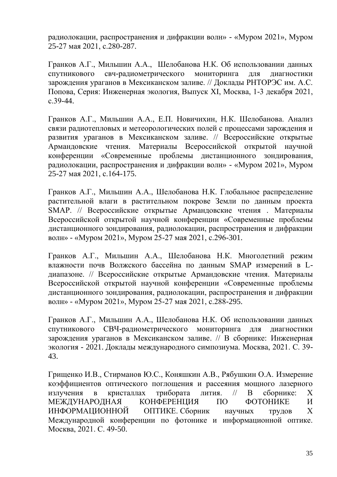радиолокации, распространения и дифракции волн» - «Муром 2021», Муром 25-27 мая 2021, с.280-287.

Гранков А.Г., Мильшин А.А., Шелобанова Н.К. Об использовании данных спутникового свч-радиометрического мониторинга для диагностики зарождения ураганов в Мексиканском заливе. // Доклады РНТОРЭС им. А.С. Попова, Серия: Инженерная экология, Выпуск XI, Москва, 1-3 декабря 2021, с.39-44.

Гранков А.Г., Мильшин А.А., Е.П. Новичихин, Н.К. Шелобанова. Анализ связи радиотепловых и метеорологических полей с процессами зарождения и развития ураганов в Мексиканском заливе. // Всероссийские открытые Армандовские чтения. Материалы Всероссийской открытой научной конференции «Современные проблемы дистанционного зондирования, радиолокации, распространения и дифракции волн» - «Муром 2021», Муром 25-27 мая 2021, с.164-175.

Гранков А.Г., Мильшин А.А., Шелобанова Н.К. Глобальное распределение растительной влаги в растительном покрове Земли по данным проекта SMAP. // Всероссийские открытые Армандовские чтения . Материалы Всероссийской открытой научной конференции «Современные проблемы дистанционного зондирования, радиолокации, распространения и дифракции волн» - «Муром 2021», Муром 25-27 мая 2021, с.296-301.

Гранков А.Г., Мильшин А.А., Шелобанова Н.К. Многолетний режим влажности почв Волжского бассейна по данным SMAP измерений в Lдиапазоне. // Всероссийские открытые Армандовские чтения. Материалы Всероссийской открытой научной конференции «Современные проблемы дистанционного зондирования, радиолокации, распространения и дифракции волн» - «Муром 2021», Муром 25-27 мая 2021, с.288-295.

Гранков А.Г., Мильшин А.А., Шелобанова Н.К. [Об использовании данных](https://elibrary.ru/item.asp?id=46657294)  [спутникового СВЧ-радиометрического мониторинга для диагностики](https://elibrary.ru/item.asp?id=46657294)  [зарождения ураганов в Мексиканском заливе.](https://elibrary.ru/item.asp?id=46657294) // В сборнике: Инженерная экология - 2021. Доклады международного симпозиума. Москва, 2021. С. 39- 43.

Грищенко И.В., Стирманов Ю.С., Коняшкин А.В., Рябушкин О.А. [Измерение](https://elibrary.ru/item.asp?id=46597571)  [коэффициентов оптического поглощения и рассеяния мощного лазерного](https://elibrary.ru/item.asp?id=46597571)  [излучения в кристаллах трибората лития.](https://elibrary.ru/item.asp?id=46597571) // В сборнике: X МЕЖДУНАРОДНАЯ КОНФЕРЕНЦИЯ ПО ФОТОНИКЕ И ИНФОРМАЦИОННОЙ ОПТИКЕ. Сборник научных трудов X Международной конференции по фотонике и информационной оптике. Москва, 2021. С. 49-50.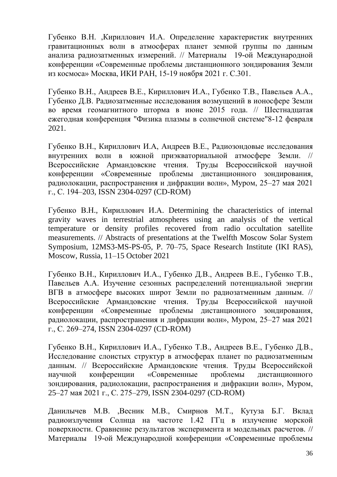Губенко В.Н. ,Кириллович И.А. [Определение характеристик внутренних](http://conf.rse.geosmis.ru/files/books/2021/8637.htm)  гравитационных [волн в атмосферах планет земной группы по данным](http://conf.rse.geosmis.ru/files/books/2021/8637.htm)  [анализа радиозатменных измерений.](http://conf.rse.geosmis.ru/files/books/2021/8637.htm) // Материалы 19-ой Международной конференции «Современные проблемы дистанционного зондирования Земли из космоса» Москва, ИКИ РАН, 15-19 ноября 2021 г. С.301.

Губенко В.Н., Андреев В.Е., Кириллович И.А., Губенко Т.В., Павельев А.А., Губенко Д.В. Радиозатменные исследования возмущений в ионосфере Земли во время геомагнитного шторма в июне 2015 года. // Шестнадцатая ежегодная конференция "Физика плазмы в солнечной системе"8-12 февраля 2021.

Губенко В.Н., Кириллович И.А, Андреев В.Е., Радиозондовые исследования внутренних волн в южной приэкваториальной атмосфере Земли. // Всероссийские Армандовские чтения. Труды Всероссийской научной конференции «Современные проблемы дистанционного зондирования, радиолокации, распространения и дифракции волн», Муром, 25–27 мая 2021 г., С. 194–203, ISSN 2304-0297 (CD-ROM)

Губенко В.Н., Кириллович И.А. Determining the characteristics of internal gravity waves in terrestrial atmospheres using an analysis of the vertical temperature or density profiles recovered from radio occultation satellite measurements. // Abstracts of presentations at the Twelfth Moscow Solar System Symposium, 12MS3-MS-PS-05, P. 70–75, Space Research Institute (IKI RAS), Moscow, Russia, 11–15 October 2021

Губенко В.Н., Кириллович И.А., Губенко Д.В., Андреев В.Е., Губенко Т.В., Павельев А.А. Изучение сезонных распределений потенциальной энергии ВГВ в атмосфере высоких широт Земли по радиозатменным данным. // Всероссийские Армандовские чтения. Труды Всероссийской научной конференции «Современные проблемы дистанционного зондирования, радиолокации, распространения и дифракции волн», Муром, 25–27 мая 2021 г., С. 269–274, ISSN 2304-0297 (CD-ROM)

Губенко В.Н., Кириллович И.А., Губенко Т.В., Андреев В.Е., Губенко Д.В., Исследование слоистых структур в атмосферах планет по радиозатменным данным. // Всероссийские Армандовские чтения. Труды Всероссийской научной конференции «Современные проблемы дистанционного зондирования, радиолокации, распространения и дифракции волн», Муром, 25–27 мая 2021 г., С. 275–279, ISSN 2304-0297 (CD-ROM)

Данилычев М.В. ,Весник М.В., Смирнов М.Т., Кутуза Б.Г. [Вклад](http://conf.rse.geosmis.ru/files/books/2021/8765.htm)  [радиоизлучения Солнца на частоте 1.42 ГГц в излучение морской](http://conf.rse.geosmis.ru/files/books/2021/8765.htm)  [поверхности. Сравнение результатов эксперимента и модельных расчетов.](http://conf.rse.geosmis.ru/files/books/2021/8765.htm) // Материалы 19-ой Международной конференции «Современные проблемы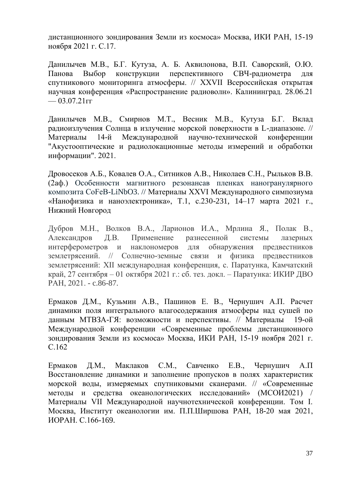дистанционного зондирования Земли из космоса» Москва, ИКИ РАН, 15-19 ноября 2021 г. С.17.

Данилычев М.В., Б.Г. Кутуза, А. Б. Аквилонова, В.П. Саворский, О.Ю. Панова Выбор конструкции перспективного СВЧ-радиометра для спутникового мониторинга атмосферы. // XXVII Всероссийская открытая научная конференция «Распространение радиоволн». Калининград. 28.06.21  $-03.07.21$ <sub>rf</sub>

Данилычев М.В., Смирнов М.Т., Весник М.В., Кутуза Б.Г. Вклад радиоизлучения Солнца в излучение морской поверхности в L-диапазоне. // Материалы 14-й Международной научно-технической конференции "Акустооптические и радиолокационные методы измерений и обработки информации". 2021.

Дровосеков А.Б., Ковалев О.А., Ситников А.В., Николаев С.Н., Рыльков В.В. (2аф.) Особенности магнитного резонансав пленках наногранулярного композита CoFeB-LiNbO3. // Материалы XXVI Международного симпозиума «Нанофизика и наноэлектроника», Т.1, с.230-231, 14–17 марта 2021 г., Нижний Новгород

Дубров М.Н., Волков В.А., Ларионов И.А., Мрлина Я., Полак В., Александров Д.В. Применение разнесенной системы лазерных интерферометров и наклономеров для обнаружения предвестников землетрясений. // Солнечно-земные связи и физика предвестников землетрясений: XII международная конференция, с. Паратунка, Камчатский край, 27 сентября – 01 октября 2021 г.: сб. тез. докл. – Паратунка: ИКИР ДВО РАН, 2021. - c.86-87.

Ермаков Д.М., Кузьмин А.В., Пашинов Е. В., Чернушич А.П. [Расчет](http://conf.rse.geosmis.ru/files/books/2021/8603.htm)  [динамики поля интегрального влагосодержания атмосферы над сушей по](http://conf.rse.geosmis.ru/files/books/2021/8603.htm)  [данным МТВЗА-ГЯ: возможности и перспективы.](http://conf.rse.geosmis.ru/files/books/2021/8603.htm) // Материалы 19-ой Международной конференции «Современные проблемы дистанционного зондирования Земли из космоса» Москва, ИКИ РАН, 15-19 ноября 2021 г. С.162

Ермаков Д.М., Маклаков С.М., Савченко Е.В., Чернушич А.П Восстановление динамики и заполнение пропусков в полях характеристик морской воды, измеряемых спутниковыми сканерами. // «Современные методы и средства океанологических исследований» (МСОИ2021) / Материалы VII Международной научнотехнической конференции. Том I. Москва, Институт океанологии им. П.П.Ширшова РАН, 18-20 мая 2021, ИОРАН. С.166-169.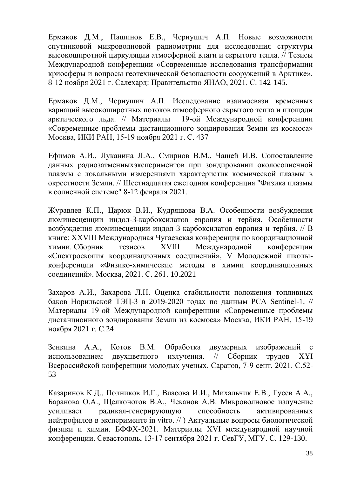Ермаков Д.М., Пашинов Е.В., Чернушич А.П. Новые возможности спутниковой микроволновой радиометрии для исследования структуры высокоширотной циркуляции атмосферной влаги и скрытого тепла. // Тезисы Международной конференции «Современные исследования трансформации криосферы и вопросы геотехнической безопасности сооружений в Арктике». 8-12 ноября 2021 г. Салехард: Правительство ЯНАО, 2021. С. 142-145.

Ермаков Д.М., Чернушич А.П. [Исследование взаимосвязи временных](http://conf.rse.geosmis.ru/files/books/2021/8867.htm)  [вариаций высокоширотных потоков атмосферного скрытого тепла и площади](http://conf.rse.geosmis.ru/files/books/2021/8867.htm)  [арктического льда.](http://conf.rse.geosmis.ru/files/books/2021/8867.htm) // Материалы 19-ой Международной конференции «Современные проблемы дистанционного зондирования Земли из космоса» Москва, ИКИ РАН, 15-19 ноября 2021 г. С. 437

Ефимов А.И., Луканина Л.А., Смирнов В.М., Чашей И.В. Сопоставление данных радиозатменныхэкспериментов при зондировании околосолнечной плазмы с локальными измерениями характеристик космической плазмы в окрестности Земли. // Шестнадцатая ежегодная конференция "Физика плазмы в солнечной системе" 8-12 февраля 2021.

Журавлев К.П., Царюк В.И., Кудряшова В.А. Особенности возбуждения люминесценции индол-3-карбоксилатов европия и тербия. Особенности возбуждения люминесценции индол-3-карбоксилатов европия и тербия. // В книге: XXVIII Международная Чугаевская конференция по координационной химии. Сборник тезисов XVIII Международной конференции «Спектроскопия координационных соединений», V Молодежной школыконференции «Физико-химические методы в химии координационных соединений». Москва, 2021. С. 261. 10.2021

Захаров А.И., Захарова Л.Н. [Оценка стабильности положения топливных](http://conf.rse.geosmis.ru/files/books/2021/8824.htm)  баков Норильской ТЭЦ-3 в [2019-2020 годах по данным РСА Sentinel-1.](http://conf.rse.geosmis.ru/files/books/2021/8824.htm) // Материалы 19-ой Международной конференции «Современные проблемы дистанционного зондирования Земли из космоса» Москва, ИКИ РАН, 15-19 ноября 2021 г. С.24

Зенкина А.А., Котов В.М. Обработка двумерных изображений с использованием двухцветного излучения. // Сборник трудов XYI Всероссийской конференции молодых ученых. Саратов, 7-9 сент. 2021. С.52- 53

Казаринов К.Д., Полников И.Г., Власова И.И., Михальчик Е.В., Гусев А.А., Баранова О.А., Щелконогов В.А., Чеканов А.В. Микроволновое излучение усиливает радикал-генерирующую способность активированных нейтрофилов в эксперименте in vitro. // ) Актуальные вопросы биологической физики и химии. БФФХ-2021. Материалы ХVI международной научной конференции. Севастополь, 13-17 сентября 2021 г. СевГУ, МГУ. С. 129-130.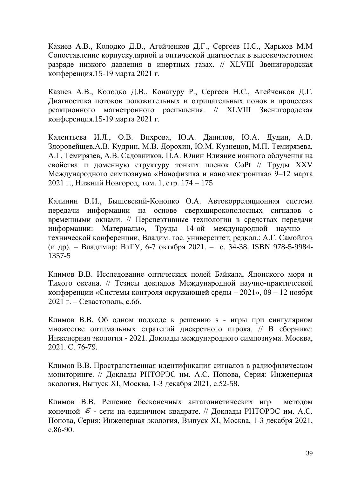Казиев А.В., Колодко Д.В., Агейченков Д.Г., Сергеев Н.С., Харьков М.М [Сопоставление корпускулярной и оптической диагностик в высокочастотном](http://www.fpl.gpi.ru/Zvenigorod/XLVIII/Lt/ru/EV-Kaziev.docx)  [разряде низкого давления в инертных газах.](http://www.fpl.gpi.ru/Zvenigorod/XLVIII/Lt/ru/EV-Kaziev.docx) // [XLVIII Звенигородская](http://www.fpl.gpi.ru/Zvenigorod/XLVIII/Zven_XLVIII.html)  [конференция.](http://www.fpl.gpi.ru/Zvenigorod/XLVIII/Zven_XLVIII.html)15-19 марта 2021 г.

Казиев А.В., Колодко Д.В., Конагуру Р., Сергеев Н.С., Агейченков Д.Г. [Диагностика потоков положительных и отрицательных ионов в процессах](http://www.fpl.gpi.ru/Zvenigorod/XLVIII/Lt/ru/EU-Kaziev.docx)  [реакционного магнетронного распыления.](http://www.fpl.gpi.ru/Zvenigorod/XLVIII/Lt/ru/EU-Kaziev.docx) // XLVIII [Звенигородская](http://www.fpl.gpi.ru/Zvenigorod/XLVIII/Zven_XLVIII.html)  [конференция.](http://www.fpl.gpi.ru/Zvenigorod/XLVIII/Zven_XLVIII.html)15-19 марта 2021 г.

Калентьева И.Л., О.В. Вихрова, Ю.А. Данилов, Ю.А. Дудин, А.В. Здоровейщев,А.В. Кудрин, М.В. Дорохин, Ю.М. Кузнецов, М.П. Темирязева, А.Г. Темирязев, А.В. Садовников, П.А. Юнин Влияние ионного облучения на свойства и доменную структуру тонких пленок CoPt // Труды XXV Международного симпозиума «Нанофизика и наноэлектроника» 9–12 марта 2021 г., Нижний Новгород, том. 1, стр. 174 – 175

Калинин В.И., Бышевский-Конопко О.А. Автокорреляционная система передачи информации на основе сверхширокополосных сигналов с временными окнами. // Перспективные технологии в средствах передачи информации: Материалы», Труды 14-ой международной научно – технической конференции, Владим. гос. университет; редкол.: А.Г. Самойлов (и др). – Владимир: ВлГУ, 6-7 октября 2021. – с. 34-38. ISBN 978-5-9984- 1357-5

Климов В.В. Исследование оптических полей Байкала, Японского моря и Тихого океана. // Тезисы докладов Международной научно-практической конференции «Системы контроля окружающей среды – 2021», 09 – 12 ноября 2021 г. – Севастополь, с.66.

Климов В.В. [Об одном подходе к решению s -](https://elibrary.ru/item.asp?id=46657302) игры при сингулярном [множестве оптимальных стратегий дискретного игрока.](https://elibrary.ru/item.asp?id=46657302) // В сборнике: Инженерная экология - 2021. Доклады международного симпозиума. Москва, 2021. С. 76-79.

Климов В.В. Пространственная идентификация сигналов в радиофизическом мониторинге. // Доклады РНТОРЭС им. А.С. Попова, Серия: Инженерная экология, Выпуск XI, Москва, 1-3 декабря 2021, с.52-58.

Климов В.В. Решение бесконечных антагонистических игр методом конечной  $\mathcal E$  - сети на единичном квадрате. // Доклады РНТОРЭС им. А.С. Попова, Серия: Инженерная экология, Выпуск XI, Москва, 1-3 декабря 2021, с.86-90.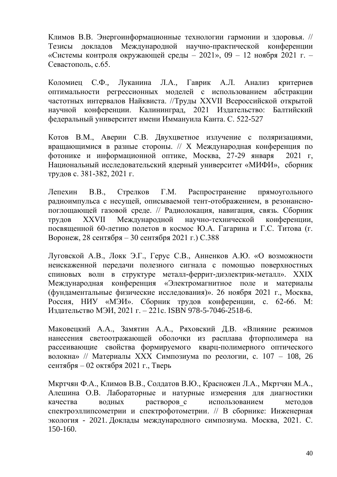Климов В.В. Энергоинформационные технологии гармонии и здоровья. // Тезисы докладов Международной научно-практической конференции «Системы контроля окружающей среды – 2021», 09 – 12 ноября 2021 г. – Севастополь, с.65.

Коломиец С.Ф., Луканина Л.А., Гаврик А.Л. Анализ критериев оптимальности регрессионных моделей с использованием абстракции частотных интервалов Найквиста. //Труды XXVII Всероссийской открытой научной конференции. Калининград, 2021 Издательство: Балтийский федеральный университет имени Иммануила Канта. С. 522-527

Котов В.М., Аверин С.В. Двухцветное излучение с поляризациями, вращающимися в разные стороны. // X Международная конференция по фотонике и информационной оптике, Москва, 27-29 января 2021 г, Национальный исследовательский ядерный университет «МИФИ», сборник трудов с. 381-382, 2021 г.

Лепехин В.В., Стрелков Г.М. Распространение прямоугольного радиоимпульса с несущей, описываемой тент-отображением, в резонанснопоглощающей газовой среде. // Радиолокация, навигация, связь. Сборник трудов XXVII Международной научно-технической конференции, посвященной 60-летию полетов в космос Ю.А. Гагарина и Г.С. Титова (г. Воронеж, 28 сентября – 30 сентября 2021 г.) С.388

Луговской А.В., Локк Э.Г., Герус С.В., Анненков А.Ю. «О возможности неискаженной передачи полезного сигнала с помощью поверхностных спиновых волн в структуре металл-феррит-диэлектрик-металл». XXIX Международная конференция «Электромагнитное поле и материалы (фундаментальные физические исследования)». 26 ноября 2021 г., Москва, Россия, НИУ «МЭИ». Сборник трудов конференции, с. 62-66. М: Издательство МЭИ, 2021 г. – 221с. ISBN 978-5-7046-2518-6.

Маковецкий А.А., Замятин А.А., Ряховский Д.В. «Влияние режимов нанесения светоотражающей оболочки из расплава фторполимера на рассеивающие свойства формируемого кварц-полимерного оптического волокна» // Материалы XXX Симпозиума по реологии, с. 107 – 108, 26 сентября – 02 октября 2021 г., Тверь

Мкртчян Ф.А., Климов В.В., Солдатов В.Ю., Красножен Л.А., Мкртчян М.А., Алешина О.В. [Лабораторные и натурные измерения для диагностики](https://elibrary.ru/item.asp?id=46657318)  качества водных растворов с использованием методов [спектроэллипсометрии и спектрофотометрии.](https://elibrary.ru/item.asp?id=46657318) // В сборнике: Инженерная экология - 2021. Доклады международного симпозиума. Москва, 2021. С. 150-160.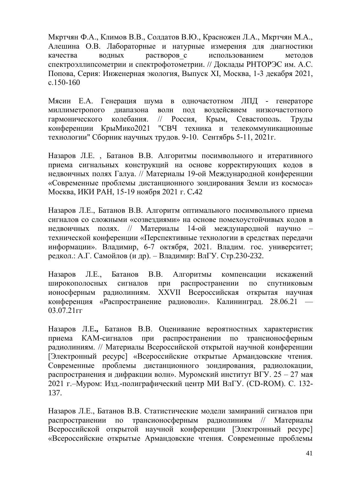Мкртчян Ф.А., Климов В.В., Солдатов В.Ю., Красножен Л.А., Мкртчян М.А., Алешина О.В. [Лабораторные](https://kias.rfbr.ru/index.php) и натурные измерения для диагностики качества водных растворов с [использованием](https://kias.rfbr.ru/index.php) методов [спектроэллипсометрии](https://kias.rfbr.ru/index.php) и спектрофотометрии. // Доклады РНТОРЭС им. А.С. Попова, Серия: Инженерная экология, Выпуск XI, Москва, 1-3 декабря 2021, с.150-160

Мясин Е.А. Генерация шума в одночастотном ЛПД - генераторе миллиметропого диапазона волн под воздейсвием низкочастотного гармонического колебания. // Россия, Крым, Севастополь. Труды конференции КрыМико2021 "СВЧ техника и телекоммуникационные технологии" Сборник научных трудов. 9-10. Сентябрь 5-11, 2021г.

Назаров Л.Е. , Батанов В.В. [Алгоритмы посимвольного и итеративного](http://conf.rse.geosmis.ru/files/books/2021/8847.htm)  [приема сигнальных конструкций на основе корректирующих кодов в](http://conf.rse.geosmis.ru/files/books/2021/8847.htm)  [недвоичных полях Галуа.](http://conf.rse.geosmis.ru/files/books/2021/8847.htm) // Материалы 19-ой Международной конференции «Современные проблемы дистанционного зондирования Земли из космоса» Москва, ИКИ РАН, 15-19 ноября 2021 г. С**.**42

Назаров Л.Е., Батанов В.В. Алгоритм оптимального посимвольного приема сигналов со сложными «созвездиями» на основе помехоустойчивых кодов в недвоичных полях. // Материалы 14-ой международной научно – технической конференции «Перспективные технологии в средствах передачи информации». Владимир, 6-7 октября, 2021. Владим. гос. университет; редкол.: А.Г. Самойлов (и др). – Владимир: ВлГУ. Стр.230-232.

Назаров Л.Е., Батанов В.В. Алгоритмы компенсации искажений широкополосных сигналов при распространении по спутниковым ионосферным радиолиниям. XXVII Всероссийская открытая научная конференция «Распространение радиоволн». Калининград. 28.06.21 — 03.07.21гг

Назаров Л.Е**.,** Батанов В.В. Оценивание вероятностных характеристик приема КАМ-сигналов при распространении по трансионосферным радиолиниям. // Материалы Всероссийской открытой научной конференции [Электронный ресурс] «Всероссийские открытые Армандовские чтения. Современные проблемы дистанционного зондирования, радиолокации, распространения и дифракции волн». Муромский институт ВГУ. 25 – 27 мая 2021 г.–Муром: Изд.-полиграфический центр МИ ВлГУ. (CD-ROM). С. 132- 137.

Назаров Л.Е., Батанов В.В. Статистические модели замираний сигналов при распространении по трансионосферным радиолиниям // Материалы Всероссийской открытой научной конференции [Электронный ресурс] «Всероссийские открытые Армандовские чтения. Современные проблемы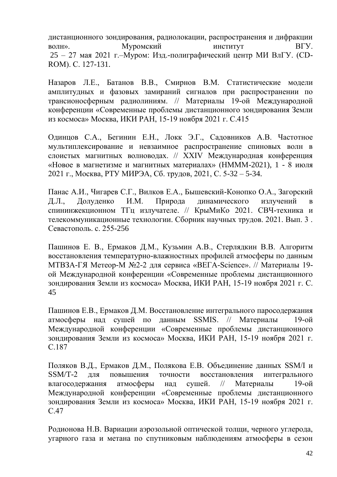дистанционного зондирования, радиолокации, распространения и дифракции волн». Муромский институт ВГУ. 25 – 27 мая 2021 г.–Муром: Изд.-полиграфический центр МИ ВлГУ. (CD-ROM). С. 127-131.

Назаров Л.Е., Батанов В.В., Смирнов В.М. [Статистические модели](http://conf.rse.geosmis.ru/files/books/2021/8622.htm)  [амплитудных и фазовых замираний сигналов при распространении по](http://conf.rse.geosmis.ru/files/books/2021/8622.htm)  [трансионосферным радиолиниям.](http://conf.rse.geosmis.ru/files/books/2021/8622.htm) // Материалы 19-ой Международной конференции «Современные проблемы дистанционного зондирования Земли из космоса» Москва, ИКИ РАН, 15-19 ноября 2021 г. С.415

Одинцов С.А., Бегинин Е.Н., Локк Э.Г., Садовников А.В. Частотное мультиплексирование и невзаимное распространение спиновых волн в слоистых магнитных волноводах. // XXIV Международная конференция «Новое в магнетизме и магнитных материалах» (НМММ-2021), 1 - 8 июля 2021 г., Москва, РТУ МИРЭА, Сб. трудов, 2021, С. 5-32 – 5-34.

Панас А.И., Чигарев С.Г., Вилков Е.А., Бышевский-Конопко О.А., Загорский Д.Л., Долуденко И.М. Природа динамического излучений в спининжекционном ТГц излучателе. // КрыМиКо 2021. СВЧ-техника и телекоммуникационные технологии. Сборник научных трудов. 2021. Вып. 3 . Севастополь. с. 255-256

Пашинов Е. В., Ермаков Д.М., Кузьмин А.В., Стерлядкин В.В. [Алгоритм](http://conf.rse.geosmis.ru/files/books/2021/8734.htm)  [восстановления температурно-влажностных](http://conf.rse.geosmis.ru/files/books/2021/8734.htm) профилей атмосферы по данным [МТВЗА-ГЯ Метеор-М №2-2 для сервиса «ВЕГА-Science».](http://conf.rse.geosmis.ru/files/books/2021/8734.htm) // Материалы 19 ой Международной конференции «Современные проблемы дистанционного зондирования Земли из космоса» Москва, ИКИ РАН, 15-19 ноября 2021 г. С. 45

Пашинов Е.В., Ермаков Д.М. [Восстановление интегрального паросодержания](http://conf.rse.geosmis.ru/files/books/2021/8859.htm)  [атмосферы над сушей по данным SSMIS.](http://conf.rse.geosmis.ru/files/books/2021/8859.htm) // Материалы 19-ой Международной конференции «Современные проблемы дистанционного зондирования Земли из космоса» Москва, ИКИ РАН, 15-19 ноября 2021 г. С.187

Поляков В.Д., Ермаков Д.М., Полякова Е.В. [Объединение данных SSM/I и](http://conf.rse.geosmis.ru/files/books/2021/8679.htm)  [SSM/T-2 для повышения точности восстановления интегрального](http://conf.rse.geosmis.ru/files/books/2021/8679.htm)  [влагосодержания атмосферы над сушей.](http://conf.rse.geosmis.ru/files/books/2021/8679.htm) // Материалы 19-ой Международной конференции «Современные проблемы дистанционного зондирования Земли из космоса» Москва, ИКИ РАН, 15-19 ноября 2021 г. С.47

Родионова Н.В. [Вариации аэрозольной оптической толщи, черного углерода,](http://conf.rse.geosmis.ru/files/books/2021/8557.htm)  [угарного газа и метана по спутниковым наблюдениям атмосферы в сезон](http://conf.rse.geosmis.ru/files/books/2021/8557.htm)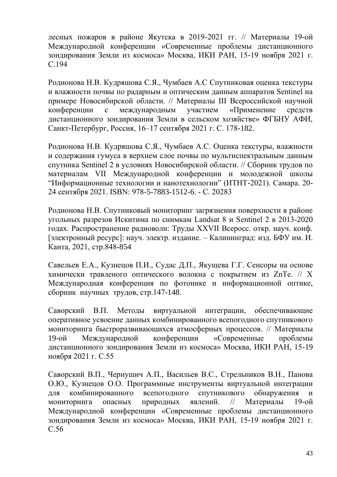[лесных пожаров в районе Якутска в 2019-2021 гг.](http://conf.rse.geosmis.ru/files/books/2021/8557.htm) // Материалы 19-ой Международной конференции «Современные проблемы дистанционного зондирования Земли из космоса» Москва, ИКИ РАН, 15-19 ноября 2021 г. С.194

Родионова Н.В. Кудряшова С.Я., Чумбаев А.С Спутниковая оценка текстуры и влажности почвы по радарным и оптическим данным аппаратов Sentinel на примере Новосибирской области. // Материалы III Всероссийской научной конференции с международным участием «Применение средств дистанционного зондирования Земли в сельском хозяйстве» ФГБНУ АФИ, Санкт-Петербург, Россия, 16–17 сентября 2021 г. С. 178-182.

Родионова Н.В. Кудряшова С.Я., Чумбаев А.С. Оценка текстуры, влажности и содержания гумуса в верхнем слое почвы по мультиспектральным данным спутника Sentinel 2 в условиях Новосибирской области. // Сборник трудов по материалам VII Международной конференции и молодежной школы "Информационные технологии и нанотехнологии" (ИТНТ-2021). Самара. 20- 24 сентября 2021. ISBN: 978-5-7883-1512-6. - С. 20283

Родионова Н.В. Спутниковый мониторинг загрязнения поверхности в районе угольных разрезов Искитима по снимкам Landsat 8 и Sentinel 2 в 2013-2020 годах. Распространение радиоволн: Труды XXVII Всеросс. откр. науч. конф. [электронный ресурс]: науч. электр. издание. – Калининград: изд. БФУ им. И. Канта, 2021, стр.848-854

Савельев Е.А., Кузнецов П.И., Судас Д.П., Якущева Г.Г. Сенсоры на основе химически травленого оптического волокна с покрытием из ZnTe. // X Международная конференция по фотонике и информационной оптике, сборник научных трудов, стр.147-148.

Саворский В.П. [Методы виртуальной интеграции, обеспечивающие](http://conf.rse.geosmis.ru/files/books/2021/8957.htm)  [оперативное усвоение данных комбинированного всепогодного спутникового](http://conf.rse.geosmis.ru/files/books/2021/8957.htm)  [мониторинга быстроразвивающихся атмосферных процессов.](http://conf.rse.geosmis.ru/files/books/2021/8957.htm) // Материалы 19-ой Международной конференции «Современные проблемы дистанционного зондирования Земли из космоса» Москва, ИКИ РАН, 15-19 ноября 2021 г. С.55

Саворский В.П., Чернушич А.П., Васильев В.С., Стрельников В.Н., Панова О.Ю., Кузнецов О.О. [Программные инструменты виртуальной интеграции](http://conf.rse.geosmis.ru/files/books/2021/8958.htm)  [для комбинированного всепогодного спутникового обнаружения и](http://conf.rse.geosmis.ru/files/books/2021/8958.htm)  [мониторинга опасных природных явлений.](http://conf.rse.geosmis.ru/files/books/2021/8958.htm) // Материалы 19-ой Международной конференции «Современные проблемы дистанционного зондирования Земли из космоса» Москва, ИКИ РАН, 15-19 ноября 2021 г. С.56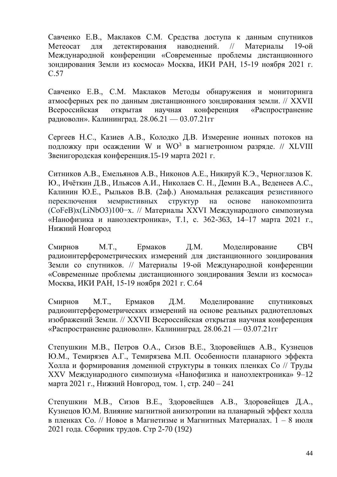Савченко Е.В., Маклаков С.М. [Средства доступа к данным спутников](http://conf.rse.geosmis.ru/files/books/2021/8969.htm)  [Метеосат для детектирования наводнений.](http://conf.rse.geosmis.ru/files/books/2021/8969.htm) // Материалы 19-ой Международной конференции «Современные проблемы дистанционного зондирования Земли из космоса» Москва, ИКИ РАН, 15-19 ноября 2021 г. С.57

Савченко Е.В., С.М. Маклаков Методы обнаружения и мониторинга атмосферных рек по данным дистанционного зондирования земли. // XXVII Всероссийская открытая научная конференция «Распространение радиоволн». Калининград. 28.06.21 — 03.07.21гг

Сергеев Н.С., Казиев А.В., Колодко Д.В. [Измерение ионных потоков на](http://www.fpl.gpi.ru/Zvenigorod/XLVIII/Lt/ru/FB-Sergeev.docx)  [подложку при осаждении W и WO](http://www.fpl.gpi.ru/Zvenigorod/XLVIII/Lt/ru/FB-Sergeev.docx)<sup>3</sup> в магнетронном разряде. // XLVIII [Звенигородская конференция.](http://www.fpl.gpi.ru/Zvenigorod/XLVIII/Zven_XLVIII.html)15-19 марта 2021 г.

Ситников А.В., Емельянов А.В., Никонов А.Е., Никируй К.Э., Черноглазов К. Ю., Ичёткин Д.В., Ильясов А.И., Николаев С. Н., Демин В.А., Веденеев А.С., Калинин Ю.Е., Рыльков В.В. (2аф.) Аномальная релаксация резистивного переключения мемристивных структур на основе нанокомпозита (CoFeB)x(LiNbO3)100−x. // Материалы XXVI Международного симпозиума «Нанофизика и наноэлектроника», Т.1, с. 362-363, 14–17 марта 2021 г., Нижний Новгород

Смирнов М.Т., Ермаков Д.М. [Моделирование СВЧ](http://conf.rse.geosmis.ru/files/books/2021/8680.htm)  [радиоинтерферометрических измерений для дистанционного зондирования](http://conf.rse.geosmis.ru/files/books/2021/8680.htm)  [Земли со спутников.](http://conf.rse.geosmis.ru/files/books/2021/8680.htm) // Материалы 19-ой Международной конференции «Современные проблемы дистанционного зондирования Земли из космоса» Москва, ИКИ РАН, 15-19 ноября 2021 г. С.64

Смирнов М.Т., Ермаков Д.М. Моделирование спутниковых радиоинтерферометрических измерений на основе реальных радиотепловых изображений Земли. // XXVII Всероссийская открытая научная конференция «Распространение радиоволн». Калининград. 28.06.21 — 03.07.21гг

Степушкин М.В., Петров О.А., Сизов В.Е., Здоровейщев А.В., Кузнецов Ю.М., Темирязев А.Г., Темирязева М.П. Особенности планарного эффекта Холла и формирования доменной структуры в тонких пленках Co // Труды XXV Международного симпозиума «Нанофизика и наноэлектроника» 9–12 марта 2021 г., Нижний Новгород, том. 1, стр. 240 – 241

Степушкин М.В., Сизов В.Е., Здоровейщев А.В., Здоровейщев Д.А., Кузнецов Ю.М. Влияние магнитной анизотропии на планарный эффект холла в пленках Co. // Новое в Магнетизме и Магнитных Материалах. 1 – 8 июля 2021 года. Сборник трудов. Стр 2-70 (192)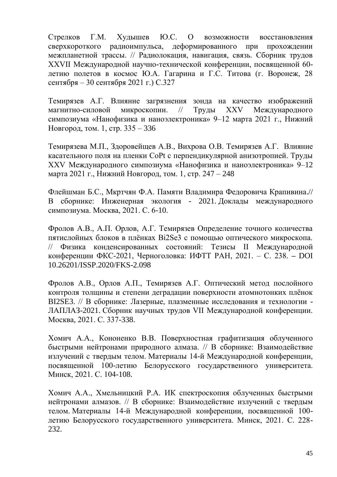Стрелков Г.М. Худышев Ю.С. О возможности восстановления сверхкороткого радиоимпульса, деформированного при прохождении межпланетной трассы. // Радиолокация, навигация, связь. Сборник трудов XXVII Международной научно-технической конференции, посвященной 60 летию полетов в космос Ю.А. Гагарина и Г.С. Титова (г. Воронеж, 28 сентября – 30 сентября 2021 г.) С.327

Темирязев А.Г. Влияние загрязнения зонда на качество изображений магнитно-силовой микроскопии. // Труды XXV Международного симпозиума «Нанофизика и наноэлектроника» 9–12 марта 2021 г., Нижний Новгород, том. 1, стр. 335 – 336

Темирязева М.П., Здоровейщев А.В., Вихрова О.В. Темирязев А.Г. Влияние касательного поля на пленки CoPt с перпендикулярной анизотропией. Труды XXV Международного симпозиума «Нанофизика и наноэлектроника» 9–12 марта 2021 г., Нижний Новгород, том. 1, стр. 247 – 248

Флейшман Б.С., Мкртчян Ф.А. [Памяти Владимира Федоровича Крапивина.](https://elibrary.ru/item.asp?id=46657287)// В сборнике: Инженерная экология - 2021. Доклады международного симпозиума. Москва, 2021. С. 6-10.

Фролов А.В., А.П. Орлов, А.Г. Темирязев Определение точного количества пятислойных блоков в плёнках Bi2Se3 с помощью оптического микроскопа. // Физика конденсированных состояний: Тезисы II Международной конференции ФКС-2021, Черноголовка: ИФТТ РАН, 2021. – С. 238. **–** DOI 10.26201/ISSP.2020/FKS-2.098

Фролов А.В., Орлов А.П., Темирязев А.Г. [Оптический метод послойного](https://www.elibrary.ru/item.asp?id=45698428)  [контроля толщины и степени деградации поверхности атомнотонких плёнок](https://www.elibrary.ru/item.asp?id=45698428)  [BI2SE3.](https://www.elibrary.ru/item.asp?id=45698428) // В сборнике: Лазерные, плазменные исследования и технологии - ЛАПЛАЗ-2021. Сборник научных трудов VII Международной конференции. Москва, 2021. С. 337-338.

Хомич А.А., Кононенко В.В. [Поверхностная графитизация облученного](https://elibrary.ru/item.asp?id=47128258)  [быстрыми нейтронами природного алмаза.](https://elibrary.ru/item.asp?id=47128258) // В сборнике: Взаимодействие излучений с твердым телом. Материалы 14-й Международной конференции, посвященной 100-летию Белорусского государственного университета. Минск, 2021. С. 104-108.

Хомич А.А., Хмельницкий Р.А. [ИК спектроскопия облученных быстрыми](https://elibrary.ru/item.asp?id=47128287)  [нейтронами алмазов.](https://elibrary.ru/item.asp?id=47128287) // В сборнике: Взаимодействие излучений с твердым телом. Материалы 14-й Международной конференции, посвященной 100 летию Белорусского государственного университета. Минск, 2021. С. 228- 232.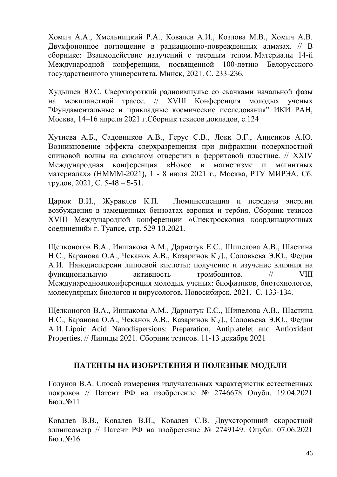Хомич А.А., Хмельницкий Р.А., Ковалев А.И., Козлова М.В., Хомич А.В. [Двухфононное поглощение в радиационно-поврежденных алмазах.](https://elibrary.ru/item.asp?id=47128288) // В сборнике: Взаимодействие излучений с твердым телом. Материалы 14-й Международной конференции, посвященной 100-летию Белорусского государственного университета. Минск, 2021. С. 233-236.

Худышев Ю.С. Сверхкороткий радиоимпульс со скачками начальной фазы на межпланетной трассе. // XVIII Конференция молодых ученых "Фундаментальные и прикладные космические исследования" ИКИ РАН, Москва, 14–16 апреля 2021 г.Сборник тезисов докладов, с.124

Хутиева А.Б., Садовников А.В., Герус С.В., Локк Э.Г., Анненков А.Ю. Возникновение эффекта сверхразрешения при дифракции поверхностной спиновой волны на сквозном отверстии в ферритовой пластине. // XXIV Международная конференция «Новое в магнетизме и магнитных материалах» (НМММ-2021), 1 - 8 июля 2021 г., Москва, РТУ МИРЭА, Сб. трудов, 2021, С. 5-48 – 5-51.

Царюк В.И., Журавлев К.П. Люминесценция и передача энергии возбуждения в замещенных бензоатах европия и тербия. Сборник тезисов XVIII Международной конференции «Спектроскопия координационных соединений» г. Туапсе, стр. 529 10.2021.

Щелконогов В.А., Иншакова А.М., Дарнотук Е.С., Шипелова А.В., Шастина Н.С., Баранова О.А., Чеканов А.В., Казаринов К.Д., Соловьева Э.Ю., Федин А.И. Нанодисперсии липоевой кислоты: получение и изучение влияния на функциональную активность тромбоцитов. // VIII Международноаяконференция молодых ученых: биофизиков, биотехнологов, молекулярных биологов и вирусологов, Новосибирск. 2021. С. 133-134.

Щелконогов В.А., Иншакова А.М., Дарнотук Е.С., Шипелова А.В., Шастина Н.С., Баранова О.А., Чеканов А.В., Казаринов К.Д., Соловьева Э.Ю., Федин А.И. Lipoic Acid Nanodispersions: Preparation, Antiplatelet and Antioxidant Properties. // Липиды 2021. Сборник тезисов. 11-13 декабря 2021

## **ПАТЕНТЫ НА ИЗОБРЕТЕНИЯ И ПОЛЕЗНЫЕ МОДЕЛИ**

Голунов В.А. Способ измерения излучательных характеристик естественных покровов // Патент РФ на изобретение № 2746678 Опубл. 19.04.2021 Бюл.№11

Ковалев В.В., Ковалев В.И., Ковалев С.В. Двухсторонний скоростной эллипсометр // Патент РФ на изобретение № 2749149. Опубл. 07.06.2021 Бюл.№16